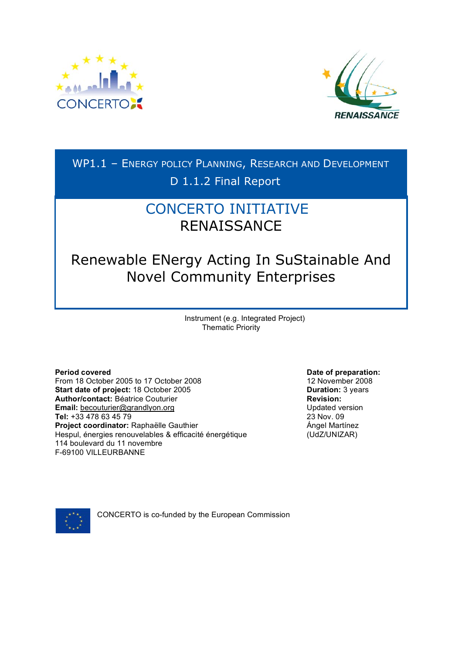



WP1.1 – ENERGY POLICY PLANNING, RESEARCH AND DEVELOPMENT D 1.1.2 Final Report

# CONCERTO INITIATIVE RENAISSANCE

Renewable ENergy Acting In SuStainable And Novel Community Enterprises

> Instrument (e.g. Integrated Project) Thematic Priority

**Period covered Date of preparation: Date of preparation:** From 18 October 2005 to 17 October 2008 12 November 2008 **Start date of project:** 18 October 2005 **Duration:** 3 years **Author/contact:** Béatrice Couturier **Revision: Email:** becouturier@grandlyon.org **Tel:** +33 478 63 45 79 **Project coordinator:** Raphaëlle Gauthier Hespul, énergies renouvelables & efficacité énergétique 114 boulevard du 11 novembre F-69100 VILLEURBANNE

Updated version 23 Nov. 09 Ángel Martínez (UdZ/UNIZAR)



CONCERTO is co-funded by the European Commission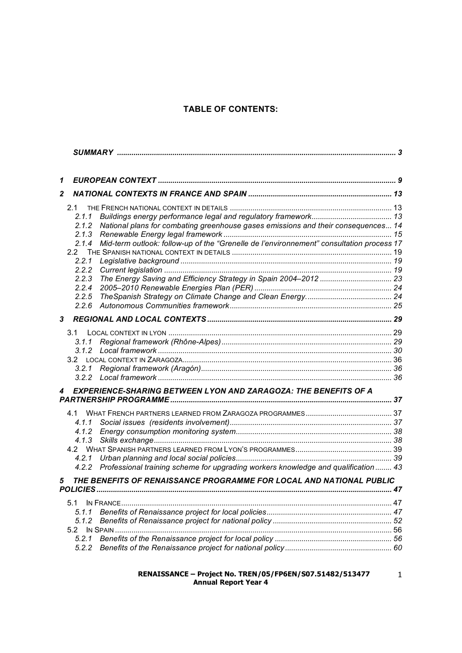## **TABLE OF CONTENTS:**

| 1            |                                                                                                                                                                                                                                                                                       |  |
|--------------|---------------------------------------------------------------------------------------------------------------------------------------------------------------------------------------------------------------------------------------------------------------------------------------|--|
| $\mathbf{2}$ |                                                                                                                                                                                                                                                                                       |  |
|              | 2.1<br>2.1.1<br>National plans for combating greenhouse gases emissions and their consequences 14<br>2.1.2<br>2.1.3<br>Mid-term outlook: follow-up of the "Grenelle de l'environnement" consultation process 17<br>2.1.4<br>2.2<br>2.2.1<br>2.2.2<br>2.2.3<br>2.2.4<br>2.2.5<br>2.2.6 |  |
| 3            |                                                                                                                                                                                                                                                                                       |  |
|              | 3.1<br>3.1.1<br>3.2.1                                                                                                                                                                                                                                                                 |  |
| 4            | EXPERIENCE-SHARING BETWEEN LYON AND ZARAGOZA: THE BENEFITS OF A                                                                                                                                                                                                                       |  |
|              | 4.2.1<br>4.2.2 Professional training scheme for upgrading workers knowledge and qualification  43                                                                                                                                                                                     |  |
| 5            | THE BENEFITS OF RENAISSANCE PROGRAMME FOR LOCAL AND NATIONAL PUBLIC                                                                                                                                                                                                                   |  |
|              | 5.1<br>5.1.1<br>5.1.2<br>5.2<br>5.2.1<br>5.2.2                                                                                                                                                                                                                                        |  |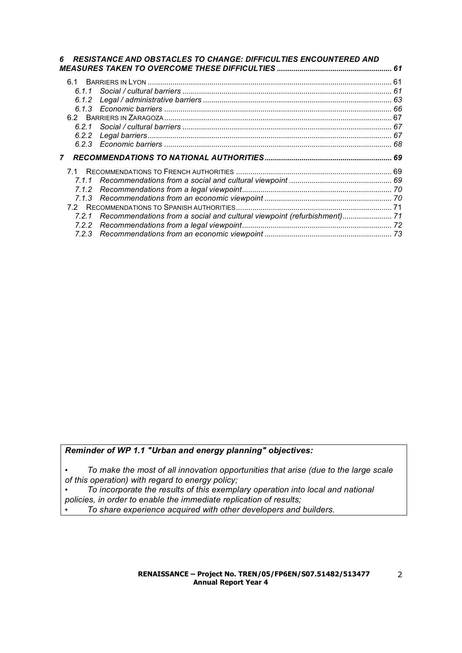|              | <b>RESISTANCE AND OBSTACLES TO CHANGE: DIFFICULTIES ENCOUNTERED AND</b>       |    |
|--------------|-------------------------------------------------------------------------------|----|
|              |                                                                               | 61 |
|              |                                                                               |    |
|              |                                                                               |    |
|              |                                                                               |    |
|              |                                                                               |    |
|              |                                                                               |    |
|              |                                                                               |    |
|              |                                                                               |    |
|              |                                                                               |    |
| $\mathbf{7}$ |                                                                               |    |
|              |                                                                               |    |
| 7.1.1        |                                                                               |    |
|              |                                                                               |    |
|              |                                                                               |    |
|              |                                                                               |    |
|              | 7.2.1 Recommendations from a social and cultural viewpoint (refurbishment) 71 |    |
|              |                                                                               |    |
|              |                                                                               |    |

*Reminder of WP 1.1 "Urban and energy planning" objectives:*

• *To make the most of all innovation opportunities that arise (due to the large scale of this operation) with regard to energy policy;*

• *To incorporate the results of this exemplary operation into local and national policies, in order to enable the immediate replication of results;*

• *To share experience acquired with other developers and builders.*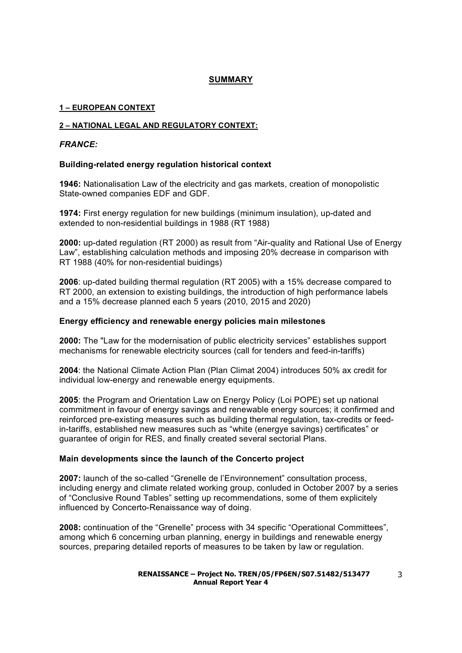#### **SUMMARY**

#### **1 – EUROPEAN CONTEXT**

#### **2 – NATIONAL LEGAL AND REGULATORY CONTEXT:**

#### *FRANCE:*

#### **Building-related energy regulation historical context**

**1946:** Nationalisation Law of the electricity and gas markets, creation of monopolistic State-owned companies EDF and GDF.

**1974:** First energy regulation for new buildings (minimum insulation), up-dated and extended to non-residential buildings in 1988 (RT 1988)

**2000:** up-dated regulation (RT 2000) as result from "Air-quality and Rational Use of Energy Law", establishing calculation methods and imposing 20% decrease in comparison with RT 1988 (40% for non-residential buidings)

**2006**: up-dated building thermal regulation (RT 2005) with a 15% decrease compared to RT 2000, an extension to existing buildings, the introduction of high performance labels and a 15% decrease planned each 5 years (2010, 2015 and 2020)

#### **Energy efficiency and renewable energy policies main milestones**

**2000:** The "Law for the modernisation of public electricity services" establishes support mechanisms for renewable electricity sources (call for tenders and feed-in-tariffs)

**2004**: the National Climate Action Plan (Plan Climat 2004) introduces 50% ax credit for individual low-energy and renewable energy equipments.

**2005**: the Program and Orientation Law on Energy Policy (Loi POPE) set up national commitment in favour of energy savings and renewable energy sources; it confirmed and reinforced pre-existing measures such as building thermal regulation, tax-credits or feedin-tariffs, established new measures such as "white (energye savings) certificates" or guarantee of origin for RES, and finally created several sectorial Plans.

#### **Main developments since the launch of the Concerto project**

**2007:** launch of the so-called "Grenelle de l'Environnement" consultation process, including energy and climate related working group, conluded in October 2007 by a series of "Conclusive Round Tables" setting up recommendations, some of them explicitely influenced by Concerto-Renaissance way of doing.

**2008:** continuation of the "Grenelle" process with 34 specific "Operational Committees", among which 6 concerning urban planning, energy in buildings and renewable energy sources, preparing detailed reports of measures to be taken by law or regulation.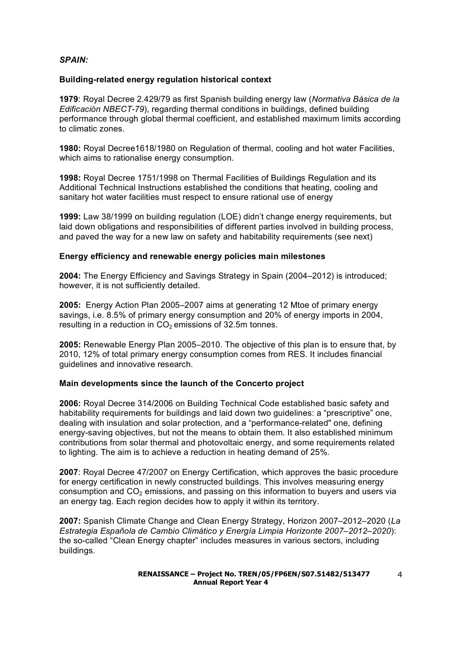#### *SPAIN:*

#### **Building-related energy regulation historical context**

**1979**: Royal Decree 2.429/79 as first Spanish building energy law (*Normativa Básica de la Edificación NBECT-79*), regarding thermal conditions in buildings, defined building performance through global thermal coefficient, and established maximum limits according to climatic zones.

**1980:** Royal Decree1618/1980 on Regulation of thermal, cooling and hot water Facilities, which aims to rationalise energy consumption.

**1998:** Royal Decree 1751/1998 on Thermal Facilities of Buildings Regulation and its Additional Technical Instructions established the conditions that heating, cooling and sanitary hot water facilities must respect to ensure rational use of energy

**1999:** Law 38/1999 on building regulation (LOE) didn't change energy requirements, but laid down obligations and responsibilities of different parties involved in building process, and paved the way for a new law on safety and habitability requirements (see next)

#### **Energy efficiency and renewable energy policies main milestones**

**2004:** The Energy Efficiency and Savings Strategy in Spain (2004–2012) is introduced; however, it is not sufficiently detailed.

**2005:** Energy Action Plan 2005–2007 aims at generating 12 Mtoe of primary energy savings, i.e. 8.5% of primary energy consumption and 20% of energy imports in 2004, resulting in a reduction in  $CO<sub>2</sub>$  emissions of 32.5m tonnes.

**2005:** Renewable Energy Plan 2005–2010. The objective of this plan is to ensure that, by 2010, 12% of total primary energy consumption comes from RES. It includes financial guidelines and innovative research.

#### **Main developments since the launch of the Concerto project**

**2006:** Royal Decree 314/2006 on Building Technical Code established basic safety and habitability requirements for buildings and laid down two guidelines: a "prescriptive" one, dealing with insulation and solar protection, and a "performance-related" one, defining energy-saving objectives, but not the means to obtain them. It also established minimum contributions from solar thermal and photovoltaic energy, and some requirements related to lighting. The aim is to achieve a reduction in heating demand of 25%.

**2007**: Royal Decree 47/2007 on Energy Certification, which approves the basic procedure for energy certification in newly constructed buildings. This involves measuring energy consumption and  $CO<sub>2</sub>$  emissions, and passing on this information to buyers and users via an energy tag. Each region decides how to apply it within its territory.

**2007:** Spanish Climate Change and Clean Energy Strategy, Horizon 2007–2012–2020 (*La Estrategia Española de Cambio Climático y Energía Limpia Horizonte 2007–2012–2020*): the so-called "Clean Energy chapter" includes measures in various sectors, including buildings.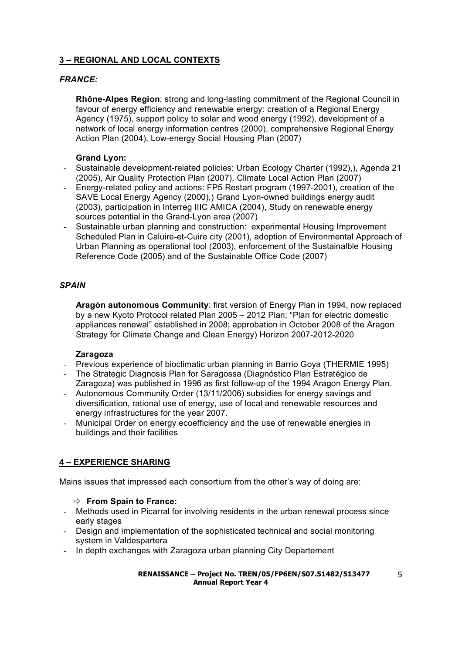## **3 – REGIONAL AND LOCAL CONTEXTS**

#### *FRANCE:*

**Rhône-Alpes Region**: strong and long-lasting commitment of the Regional Council in favour of energy efficiency and renewable energy: creation of a Regional Energy Agency (1975), support policy to solar and wood energy (1992), development of a network of local energy information centres (2000), comprehensive Regional Energy Action Plan (2004), Low-energy Social Housing Plan (2007)

#### **Grand Lyon:**

- Sustainable development-related policies: Urban Ecology Charter (1992),), Agenda 21 (2005), Air Quality Protection Plan (2007), Climate Local Action Plan (2007)
- Energy-related policy and actions: FP5 Restart program (1997-2001), creation of the SAVE Local Energy Agency (2000),) Grand Lyon-owned buildings energy audit (2003), participation in Interreg IIIC AMICA (2004), Study on renewable energy sources potential in the Grand-Lyon area (2007)
- Sustainable urban planning and construction: experimental Housing Improvement Scheduled Plan in Caluire-et-Cuire city (2001), adoption of Environmental Approach of Urban Planning as operational tool (2003), enforcement of the Sustainalble Housing Reference Code (2005) and of the Sustainable Office Code (2007)

### *SPAIN*

**Aragón autonomous Community**: first version of Energy Plan in 1994, now replaced by a new Kyoto Protocol related Plan 2005 – 2012 Plan; "Plan for electric domestic appliances renewal" established in 2008; approbation in October 2008 of the Aragon Strategy for Climate Change and Clean Energy) Horizon 2007-2012-2020

#### **Zaragoza**

- Previous experience of bioclimatic urban planning in Barrio Goya (THERMIE 1995)
- The Strategic Diagnosis Plan for Saragossa (Diagnóstico Plan Estratégico de Zaragoza) was published in 1996 as first follow-up of the 1994 Aragon Energy Plan.
- Autonomous Community Order (13/11/2006) subsidies for energy savings and diversification, rational use of energy, use of local and renewable resources and energy infrastructures for the year 2007.
- Municipal Order on energy ecoefficiency and the use of renewable energies in buildings and their facilities

## **4 – EXPERIENCE SHARING**

Mains issues that impressed each consortium from the other's way of doing are:

- **From Spain to France:**
- Methods used in Picarral for involving residents in the urban renewal process since early stages
- Design and implementation of the sophisticated technical and social monitoring system in Valdespartera
- In depth exchanges with Zaragoza urban planning City Departement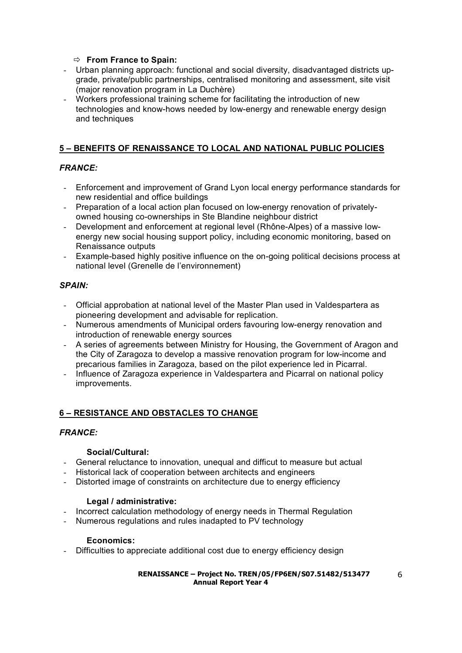### **From France to Spain:**

- Urban planning approach: functional and social diversity, disadvantaged districts upgrade, private/public partnerships, centralised monitoring and assessment, site visit (major renovation program in La Duchère)
- Workers professional training scheme for facilitating the introduction of new technologies and know-hows needed by low-energy and renewable energy design and techniques

## **5 – BENEFITS OF RENAISSANCE TO LOCAL AND NATIONAL PUBLIC POLICIES**

## *FRANCE:*

- Enforcement and improvement of Grand Lyon local energy performance standards for new residential and office buildings
- Preparation of a local action plan focused on low-energy renovation of privatelyowned housing co-ownerships in Ste Blandine neighbour district
- Development and enforcement at regional level (Rhône-Alpes) of a massive lowenergy new social housing support policy, including economic monitoring, based on Renaissance outputs
- Example-based highly positive influence on the on-going political decisions process at national level (Grenelle de l'environnement)

### *SPAIN:*

- Official approbation at national level of the Master Plan used in Valdespartera as pioneering development and advisable for replication.
- Numerous amendments of Municipal orders favouring low-energy renovation and introduction of renewable energy sources
- A series of agreements between Ministry for Housing, the Government of Aragon and the City of Zaragoza to develop a massive renovation program for low-income and precarious families in Zaragoza, based on the pilot experience led in Picarral.
- Influence of Zaragoza experience in Valdespartera and Picarral on national policy improvements.

## **6 – RESISTANCE AND OBSTACLES TO CHANGE**

#### *FRANCE:*

#### **Social/Cultural:**

- General reluctance to innovation, unequal and difficut to measure but actual
- Historical lack of cooperation between architects and engineers
- Distorted image of constraints on architecture due to energy efficiency

#### **Legal / administrative:**

- Incorrect calculation methodology of energy needs in Thermal Regulation
- Numerous regulations and rules inadapted to PV technology

#### **Economics:**

- Difficulties to appreciate additional cost due to energy efficiency design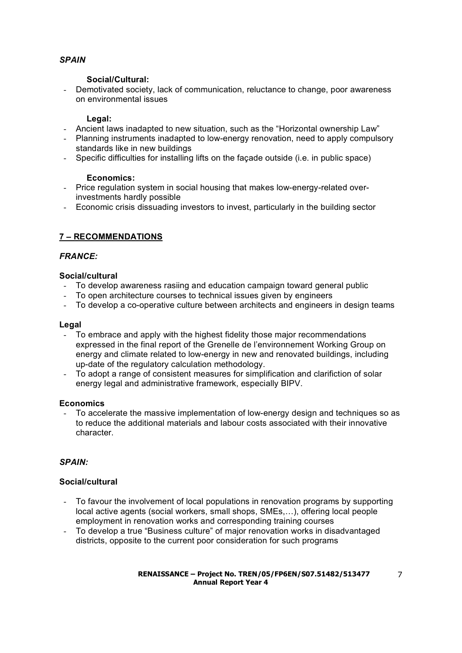## *SPAIN*

#### **Social/Cultural:**

- Demotivated society, lack of communication, reluctance to change, poor awareness on environmental issues

#### **Legal:**

- Ancient laws inadapted to new situation, such as the "Horizontal ownership Law"
- Planning instruments inadapted to low-energy renovation, need to apply compulsory standards like in new buildings
- Specific difficulties for installing lifts on the façade outside (i.e. in public space)

#### **Economics:**

- Price regulation system in social housing that makes low-energy-related overinvestments hardly possible
- Economic crisis dissuading investors to invest, particularly in the building sector

## **7 – RECOMMENDATIONS**

### *FRANCE:*

#### **Social/cultural**

- To develop awareness rasiing and education campaign toward general public
- To open architecture courses to technical issues given by engineers
- To develop a co-operative culture between architects and engineers in design teams

#### **Legal**

- To embrace and apply with the highest fidelity those major recommendations expressed in the final report of the Grenelle de l'environnement Working Group on energy and climate related to low-energy in new and renovated buildings, including up-date of the regulatory calculation methodology.
- To adopt a range of consistent measures for simplification and clarifiction of solar energy legal and administrative framework, especially BIPV.

#### **Economics**

- To accelerate the massive implementation of low-energy design and techniques so as to reduce the additional materials and labour costs associated with their innovative character.

## *SPAIN:*

## **Social/cultural**

- To favour the involvement of local populations in renovation programs by supporting local active agents (social workers, small shops, SMEs,…), offering local people employment in renovation works and corresponding training courses
- To develop a true "Business culture" of major renovation works in disadvantaged districts, opposite to the current poor consideration for such programs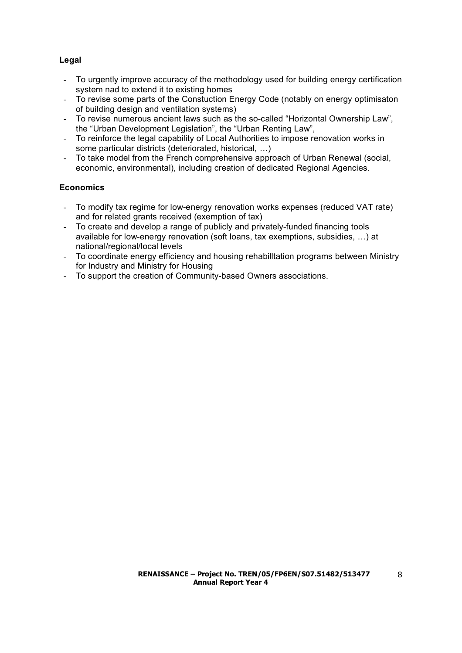## **Legal**

- To urgently improve accuracy of the methodology used for building energy certification system nad to extend it to existing homes
- To revise some parts of the Constuction Energy Code (notably on energy optimisaton of building design and ventilation systems)
- To revise numerous ancient laws such as the so-called "Horizontal Ownership Law", the "Urban Development Legislation", the "Urban Renting Law",
- To reinforce the legal capability of Local Authorities to impose renovation works in some particular districts (deteriorated, historical, …)
- To take model from the French comprehensive approach of Urban Renewal (social, economic, environmental), including creation of dedicated Regional Agencies.

## **Economics**

- To modify tax regime for low-energy renovation works expenses (reduced VAT rate) and for related grants received (exemption of tax)
- To create and develop a range of publicly and privately-funded financing tools available for low-energy renovation (soft loans, tax exemptions, subsidies, …) at national/regional/local levels
- To coordinate energy efficiency and housing rehabilltation programs between Ministry for Industry and Ministry for Housing
- To support the creation of Community-based Owners associations.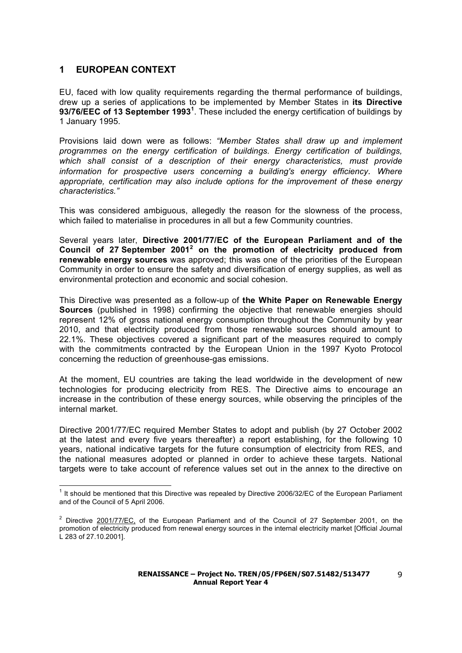## **1 EUROPEAN CONTEXT**

EU, faced with low quality requirements regarding the thermal performance of buildings, drew up a series of applications to be implemented by Member States in **its Directive 93/76/EEC of 13 September 1993<sup>1</sup>** . These included the energy certification of buildings by 1 January 1995.

Provisions laid down were as follows: *"Member States shall draw up and implement programmes on the energy certification of buildings. Energy certification of buildings, which shall consist of a description of their energy characteristics, must provide information for prospective users concerning a building's energy efficiency. Where appropriate, certification may also include options for the improvement of these energy characteristics."*

This was considered ambiguous, allegedly the reason for the slowness of the process, which failed to materialise in procedures in all but a few Community countries.

Several years later, **Directive 2001/77/EC of the European Parliament and of the Council of 27 September 2001<sup>2</sup> on the promotion of electricity produced from renewable energy sources** was approved; this was one of the priorities of the European Community in order to ensure the safety and diversification of energy supplies, as well as environmental protection and economic and social cohesion.

This Directive was presented as a follow-up of **the White Paper on Renewable Energy Sources** (published in 1998) confirming the objective that renewable energies should represent 12% of gross national energy consumption throughout the Community by year 2010, and that electricity produced from those renewable sources should amount to 22.1%. These objectives covered a significant part of the measures required to comply with the commitments contracted by the European Union in the 1997 Kyoto Protocol concerning the reduction of greenhouse-gas emissions.

At the moment, EU countries are taking the lead worldwide in the development of new technologies for producing electricity from RES. The Directive aims to encourage an increase in the contribution of these energy sources, while observing the principles of the internal market.

Directive 2001/77/EC required Member States to adopt and publish (by 27 October 2002 at the latest and every five years thereafter) a report establishing, for the following 10 years, national indicative targets for the future consumption of electricity from RES, and the national measures adopted or planned in order to achieve these targets. National targets were to take account of reference values set out in the annex to the directive on

 $1$  It should be mentioned that this Directive was repealed by Directive 2006/32/EC of the European Parliament and of the Council of 5 April 2006.

<sup>&</sup>lt;sup>2</sup> Directive 2001/77/EC, of the European Parliament and of the Council of 27 September 2001, on the promotion of electricity produced from renewal energy sources in the internal electricity market [Official Journal L 283 of 27.10.2001].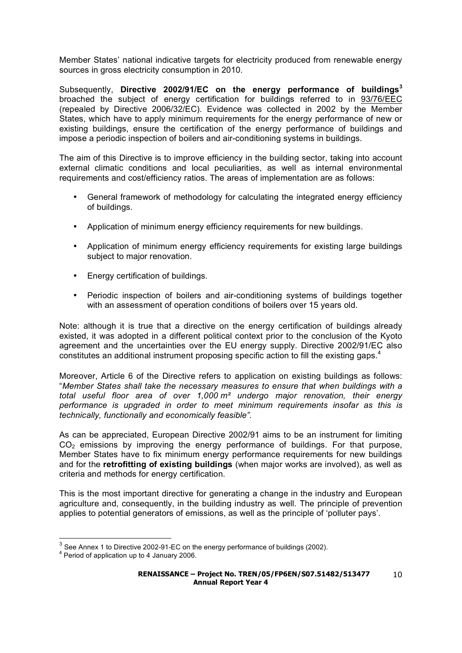Member States' national indicative targets for electricity produced from renewable energy sources in gross electricity consumption in 2010.

Subsequently, **Directive 2002/91/EC on the energy performance of buildings<sup>3</sup>** broached the subject of energy certification for buildings referred to in 93/76/EEC (repealed by Directive 2006/32/EC). Evidence was collected in 2002 by the Member States, which have to apply minimum requirements for the energy performance of new or existing buildings, ensure the certification of the energy performance of buildings and impose a periodic inspection of boilers and air-conditioning systems in buildings.

The aim of this Directive is to improve efficiency in the building sector, taking into account external climatic conditions and local peculiarities, as well as internal environmental requirements and cost/efficiency ratios. The areas of implementation are as follows:

- General framework of methodology for calculating the integrated energy efficiency of buildings.
- Application of minimum energy efficiency requirements for new buildings.
- Application of minimum energy efficiency requirements for existing large buildings subject to major renovation.
- Energy certification of buildings.
- Periodic inspection of boilers and air-conditioning systems of buildings together with an assessment of operation conditions of boilers over 15 years old.

Note: although it is true that a directive on the energy certification of buildings already existed, it was adopted in a different political context prior to the conclusion of the Kyoto agreement and the uncertainties over the EU energy supply. Directive 2002/91/EC also constitutes an additional instrument proposing specific action to fill the existing gaps.<sup>4</sup>

Moreover, Article 6 of the Directive refers to application on existing buildings as follows: "*Member States shall take the necessary measures to ensure that when buildings with a total useful floor area of over 1,000 m² undergo major renovation, their energy performance is upgraded in order to meet minimum requirements insofar as this is technically, functionally and economically feasible".*

As can be appreciated, European Directive 2002/91 aims to be an instrument for limiting CO<sub>2</sub> emissions by improving the energy performance of buildings. For that purpose, Member States have to fix minimum energy performance requirements for new buildings and for the **retrofitting of existing buildings** (when major works are involved), as well as criteria and methods for energy certification.

This is the most important directive for generating a change in the industry and European agriculture and, consequently, in the building industry as well. The principle of prevention applies to potential generators of emissions, as well as the principle of 'polluter pays'.

 $3$  See Annex 1 to Directive 2002-91-EC on the energy performance of buildings (2002).<br><sup>4</sup> Period of application up to 4 January 2006.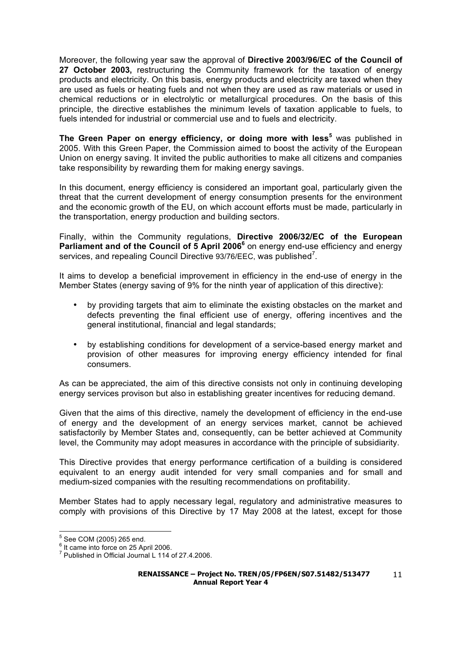Moreover, the following year saw the approval of **Directive 2003/96/EC of the Council of 27 October 2003,** restructuring the Community framework for the taxation of energy products and electricity. On this basis, energy products and electricity are taxed when they are used as fuels or heating fuels and not when they are used as raw materials or used in chemical reductions or in electrolytic or metallurgical procedures. On the basis of this principle, the directive establishes the minimum levels of taxation applicable to fuels, to fuels intended for industrial or commercial use and to fuels and electricity.

**The Green Paper on energy efficiency, or doing more with less<sup>5</sup>** was published in 2005. With this Green Paper, the Commission aimed to boost the activity of the European Union on energy saving. It invited the public authorities to make all citizens and companies take responsibility by rewarding them for making energy savings.

In this document, energy efficiency is considered an important goal, particularly given the threat that the current development of energy consumption presents for the environment and the economic growth of the EU, on which account efforts must be made, particularly in the transportation, energy production and building sectors.

Finally, within the Community regulations, **Directive 2006/32/EC of the European Parliament and of the Council of 5 April 2006<sup>6</sup> on energy end-use efficiency and energy** services, and repealing Council Directive 93/76/EEC, was published<sup>7</sup>.

It aims to develop a beneficial improvement in efficiency in the end-use of energy in the Member States (energy saving of 9% for the ninth year of application of this directive):

- by providing targets that aim to eliminate the existing obstacles on the market and defects preventing the final efficient use of energy, offering incentives and the general institutional, financial and legal standards;
- by establishing conditions for development of a service-based energy market and provision of other measures for improving energy efficiency intended for final consumers.

As can be appreciated, the aim of this directive consists not only in continuing developing energy services provison but also in establishing greater incentives for reducing demand.

Given that the aims of this directive, namely the development of efficiency in the end-use of energy and the development of an energy services market, cannot be achieved satisfactorily by Member States and, consequently, can be better achieved at Community level, the Community may adopt measures in accordance with the principle of subsidiarity.

This Directive provides that energy performance certification of a building is considered equivalent to an energy audit intended for very small companies and for small and medium-sized companies with the resulting recommendations on profitability.

Member States had to apply necessary legal, regulatory and administrative measures to comply with provisions of this Directive by 17 May 2008 at the latest, except for those

<sup>&</sup>lt;u>s</u><br><sup>5</sup> See COM (2005) 265 end.

 $<sup>6</sup>$  It came into force on 25 April 2006.</sup>

<sup>&</sup>lt;sup>7</sup> Published in Official Journal L 114 of 27.4.2006.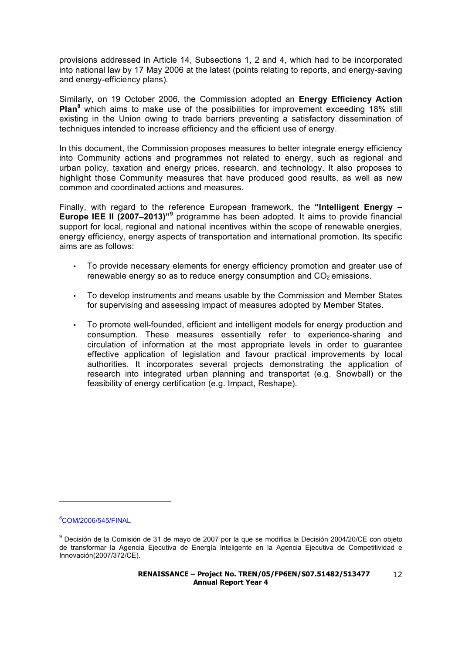provisions addressed in Article 14, Subsections 1, 2 and 4, which had to be incorporated into national law by 17 May 2006 at the latest (points relating to reports, and energy-saving and energy-efficiency plans).

Similarly, on 19 October 2006, the Commission adopted an **Energy Efficiency Action Plan<sup>8</sup>** which aims to make use of the possibilities for improvement exceeding 18% still existing in the Union owing to trade barriers preventing a satisfactory dissemination of techniques intended to increase efficiency and the efficient use of energy.

In this document, the Commission proposes measures to better integrate energy efficiency into Community actions and programmes not related to energy, such as regional and urban policy, taxation and energy prices, research, and technology. It also proposes to highlight those Community measures that have produced good results, as well as new common and coordinated actions and measures.

Finally, with regard to the reference European framework, the **"Intelligent Energy – Europe IEE II (2007–2013)"<sup>9</sup>** programme has been adopted. It aims to provide financial support for local, regional and national incentives within the scope of renewable energies, energy efficiency, energy aspects of transportation and international promotion. Its specific aims are as follows:

- To provide necessary elements for energy efficiency promotion and greater use of renewable energy so as to reduce energy consumption and  $CO<sub>2</sub>$  emissions.
- To develop instruments and means usable by the Commission and Member States for supervising and assessing impact of measures adopted by Member States.
- To promote well-founded, efficient and intelligent models for energy production and consumption. These measures essentially refer to experience-sharing and circulation of information at the most appropriate levels in order to guarantee effective application of legislation and favour practical improvements by local authorities. It incorporates several projects demonstrating the application of research into integrated urban planning and transportat (e.g. Snowball) or the feasibility of energy certification (e.g. Impact, Reshape).

8COM/2006/545/FINAL

l

<sup>&</sup>lt;sup>9</sup> Decisión de la Comisión de 31 de mayo de 2007 por la que se modifica la Decisión 2004/20/CE con objeto de transformar la Agencia Ejecutiva de Energía Inteligente en la Agencia Ejecutiva de Competitividad e Innovación(2007/372/CE).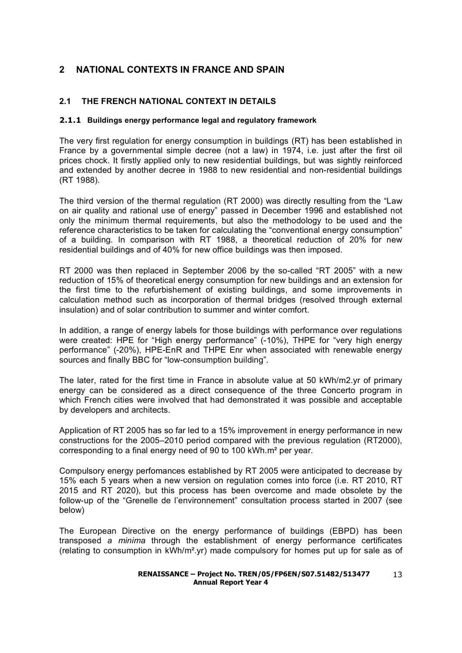## **2 NATIONAL CONTEXTS IN FRANCE AND SPAIN**

## **2.1 THE FRENCH NATIONAL CONTEXT IN DETAILS**

#### **2.1.1 Buildings energy performance legal and regulatory framework**

The very first regulation for energy consumption in buildings (RT) has been established in France by a governmental simple decree (not a law) in 1974, i.e. just after the first oil prices chock. It firstly applied only to new residential buildings, but was sightly reinforced and extended by another decree in 1988 to new residential and non-residential buildings (RT 1988).

The third version of the thermal regulation (RT 2000) was directly resulting from the "Law on air quality and rational use of energy" passed in December 1996 and established not only the minimum thermal requirements, but also the methodology to be used and the reference characteristics to be taken for calculating the "conventional energy consumption" of a building. In comparison with RT 1988, a theoretical reduction of 20% for new residential buildings and of 40% for new office buildings was then imposed.

RT 2000 was then replaced in September 2006 by the so-called "RT 2005" with a new reduction of 15% of theoretical energy consumption for new buildings and an extension for the first time to the refurbishement of existing buildings, and some improvements in calculation method such as incorporation of thermal bridges (resolved through external insulation) and of solar contribution to summer and winter comfort.

In addition, a range of energy labels for those buildings with performance over regulations were created: HPE for "High energy performance" (-10%), THPE for "very high energy performance" (-20%), HPE-EnR and THPE Enr when associated with renewable energy sources and finally BBC for "low-consumption building".

The later, rated for the first time in France in absolute value at 50 kWh/m2.yr of primary energy can be considered as a direct consequence of the three Concerto program in which French cities were involved that had demonstrated it was possible and acceptable by developers and architects.

Application of RT 2005 has so far led to a 15% improvement in energy performance in new constructions for the 2005–2010 period compared with the previous regulation (RT2000), corresponding to a final energy need of 90 to 100 kWh.m² per year.

Compulsory energy perfomances established by RT 2005 were anticipated to decrease by 15% each 5 years when a new version on regulation comes into force (i.e. RT 2010, RT 2015 and RT 2020), but this process has been overcome and made obsolete by the follow-up of the "Grenelle de l'environnement" consultation process started in 2007 (see below)

The European Directive on the energy performance of buildings (EBPD) has been transposed *a minima* through the establishment of energy performance certificates (relating to consumption in  $kWh/m^2 \gamma r$ ) made compulsory for homes put up for sale as of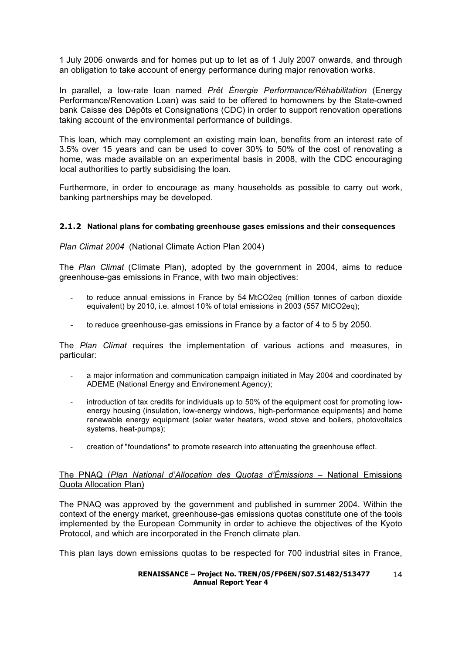1 July 2006 onwards and for homes put up to let as of 1 July 2007 onwards, and through an obligation to take account of energy performance during major renovation works.

In parallel, a low-rate loan named *Prêt Énergie Performance/Réhabilitation* (Energy Performance/Renovation Loan) was said to be offered to homowners by the State-owned bank Caisse des Dépôts et Consignations (CDC) in order to support renovation operations taking account of the environmental performance of buildings.

This loan, which may complement an existing main loan, benefits from an interest rate of 3.5% over 15 years and can be used to cover 30% to 50% of the cost of renovating a home, was made available on an experimental basis in 2008, with the CDC encouraging local authorities to partly subsidising the loan.

Furthermore, in order to encourage as many households as possible to carry out work, banking partnerships may be developed.

#### **2.1.2 National plans for combating greenhouse gases emissions and their consequences**

#### *Plan Climat 2004* (National Climate Action Plan 2004)

The *Plan Climat* (Climate Plan), adopted by the government in 2004, aims to reduce greenhouse-gas emissions in France, with two main objectives:

- to reduce annual emissions in France by 54 MtCO2eq (million tonnes of carbon dioxide equivalent) by 2010, i.e. almost 10% of total emissions in 2003 (557 MtCO2eq);
- to reduce greenhouse-gas emissions in France by a factor of 4 to 5 by 2050.

The *Plan Climat* requires the implementation of various actions and measures, in particular:

- a major information and communication campaign initiated in May 2004 and coordinated by ADEME (National Energy and Environement Agency);
- introduction of tax credits for individuals up to 50% of the equipment cost for promoting lowenergy housing (insulation, low-energy windows, high-performance equipments) and home renewable energy equipment (solar water heaters, wood stove and boilers, photovoltaics systems, heat-pumps);
- creation of "foundations" to promote research into attenuating the greenhouse effect.

#### The PNAQ (*Plan National d'Allocation des Quotas d'Émissions* – National Emissions Quota Allocation Plan)

The PNAQ was approved by the government and published in summer 2004. Within the context of the energy market, greenhouse-gas emissions quotas constitute one of the tools implemented by the European Community in order to achieve the objectives of the Kyoto Protocol, and which are incorporated in the French climate plan.

This plan lays down emissions quotas to be respected for 700 industrial sites in France,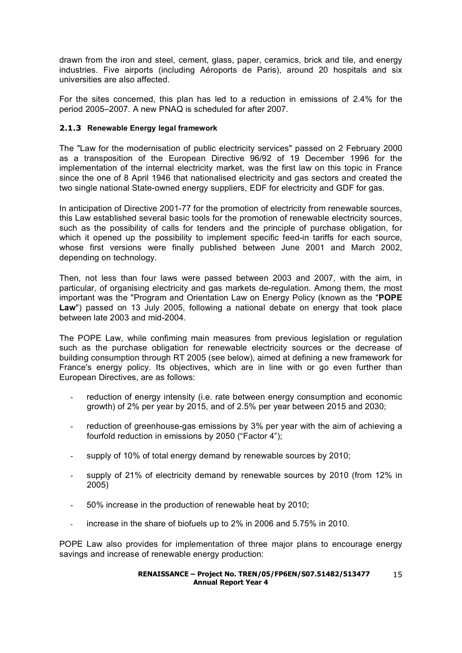drawn from the iron and steel, cement, glass, paper, ceramics, brick and tile, and energy industries. Five airports (including Aéroports de Paris), around 20 hospitals and six universities are also affected.

For the sites concerned, this plan has led to a reduction in emissions of 2.4% for the period 2005–2007. A new PNAQ is scheduled for after 2007.

#### **2.1.3 Renewable Energy legal framework**

The "Law for the modernisation of public electricity services" passed on 2 February 2000 as a transposition of the European Directive 96/92 of 19 December 1996 for the implementation of the internal electricity market, was the first law on this topic in France since the one of 8 April 1946 that nationalised electricity and gas sectors and created the two single national State-owned energy suppliers, EDF for electricity and GDF for gas.

In anticipation of Directive 2001-77 for the promotion of electricity from renewable sources, this Law established several basic tools for the promotion of renewable electricity sources, such as the possibility of calls for tenders and the principle of purchase obligation, for which it opened up the possibility to implement specific feed-in tariffs for each source, whose first versions were finally published between June 2001 and March 2002, depending on technology.

Then, not less than four laws were passed between 2003 and 2007, with the aim, in particular, of organising electricity and gas markets de-regulation. Among them, the most important was the "Program and Orientation Law on Energy Policy (known as the "**POPE Law**") passed on 13 July 2005, following a national debate on energy that took place between late 2003 and mid-2004.

The POPE Law, while confiming main measures from previous legislation or regulation such as the purchase obligation for renewable electricity sources or the decrease of building consumption through RT 2005 (see below), aimed at defining a new framework for France's energy policy. Its objectives, which are in line with or go even further than European Directives, are as follows:

- reduction of energy intensity (i.e. rate between energy consumption and economic growth) of 2% per year by 2015, and of 2.5% per year between 2015 and 2030;
- reduction of greenhouse-gas emissions by 3% per year with the aim of achieving a fourfold reduction in emissions by 2050 ("Factor 4");
- supply of 10% of total energy demand by renewable sources by 2010;
- supply of 21% of electricity demand by renewable sources by 2010 (from 12% in 2005)
- 50% increase in the production of renewable heat by 2010;
- increase in the share of biofuels up to 2% in 2006 and 5.75% in 2010.

POPE Law also provides for implementation of three major plans to encourage energy savings and increase of renewable energy production: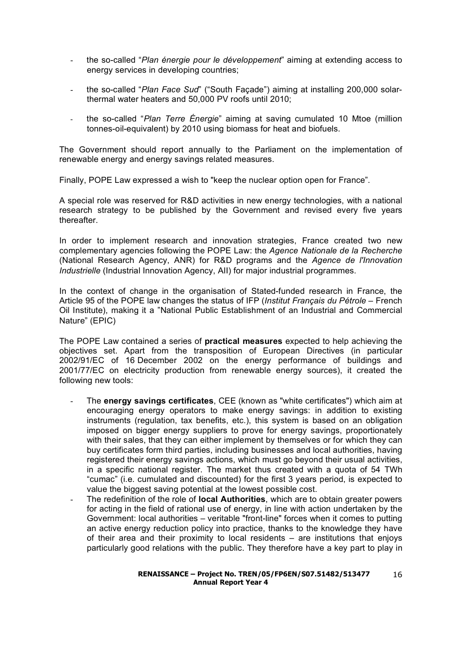- the so-called "*Plan énergie pour le développement*" aiming at extending access to energy services in developing countries;
- the so-called "*Plan Face Sud*" ("South Façade") aiming at installing 200,000 solarthermal water heaters and 50,000 PV roofs until 2010;
- the so-called "*Plan Terre Énergie*" aiming at saving cumulated 10 Mtoe (million tonnes-oil-equivalent) by 2010 using biomass for heat and biofuels.

The Government should report annually to the Parliament on the implementation of renewable energy and energy savings related measures.

Finally, POPE Law expressed a wish to "keep the nuclear option open for France".

A special role was reserved for R&D activities in new energy technologies, with a national research strategy to be published by the Government and revised every five years thereafter.

In order to implement research and innovation strategies, France created two new complementary agencies following the POPE Law: the *Agence Nationale de la Recherche* (National Research Agency, ANR) for R&D programs and the *Agence de l'Innovation Industrielle* (Industrial Innovation Agency, AII) for major industrial programmes.

In the context of change in the organisation of Stated-funded research in France, the Article 95 of the POPE law changes the status of IFP (*Institut Français du Pétrole* – French Oil Institute), making it a "National Public Establishment of an Industrial and Commercial Nature" (EPIC)

The POPE Law contained a series of **practical measures** expected to help achieving the objectives set. Apart from the transposition of European Directives (in particular 2002/91/EC of 16 December 2002 on the energy performance of buildings and 2001/77/EC on electricity production from renewable energy sources), it created the following new tools:

- The **energy savings certificates**, CEE (known as "white certificates") which aim at encouraging energy operators to make energy savings: in addition to existing instruments (regulation, tax benefits, etc.), this system is based on an obligation imposed on bigger energy suppliers to prove for energy savings, proportionately with their sales, that they can either implement by themselves or for which they can buy certificates form third parties, including businesses and local authorities, having registered their energy savings actions, which must go beyond their usual activities, in a specific national register. The market thus created with a quota of 54 TWh "cumac" (i.e. cumulated and discounted) for the first 3 years period, is expected to value the biggest saving potential at the lowest possible cost.
- The redefinition of the role of **local Authorities**, which are to obtain greater powers for acting in the field of rational use of energy, in line with action undertaken by the Government: local authorities – veritable "front-line" forces when it comes to putting an active energy reduction policy into practice, thanks to the knowledge they have of their area and their proximity to local residents – are institutions that enjoys particularly good relations with the public. They therefore have a key part to play in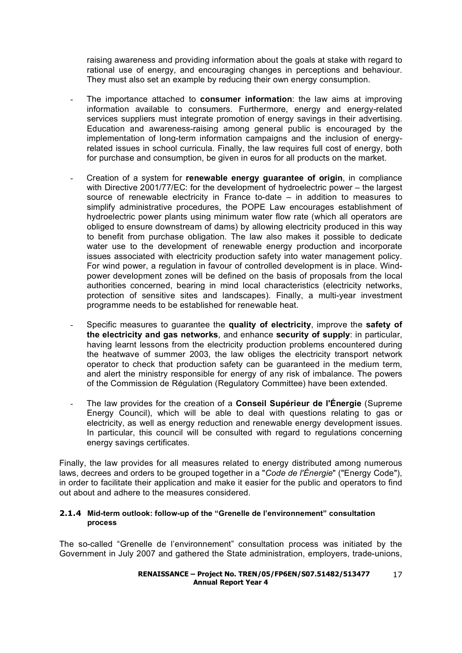raising awareness and providing information about the goals at stake with regard to rational use of energy, and encouraging changes in perceptions and behaviour. They must also set an example by reducing their own energy consumption.

- The importance attached to **consumer information**: the law aims at improving information available to consumers. Furthermore, energy and energy-related services suppliers must integrate promotion of energy savings in their advertising. Education and awareness-raising among general public is encouraged by the implementation of long-term information campaigns and the inclusion of energyrelated issues in school curricula. Finally, the law requires full cost of energy, both for purchase and consumption, be given in euros for all products on the market.
- Creation of a system for **renewable energy guarantee of origin**, in compliance with Directive 2001/77/EC: for the development of hydroelectric power – the largest source of renewable electricity in France to-date – in addition to measures to simplify administrative procedures, the POPE Law encourages establishment of hydroelectric power plants using minimum water flow rate (which all operators are obliged to ensure downstream of dams) by allowing electricity produced in this way to benefit from purchase obligation. The law also makes it possible to dedicate water use to the development of renewable energy production and incorporate issues associated with electricity production safety into water management policy. For wind power, a regulation in favour of controlled development is in place. Windpower development zones will be defined on the basis of proposals from the local authorities concerned, bearing in mind local characteristics (electricity networks, protection of sensitive sites and landscapes). Finally, a multi-year investment programme needs to be established for renewable heat.
- Specific measures to guarantee the **quality of electricity**, improve the **safety of the electricity and gas networks**, and enhance **security of supply**: in particular, having learnt lessons from the electricity production problems encountered during the heatwave of summer 2003, the law obliges the electricity transport network operator to check that production safety can be guaranteed in the medium term, and alert the ministry responsible for energy of any risk of imbalance. The powers of the Commission de Régulation (Regulatory Committee) have been extended.
- The law provides for the creation of a **Conseil Supérieur de l'Énergie** (Supreme Energy Council), which will be able to deal with questions relating to gas or electricity, as well as energy reduction and renewable energy development issues. In particular, this council will be consulted with regard to regulations concerning energy savings certificates.

Finally, the law provides for all measures related to energy distributed among numerous laws, decrees and orders to be grouped together in a "*Code de l'Énergie*" ("Energy Code"), in order to facilitate their application and make it easier for the public and operators to find out about and adhere to the measures considered.

#### **2.1.4 Mid-term outlook: follow-up of the "Grenelle de l'environnement" consultation process**

The so-called "Grenelle de l'environnement" consultation process was initiated by the Government in July 2007 and gathered the State administration, employers, trade-unions,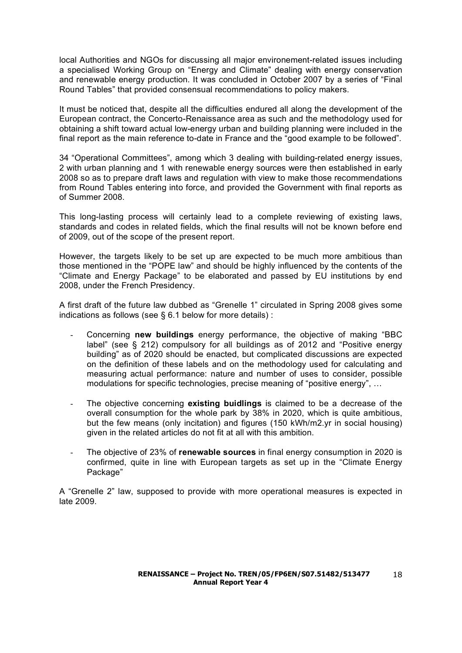local Authorities and NGOs for discussing all major environement-related issues including a specialised Working Group on "Energy and Climate" dealing with energy conservation and renewable energy production. It was concluded in October 2007 by a series of "Final Round Tables" that provided consensual recommendations to policy makers.

It must be noticed that, despite all the difficulties endured all along the development of the European contract, the Concerto-Renaissance area as such and the methodology used for obtaining a shift toward actual low-energy urban and building planning were included in the final report as the main reference to-date in France and the "good example to be followed".

34 "Operational Committees", among which 3 dealing with building-related energy issues, 2 with urban planning and 1 with renewable energy sources were then established in early 2008 so as to prepare draft laws and regulation with view to make those recommendations from Round Tables entering into force, and provided the Government with final reports as of Summer 2008.

This long-lasting process will certainly lead to a complete reviewing of existing laws, standards and codes in related fields, which the final results will not be known before end of 2009, out of the scope of the present report.

However, the targets likely to be set up are expected to be much more ambitious than those mentioned in the "POPE law" and should be highly influenced by the contents of the "Climate and Energy Package" to be elaborated and passed by EU institutions by end 2008, under the French Presidency.

A first draft of the future law dubbed as "Grenelle 1" circulated in Spring 2008 gives some indications as follows (see § 6.1 below for more details) :

- Concerning **new buildings** energy performance, the objective of making "BBC label" (see § 212) compulsory for all buildings as of 2012 and "Positive energy building" as of 2020 should be enacted, but complicated discussions are expected on the definition of these labels and on the methodology used for calculating and measuring actual performance: nature and number of uses to consider, possible modulations for specific technologies, precise meaning of "positive energy", …
- The objective concerning **existing buidlings** is claimed to be a decrease of the overall consumption for the whole park by 38% in 2020, which is quite ambitious, but the few means (only incitation) and figures (150 kWh/m2.yr in social housing) given in the related articles do not fit at all with this ambition.
- The objective of 23% of **renewable sources** in final energy consumption in 2020 is confirmed, quite in line with European targets as set up in the "Climate Energy Package"

A "Grenelle 2" law, supposed to provide with more operational measures is expected in late 2009.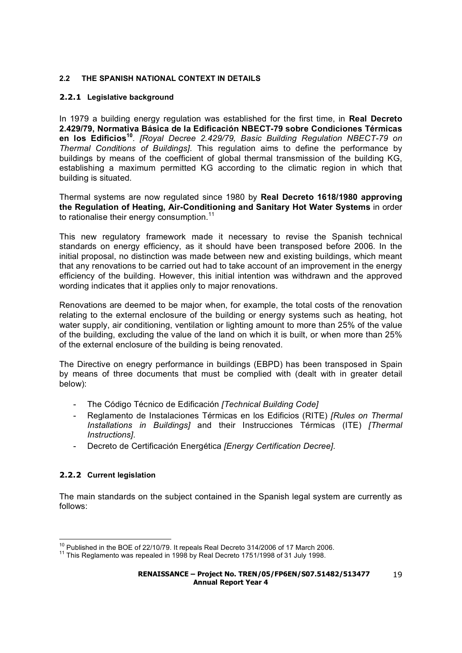#### **2.2 THE SPANISH NATIONAL CONTEXT IN DETAILS**

#### **2.2.1 Legislative background**

In 1979 a building energy regulation was established for the first time, in **Real Decreto 2.429/79, Normativa Básica de la Edificación NBECT-79 sobre Condiciones Térmicas en los Edificios<sup>10</sup>**. *[Royal Decree 2.429/79, Basic Building Regulation NBECT-79 on Thermal Conditions of Buildings]*. This regulation aims to define the performance by buildings by means of the coefficient of global thermal transmission of the building KG, establishing a maximum permitted KG according to the climatic region in which that building is situated.

Thermal systems are now regulated since 1980 by **Real Decreto 1618/1980 approving the Regulation of Heating, Air-Conditioning and Sanitary Hot Water Systems** in order to rationalise their energy consumption.<sup>11</sup>

This new regulatory framework made it necessary to revise the Spanish technical standards on energy efficiency, as it should have been transposed before 2006. In the initial proposal, no distinction was made between new and existing buildings, which meant that any renovations to be carried out had to take account of an improvement in the energy efficiency of the building. However, this initial intention was withdrawn and the approved wording indicates that it applies only to major renovations.

Renovations are deemed to be major when, for example, the total costs of the renovation relating to the external enclosure of the building or energy systems such as heating, hot water supply, air conditioning, ventilation or lighting amount to more than 25% of the value of the building, excluding the value of the land on which it is built, or when more than 25% of the external enclosure of the building is being renovated.

The Directive on enegry performance in buildings (EBPD) has been transposed in Spain by means of three documents that must be complied with (dealt with in greater detail below):

- The Código Técnico de Edificación *[Technical Building Code]*
- Reglamento de Instalaciones Térmicas en los Edificios (RITE) *[Rules on Thermal Installations in Buildings]* and their Instrucciones Térmicas (ITE) *[Thermal Instructions]*.
- Decreto de Certificación Energética *[Energy Certification Decree]*.

#### **2.2.2 Current legislation**

The main standards on the subject contained in the Spanish legal system are currently as follows:

<sup>&</sup>lt;sup>10</sup> Published in the BOE of 22/10/79. It repeals Real Decreto 314/2006 of 17 March 2006.<br><sup>11</sup> This Reglamento was repealed in 1998 by Real Decreto 1751/1998 of 31 July 1998.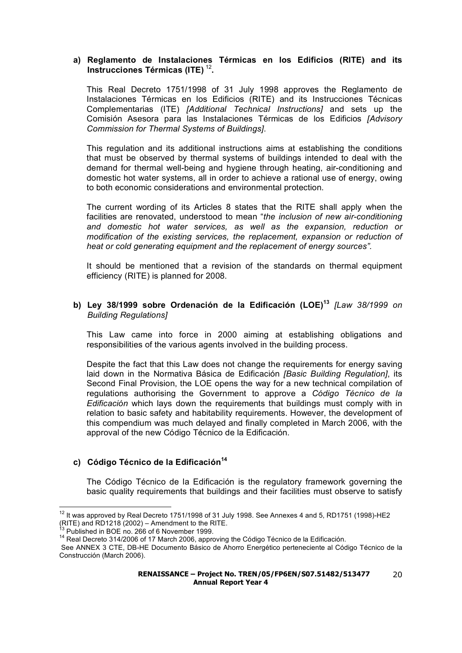#### **a) Reglamento de Instalaciones Térmicas en los Edificios (RITE) and its Instrucciones Térmicas (ITE)** <sup>12</sup>**.**

This Real Decreto 1751/1998 of 31 July 1998 approves the Reglamento de Instalaciones Térmicas en los Edificios (RITE) and its Instrucciones Técnicas Complementarias (ITE) *[Additional Technical Instructions]* and sets up the Comisión Asesora para las Instalaciones Térmicas de los Edificios *[Advisory Commission for Thermal Systems of Buildings]*.

This regulation and its additional instructions aims at establishing the conditions that must be observed by thermal systems of buildings intended to deal with the demand for thermal well-being and hygiene through heating, air-conditioning and domestic hot water systems, all in order to achieve a rational use of energy, owing to both economic considerations and environmental protection.

The current wording of its Articles 8 states that the RITE shall apply when the facilities are renovated, understood to mean "*the inclusion of new air-conditioning and domestic hot water services, as well as the expansion, reduction or modification of the existing services, the replacement, expansion or reduction of heat or cold generating equipment and the replacement of energy sources".*

It should be mentioned that a revision of the standards on thermal equipment efficiency (RITE) is planned for 2008.

#### **b) Ley 38/1999 sobre Ordenación de la Edificación (LOE)<sup>13</sup>** *[Law 38/1999 on Building Regulations]*

This Law came into force in 2000 aiming at establishing obligations and responsibilities of the various agents involved in the building process.

Despite the fact that this Law does not change the requirements for energy saving laid down in the Normativa Básica de Edificación *[Basic Building Regulation]*, its Second Final Provision, the LOE opens the way for a new technical compilation of regulations authorising the Government to approve a *Código Técnico de la Edificación* which lays down the requirements that buildings must comply with in relation to basic safety and habitability requirements. However, the development of this compendium was much delayed and finally completed in March 2006, with the approval of the new Código Técnico de la Edificación.

#### **c) Código Técnico de la Edificación<sup>14</sup>**

The Código Técnico de la Edificación is the regulatory framework governing the basic quality requirements that buildings and their facilities must observe to satisfy

 $12$  It was approved by Real Decreto 1751/1998 of 31 July 1998. See Annexes 4 and 5, RD1751 (1998)-HE2 (RITE) and RD1218 (2002) – Amendment to the RITE.

<sup>&</sup>lt;sup>13</sup> Published in BOE no. 266 of 6 November 1999.<br><sup>14</sup> Real Decreto 314/2006 of 17 March 2006, approving the Código Técnico de la Edificación.

See ANNEX 3 CTE, DB-HE Documento Básico de Ahorro Energético perteneciente al Código Técnico de la Construcción (March 2006).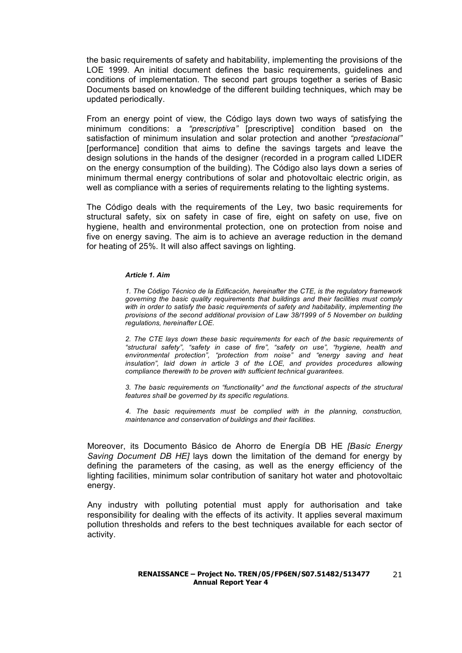the basic requirements of safety and habitability, implementing the provisions of the LOE 1999. An initial document defines the basic requirements, guidelines and conditions of implementation. The second part groups together a series of Basic Documents based on knowledge of the different building techniques, which may be updated periodically.

From an energy point of view, the Código lays down two ways of satisfying the minimum conditions: a *"prescriptiva"* [prescriptive] condition based on the satisfaction of minimum insulation and solar protection and another *"prestacional"* [performance] condition that aims to define the savings targets and leave the design solutions in the hands of the designer (recorded in a program called LIDER on the energy consumption of the building). The Código also lays down a series of minimum thermal energy contributions of solar and photovoltaic electric origin, as well as compliance with a series of requirements relating to the lighting systems.

The Código deals with the requirements of the Ley, two basic requirements for structural safety, six on safety in case of fire, eight on safety on use, five on hygiene, health and environmental protection, one on protection from noise and five on energy saving. The aim is to achieve an average reduction in the demand for heating of 25%. It will also affect savings on lighting.

#### *Article 1. Aim*

*1. The Código Técnico de la Edificación, hereinafter the CTE, is the regulatory framework governing the basic quality requirements that buildings and their facilities must comply with in order to satisfy the basic requirements of safety and habitability, implementing the provisions of the second additional provision of Law 38/1999 of 5 November on building regulations, hereinafter LOE.*

*2. The CTE lays down these basic requirements for each of the basic requirements of "structural safety", "safety in case of fire", "safety on use", "hygiene, health and environmental protection", "protection from noise" and "energy saving and heat insulation", laid down in article 3 of the LOE, and provides procedures allowing compliance therewith to be proven with sufficient technical guarantees.*

*3. The basic requirements on "functionality" and the functional aspects of the structural features shall be governed by its specific regulations.*

*4. The basic requirements must be complied with in the planning, construction, maintenance and conservation of buildings and their facilities.*

Moreover, its Documento Básico de Ahorro de Energía DB HE *[Basic Energy Saving Document DB HE]* lays down the limitation of the demand for energy by defining the parameters of the casing, as well as the energy efficiency of the lighting facilities, minimum solar contribution of sanitary hot water and photovoltaic energy.

Any industry with polluting potential must apply for authorisation and take responsibility for dealing with the effects of its activity. It applies several maximum pollution thresholds and refers to the best techniques available for each sector of activity.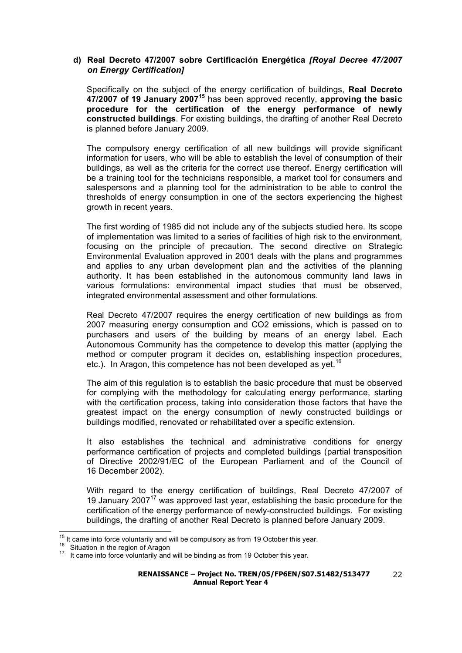#### **d) Real Decreto 47/2007 sobre Certificación Energética** *[Royal Decree 47/2007 on Energy Certification]*

Specifically on the subject of the energy certification of buildings, **Real Decreto 47/2007 of 19 January 2007<sup>15</sup>** has been approved recently, **approving the basic procedure for the certification of the energy performance of newly constructed buildings**. For existing buildings, the drafting of another Real Decreto is planned before January 2009.

The compulsory energy certification of all new buildings will provide significant information for users, who will be able to establish the level of consumption of their buildings, as well as the criteria for the correct use thereof. Energy certification will be a training tool for the technicians responsible, a market tool for consumers and salespersons and a planning tool for the administration to be able to control the thresholds of energy consumption in one of the sectors experiencing the highest growth in recent years.

The first wording of 1985 did not include any of the subjects studied here. Its scope of implementation was limited to a series of facilities of high risk to the environment, focusing on the principle of precaution. The second directive on Strategic Environmental Evaluation approved in 2001 deals with the plans and programmes and applies to any urban development plan and the activities of the planning authority. It has been established in the autonomous community land laws in various formulations: environmental impact studies that must be observed, integrated environmental assessment and other formulations.

Real Decreto 47/2007 requires the energy certification of new buildings as from 2007 measuring energy consumption and CO2 emissions, which is passed on to purchasers and users of the building by means of an energy label. Each Autonomous Community has the competence to develop this matter (applying the method or computer program it decides on, establishing inspection procedures, etc.). In Aragon, this competence has not been developed as yet.<sup>16</sup>

The aim of this regulation is to establish the basic procedure that must be observed for complying with the methodology for calculating energy performance, starting with the certification process, taking into consideration those factors that have the greatest impact on the energy consumption of newly constructed buildings or buildings modified, renovated or rehabilitated over a specific extension.

It also establishes the technical and administrative conditions for energy performance certification of projects and completed buildings (partial transposition of Directive 2002/91/EC of the European Parliament and of the Council of 16 December 2002).

With regard to the energy certification of buildings, Real Decreto 47/2007 of 19 January 2007 $17$  was approved last year, establishing the basic procedure for the certification of the energy performance of newly-constructed buildings. For existing buildings, the drafting of another Real Decreto is planned before January 2009.

<sup>&</sup>lt;sup>15</sup> It came into force voluntarily and will be compulsory as from 19 October this year.<br><sup>16</sup> Situation in the region of Aragon 17 It came into force voluntarily and will be binding as from 19 October this year.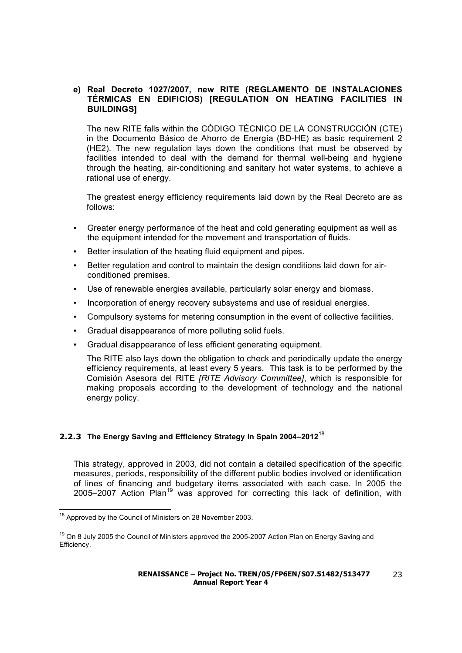#### **e) Real Decreto 1027/2007, new RITE (REGLAMENTO DE INSTALACIONES TÉRMICAS EN EDIFICIOS) [REGULATION ON HEATING FACILITIES IN BUILDINGS]**

The new RITE falls within the CÓDIGO TÉCNICO DE LA CONSTRUCCIÓN (CTE) in the Documento Básico de Ahorro de Energía (BD-HE) as basic requirement 2 (HE2). The new regulation lays down the conditions that must be observed by facilities intended to deal with the demand for thermal well-being and hygiene through the heating, air-conditioning and sanitary hot water systems, to achieve a rational use of energy.

The greatest energy efficiency requirements laid down by the Real Decreto are as follows:

- Greater energy performance of the heat and cold generating equipment as well as the equipment intended for the movement and transportation of fluids.
- Better insulation of the heating fluid equipment and pipes.
- Better regulation and control to maintain the design conditions laid down for airconditioned premises.
- Use of renewable energies available, particularly solar energy and biomass.
- Incorporation of energy recovery subsystems and use of residual energies.
- Compulsory systems for metering consumption in the event of collective facilities.
- Gradual disappearance of more polluting solid fuels.
- Gradual disappearance of less efficient generating equipment.

The RITE also lays down the obligation to check and periodically update the energy efficiency requirements, at least every 5 years. This task is to be performed by the Comisión Asesora del RITE *[RITE Advisory Committee]*, which is responsible for making proposals according to the development of technology and the national energy policy.

#### **2.2.3 The Energy Saving and Efficiency Strategy in Spain 2004–2012**<sup>18</sup>

This strategy, approved in 2003, did not contain a detailed specification of the specific measures, periods, responsibility of the different public bodies involved or identification of lines of financing and budgetary items associated with each case. In 2005 the 2005–2007 Action  $Plan^{19}$  was approved for correcting this lack of definition, with

<sup>&</sup>lt;sup>18</sup> Approved by the Council of Ministers on 28 November 2003.

<sup>&</sup>lt;sup>19</sup> On 8 July 2005 the Council of Ministers approved the 2005-2007 Action Plan on Energy Saving and Efficiency.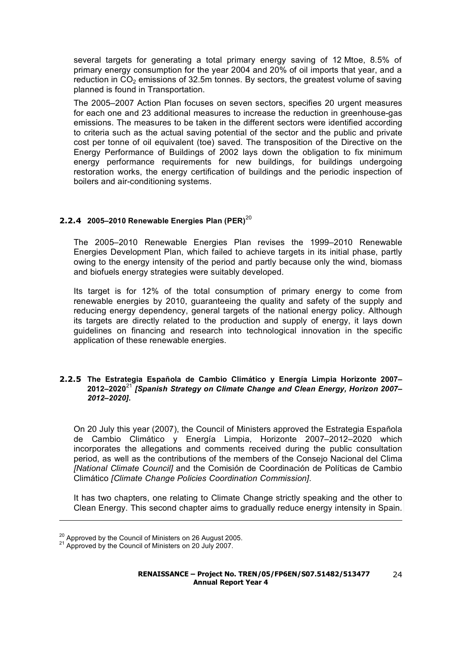several targets for generating a total primary energy saving of 12 Mtoe, 8.5% of primary energy consumption for the year 2004 and 20% of oil imports that year, and a reduction in  $CO<sub>2</sub>$  emissions of 32.5m tonnes. By sectors, the greatest volume of saving planned is found in Transportation.

The 2005–2007 Action Plan focuses on seven sectors, specifies 20 urgent measures for each one and 23 additional measures to increase the reduction in greenhouse-gas emissions. The measures to be taken in the different sectors were identified according to criteria such as the actual saving potential of the sector and the public and private cost per tonne of oil equivalent (toe) saved. The transposition of the Directive on the Energy Performance of Buildings of 2002 lays down the obligation to fix minimum energy performance requirements for new buildings, for buildings undergoing restoration works, the energy certification of buildings and the periodic inspection of boilers and air-conditioning systems.

### **2.2.4 2005–2010 Renewable Energies Plan (PER)**<sup>20</sup>

The 2005–2010 Renewable Energies Plan revises the 1999–2010 Renewable Energies Development Plan, which failed to achieve targets in its initial phase, partly owing to the energy intensity of the period and partly because only the wind, biomass and biofuels energy strategies were suitably developed.

Its target is for 12% of the total consumption of primary energy to come from renewable energies by 2010, guaranteeing the quality and safety of the supply and reducing energy dependency, general targets of the national energy policy. Although its targets are directly related to the production and supply of energy, it lays down guidelines on financing and research into technological innovation in the specific application of these renewable energies.

#### **2.2.5 The Estrategia Española de Cambio Climático y Energía Limpia Horizonte 2007– 2012–2020**<sup>21</sup> *[Spanish Strategy on Climate Change and Clean Energy, Horizon 2007– 2012–2020]***.**

On 20 July this year (2007), the Council of Ministers approved the Estrategia Española de Cambio Climático y Energía Limpia, Horizonte 2007–2012–2020 which incorporates the allegations and comments received during the public consultation period, as well as the contributions of the members of the Consejo Nacional del Clima *[National Climate Council]* and the Comisión de Coordinación de Políticas de Cambio Climático *[Climate Change Policies Coordination Commission]*.

It has two chapters, one relating to Climate Change strictly speaking and the other to Clean Energy. This second chapter aims to gradually reduce energy intensity in Spain.

-

<sup>&</sup>lt;sup>20</sup> Approved by the Council of Ministers on 26 August 2005.<br><sup>21</sup> Approved by the Council of Ministers on 20 July 2007.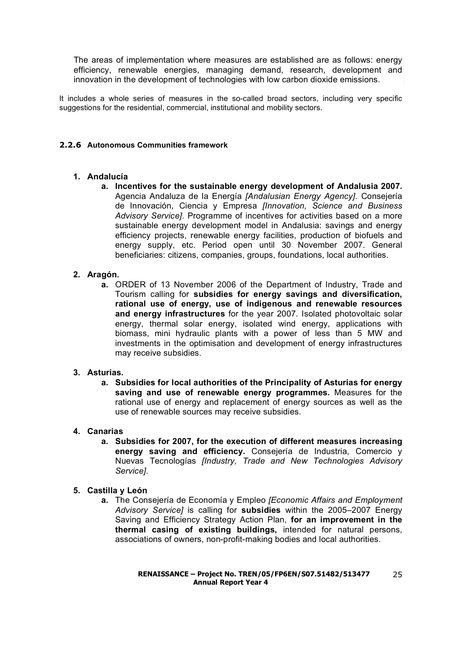The areas of implementation where measures are established are as follows: energy efficiency, renewable energies, managing demand, research, development and innovation in the development of technologies with low carbon dioxide emissions.

It includes a whole series of measures in the so-called broad sectors, including very specific suggestions for the residential, commercial, institutional and mobility sectors.

#### **2.2.6 Autonomous Communities framework**

#### **1. Andalucía**

**a. Incentives for the sustainable energy development of Andalusia 2007.**  Agencia Andaluza de la Energía *[Andalusian Energy Agency]*. Consejería de Innovación, Ciencia y Empresa *[Innovation, Science and Business Advisory Service]*. Programme of incentives for activities based on a more sustainable energy development model in Andalusia: savings and energy efficiency projects, renewable energy facilities, production of biofuels and energy supply, etc. Period open until 30 November 2007. General beneficiaries: citizens, companies, groups, foundations, local authorities.

#### **2. Aragón.**

**a.** ORDER of 13 November 2006 of the Department of Industry, Trade and Tourism calling for **subsidies for energy savings and diversification, rational use of energy, use of indigenous and renewable resources and energy infrastructures** for the year 2007. Isolated photovoltaic solar energy, thermal solar energy, isolated wind energy, applications with biomass, mini hydraulic plants with a power of less than 5 MW and investments in the optimisation and development of energy infrastructures may receive subsidies.

#### **3. Asturias.**

**a. Subsidies for local authorities of the Principality of Asturias for energy saving and use of renewable energy programmes.** Measures for the rational use of energy and replacement of energy sources as well as the use of renewable sources may receive subsidies.

#### **4. Canarias**

**a. Subsidies for 2007, for the execution of different measures increasing energy saving and efficiency.** Consejería de Industria, Comercio y Nuevas Tecnologías *[Industry, Trade and New Technologies Advisory Service]*.

#### **5. Castilla y León**

**a.** The Consejería de Economía y Empleo *[Economic Affairs and Employment Advisory Service]* is calling for **subsidies** within the 2005–2007 Energy Saving and Efficiency Strategy Action Plan, **for an improvement in the thermal casing of existing buildings,** intended for natural persons, associations of owners, non-profit-making bodies and local authorities.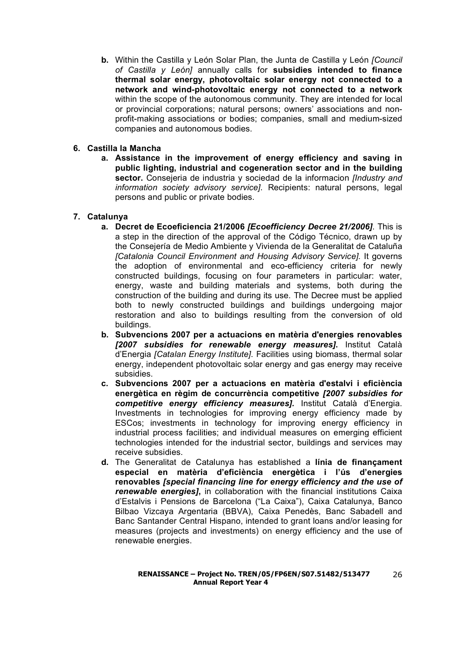**b.** Within the Castilla y León Solar Plan, the Junta de Castilla y León *[Council of Castilla y León]* annually calls for **subsidies intended to finance thermal solar energy, photovoltaic solar energy not connected to a network and wind-photovoltaic energy not connected to a network**  within the scope of the autonomous community. They are intended for local or provincial corporations; natural persons; owners' associations and nonprofit-making associations or bodies; companies, small and medium-sized companies and autonomous bodies.

#### **6. Castilla la Mancha**

**a. Assistance in the improvement of energy efficiency and saving in public lighting, industrial and cogeneration sector and in the building sector.** Consejeria de industria y sociedad de la informacion *[Industry and information society advisory service]*. Recipients: natural persons, legal persons and public or private bodies.

### **7. Catalunya**

- **a. Decret de Ecoeficiencia 21/2006** *[Ecoefficiency Decree 21/2006]*. This is a step in the direction of the approval of the Código Técnico, drawn up by the Consejería de Medio Ambiente y Vivienda de la Generalitat de Cataluña *[Catalonia Council Environment and Housing Advisory Service].* It governs the adoption of environmental and eco-efficiency criteria for newly constructed buildings, focusing on four parameters in particular: water, energy, waste and building materials and systems, both during the construction of the building and during its use. The Decree must be applied both to newly constructed buildings and buildings undergoing major restoration and also to buildings resulting from the conversion of old buildings.
- **b. Subvencions 2007 per a actuacions en matèria d'energies renovables**  *[2007 subsidies for renewable energy measures]***.** Institut Català d'Energia *[Catalan Energy Institute]*. Facilities using biomass, thermal solar energy, independent photovoltaic solar energy and gas energy may receive subsidies.
- **c. Subvencions 2007 per a actuacions en matèria d'estalvi i eficiència energètica en règim de concurrència competitive** *[2007 subsidies for competitive energy efficiency measures].* Institut Català d'Energia. Investments in technologies for improving energy efficiency made by ESCos; investments in technology for improving energy efficiency in industrial process facilities; and individual measures on emerging efficient technologies intended for the industrial sector, buildings and services may receive subsidies.
- **d.** The Generalitat de Catalunya has established a **línia de finançament especial en matèria d'eficiència energètica i l'ús d'energies renovables** *[special financing line for energy efficiency and the use of renewable energies]***,** in collaboration with the financial institutions Caixa d'Estalvis i Pensions de Barcelona ("La Caixa"), Caixa Catalunya, Banco Bilbao Vizcaya Argentaria (BBVA), Caixa Penedès, Banc Sabadell and Banc Santander Central Hispano, intended to grant loans and/or leasing for measures (projects and investments) on energy efficiency and the use of renewable energies.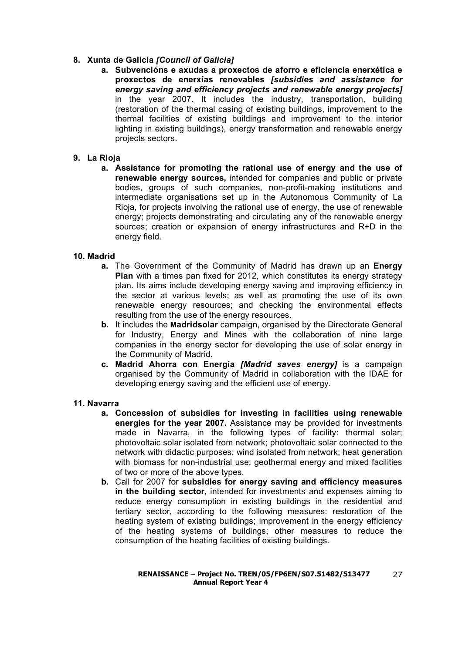#### **8. Xunta de Galicia** *[Council of Galicia]*

**a. Subvencións e axudas a proxectos de aforro e eficiencia enerxética e proxectos de enerxías renovables** *[subsidies and assistance for energy saving and efficiency projects and renewable energy projects]*  in the year 2007. It includes the industry, transportation, building (restoration of the thermal casing of existing buildings, improvement to the thermal facilities of existing buildings and improvement to the interior lighting in existing buildings), energy transformation and renewable energy projects sectors.

#### **9. La Rioja**

**a. Assistance for promoting the rational use of energy and the use of renewable energy sources,** intended for companies and public or private bodies, groups of such companies, non-profit-making institutions and intermediate organisations set up in the Autonomous Community of La Rioja, for projects involving the rational use of energy, the use of renewable energy; projects demonstrating and circulating any of the renewable energy sources; creation or expansion of energy infrastructures and R+D in the energy field.

#### **10. Madrid**

- **a.** The Government of the Community of Madrid has drawn up an **Energy Plan** with a times pan fixed for 2012, which constitutes its energy strategy plan. Its aims include developing energy saving and improving efficiency in the sector at various levels; as well as promoting the use of its own renewable energy resources; and checking the environmental effects resulting from the use of the energy resources.
- **b.** It includes the **Madridsolar** campaign, organised by the Directorate General for Industry, Energy and Mines with the collaboration of nine large companies in the energy sector for developing the use of solar energy in the Community of Madrid.
- **c. Madrid Ahorra con Energía** *[Madrid saves energy]* is a campaign organised by the Community of Madrid in collaboration with the IDAE for developing energy saving and the efficient use of energy.

#### **11. Navarra**

- **a. Concession of subsidies for investing in facilities using renewable energies for the year 2007.** Assistance may be provided for investments made in Navarra, in the following types of facility: thermal solar; photovoltaic solar isolated from network; photovoltaic solar connected to the network with didactic purposes; wind isolated from network; heat generation with biomass for non-industrial use; geothermal energy and mixed facilities of two or more of the above types.
- **b.** Call for 2007 for **subsidies for energy saving and efficiency measures in the building sector**, intended for investments and expenses aiming to reduce energy consumption in existing buildings in the residential and tertiary sector, according to the following measures: restoration of the heating system of existing buildings; improvement in the energy efficiency of the heating systems of buildings; other measures to reduce the consumption of the heating facilities of existing buildings.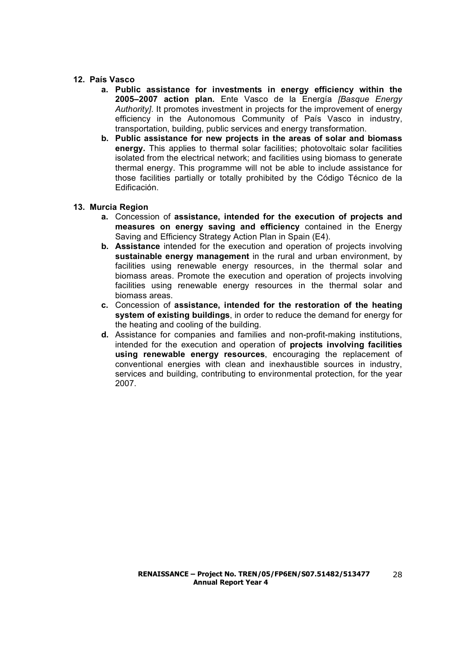#### **12. País Vasco**

- **a. Public assistance for investments in energy efficiency within the 2005–2007 action plan.** Ente Vasco de la Energía *[Basque Energy Authority]*. It promotes investment in projects for the improvement of energy efficiency in the Autonomous Community of País Vasco in industry, transportation, building, public services and energy transformation.
- **b. Public assistance for new projects in the areas of solar and biomass energy.** This applies to thermal solar facilities; photovoltaic solar facilities isolated from the electrical network; and facilities using biomass to generate thermal energy. This programme will not be able to include assistance for those facilities partially or totally prohibited by the Código Técnico de la Edificación.

#### **13. Murcia Region**

- **a.** Concession of **assistance, intended for the execution of projects and measures on energy saving and efficiency** contained in the Energy Saving and Efficiency Strategy Action Plan in Spain (E4).
- **b. Assistance** intended for the execution and operation of projects involving **sustainable energy management** in the rural and urban environment, by facilities using renewable energy resources, in the thermal solar and biomass areas. Promote the execution and operation of projects involving facilities using renewable energy resources in the thermal solar and biomass areas.
- **c.** Concession of **assistance, intended for the restoration of the heating system of existing buildings**, in order to reduce the demand for energy for the heating and cooling of the building.
- **d.** Assistance for companies and families and non-profit-making institutions, intended for the execution and operation of **projects involving facilities using renewable energy resources**, encouraging the replacement of conventional energies with clean and inexhaustible sources in industry, services and building, contributing to environmental protection, for the year 2007.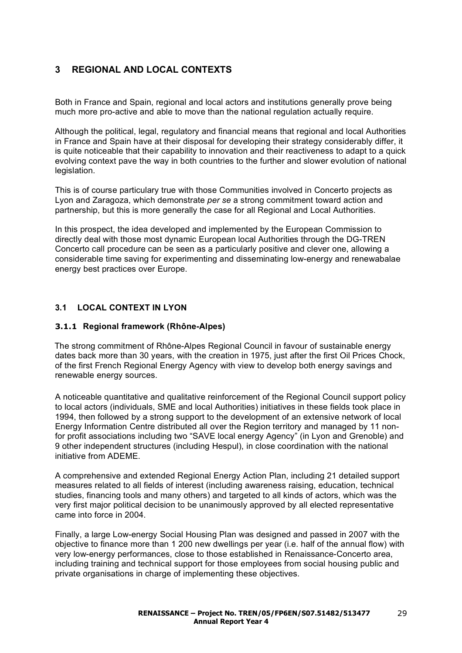## **3 REGIONAL AND LOCAL CONTEXTS**

Both in France and Spain, regional and local actors and institutions generally prove being much more pro-active and able to move than the national regulation actually require.

Although the political, legal, regulatory and financial means that regional and local Authorities in France and Spain have at their disposal for developing their strategy considerably differ, it is quite noticeable that their capability to innovation and their reactiveness to adapt to a quick evolving context pave the way in both countries to the further and slower evolution of national legislation.

This is of course particulary true with those Communities involved in Concerto projects as Lyon and Zaragoza, which demonstrate *per se* a strong commitment toward action and partnership, but this is more generally the case for all Regional and Local Authorities.

In this prospect, the idea developed and implemented by the European Commission to directly deal with those most dynamic European local Authorities through the DG-TREN Concerto call procedure can be seen as a particularly positive and clever one, allowing a considerable time saving for experimenting and disseminating low-energy and renewabalae energy best practices over Europe.

#### **3.1 LOCAL CONTEXT IN LYON**

#### **3.1.1 Regional framework (Rhône-Alpes)**

The strong commitment of Rhône-Alpes Regional Council in favour of sustainable energy dates back more than 30 years, with the creation in 1975, just after the first Oil Prices Chock, of the first French Regional Energy Agency with view to develop both energy savings and renewable energy sources.

A noticeable quantitative and qualitative reinforcement of the Regional Council support policy to local actors (individuals, SME and local Authorities) initiatives in these fields took place in 1994, then followed by a strong support to the development of an extensive network of local Energy Information Centre distributed all over the Region territory and managed by 11 nonfor profit associations including two "SAVE local energy Agency" (in Lyon and Grenoble) and 9 other independent structures (including Hespul), in close coordination with the national initiative from ADEME.

A comprehensive and extended Regional Energy Action Plan, including 21 detailed support measures related to all fields of interest (including awareness raising, education, technical studies, financing tools and many others) and targeted to all kinds of actors, which was the very first major political decision to be unanimously approved by all elected representative came into force in 2004.

Finally, a large Low-energy Social Housing Plan was designed and passed in 2007 with the objective to finance more than 1 200 new dwellings per year (i.e. half of the annual flow) with very low-energy performances, close to those established in Renaissance-Concerto area, including training and technical support for those employees from social housing public and private organisations in charge of implementing these objectives.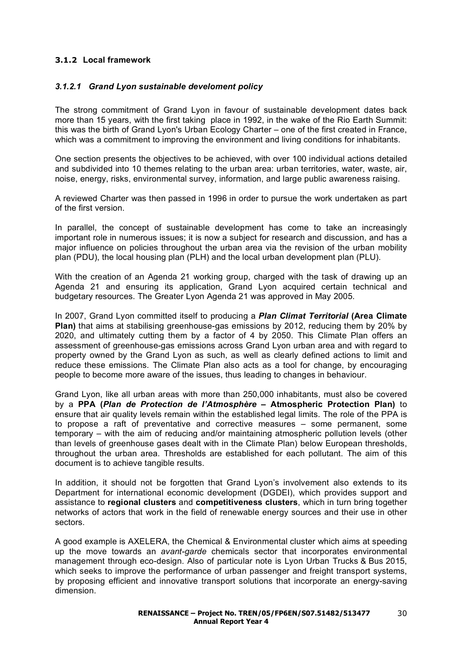### **3.1.2 Local framework**

#### *3.1.2.1 Grand Lyon sustainable develoment policy*

The strong commitment of Grand Lyon in favour of sustainable development dates back more than 15 years, with the first taking place in 1992, in the wake of the Rio Earth Summit: this was the birth of Grand Lyon's Urban Ecology Charter – one of the first created in France, which was a commitment to improving the environment and living conditions for inhabitants.

One section presents the objectives to be achieved, with over 100 individual actions detailed and subdivided into 10 themes relating to the urban area: urban territories, water, waste, air, noise, energy, risks, environmental survey, information, and large public awareness raising.

A reviewed Charter was then passed in 1996 in order to pursue the work undertaken as part of the first version.

In parallel, the concept of sustainable development has come to take an increasingly important role in numerous issues; it is now a subject for research and discussion, and has a major influence on policies throughout the urban area via the revision of the urban mobility plan (PDU), the local housing plan (PLH) and the local urban development plan (PLU).

With the creation of an Agenda 21 working group, charged with the task of drawing up an Agenda 21 and ensuring its application, Grand Lyon acquired certain technical and budgetary resources. The Greater Lyon Agenda 21 was approved in May 2005.

In 2007, Grand Lyon committed itself to producing a *Plan Climat Territorial* **(Area Climate Plan)** that aims at stabilising greenhouse-gas emissions by 2012, reducing them by 20% by 2020, and ultimately cutting them by a factor of 4 by 2050. This Climate Plan offers an assessment of greenhouse-gas emissions across Grand Lyon urban area and with regard to property owned by the Grand Lyon as such, as well as clearly defined actions to limit and reduce these emissions. The Climate Plan also acts as a tool for change, by encouraging people to become more aware of the issues, thus leading to changes in behaviour.

Grand Lyon, like all urban areas with more than 250,000 inhabitants, must also be covered by a **PPA (***Plan de Protection de l'Atmosphère* **– Atmospheric Protection Plan)** to ensure that air quality levels remain within the established legal limits. The role of the PPA is to propose a raft of preventative and corrective measures – some permanent, some temporary – with the aim of reducing and/or maintaining atmospheric pollution levels (other than levels of greenhouse gases dealt with in the Climate Plan) below European thresholds, throughout the urban area. Thresholds are established for each pollutant. The aim of this document is to achieve tangible results.

In addition, it should not be forgotten that Grand Lyon's involvement also extends to its Department for international economic development (DGDEI), which provides support and assistance to **regional clusters** and **competitiveness clusters**, which in turn bring together networks of actors that work in the field of renewable energy sources and their use in other sectors.

A good example is AXELERA, the Chemical & Environmental cluster which aims at speeding up the move towards an *avant-garde* chemicals sector that incorporates environmental management through eco-design. Also of particular note is Lyon Urban Trucks & Bus 2015, which seeks to improve the performance of urban passenger and freight transport systems, by proposing efficient and innovative transport solutions that incorporate an energy-saving dimension.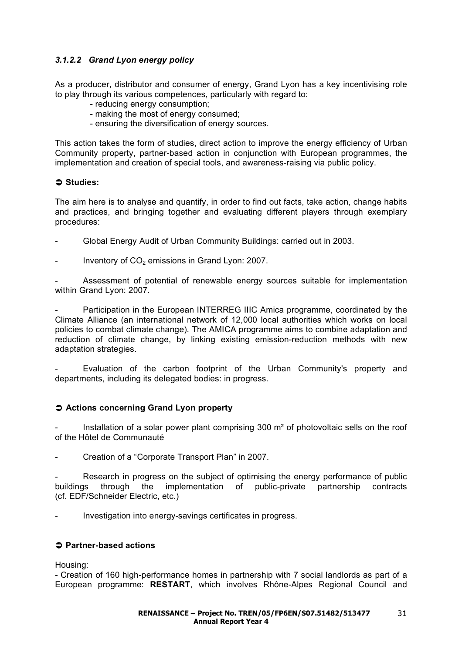## *3.1.2.2 Grand Lyon energy policy*

As a producer, distributor and consumer of energy, Grand Lyon has a key incentivising role to play through its various competences, particularly with regard to:

- reducing energy consumption;
- making the most of energy consumed;
- ensuring the diversification of energy sources.

This action takes the form of studies, direct action to improve the energy efficiency of Urban Community property, partner-based action in conjunction with European programmes, the implementation and creation of special tools, and awareness-raising via public policy.

### **Studies:**

The aim here is to analyse and quantify, in order to find out facts, take action, change habits and practices, and bringing together and evaluating different players through exemplary procedures:

- Global Energy Audit of Urban Community Buildings: carried out in 2003.
- Inventory of  $CO<sub>2</sub>$  emissions in Grand Lyon: 2007.

Assessment of potential of renewable energy sources suitable for implementation within Grand Lyon: 2007.

Participation in the European INTERREG IIIC Amica programme, coordinated by the Climate Alliance (an international network of 12,000 local authorities which works on local policies to combat climate change). The AMICA programme aims to combine adaptation and reduction of climate change, by linking existing emission-reduction methods with new adaptation strategies.

Evaluation of the carbon footprint of the Urban Community's property and departments, including its delegated bodies: in progress.

#### **Actions concerning Grand Lyon property**

Installation of a solar power plant comprising 300 m<sup>2</sup> of photovoltaic sells on the roof of the Hôtel de Communauté

Creation of a "Corporate Transport Plan" in 2007.

Research in progress on the subject of optimising the energy performance of public buildings through the implementation of public-private partnership contracts (cf. EDF/Schneider Electric, etc.)

Investigation into energy-savings certificates in progress.

#### **Partner-based actions**

Housing:

- Creation of 160 high-performance homes in partnership with 7 social landlords as part of a European programme: **RESTART**, which involves Rhône-Alpes Regional Council and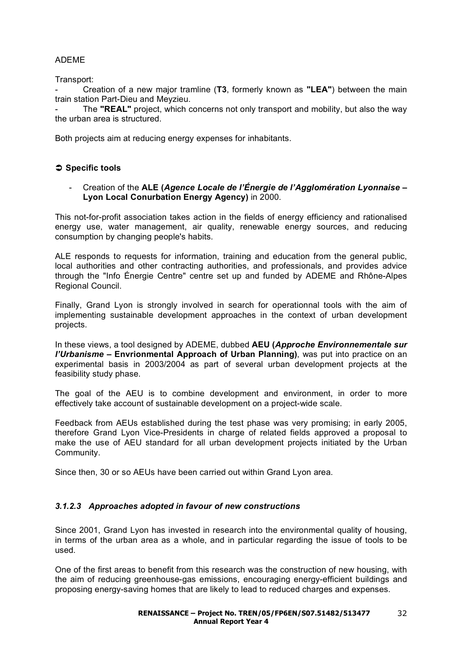## ADEME

Transport:

- Creation of a new major tramline (**T3**, formerly known as **"LEA"**) between the main train station Part-Dieu and Meyzieu.

The **"REAL"** project, which concerns not only transport and mobility, but also the way the urban area is structured.

Both projects aim at reducing energy expenses for inhabitants.

## **Specific tools**

- Creation of the **ALE (***Agence Locale de l'Énergie de l'Agglomération Lyonnaise* **– Lyon Local Conurbation Energy Agency)** in 2000.

This not-for-profit association takes action in the fields of energy efficiency and rationalised energy use, water management, air quality, renewable energy sources, and reducing consumption by changing people's habits.

ALE responds to requests for information, training and education from the general public, local authorities and other contracting authorities, and professionals, and provides advice through the "Info Énergie Centre" centre set up and funded by ADEME and Rhône-Alpes Regional Council.

Finally, Grand Lyon is strongly involved in search for operationnal tools with the aim of implementing sustainable development approaches in the context of urban development projects.

In these views, a tool designed by ADEME, dubbed **AEU (***Approche Environnementale sur l'Urbanisme* **– Envrionmental Approach of Urban Planning)**, was put into practice on an experimental basis in 2003/2004 as part of several urban development projects at the feasibility study phase.

The goal of the AEU is to combine development and environment, in order to more effectively take account of sustainable development on a project-wide scale.

Feedback from AEUs established during the test phase was very promising; in early 2005, therefore Grand Lyon Vice-Presidents in charge of related fields approved a proposal to make the use of AEU standard for all urban development projects initiated by the Urban Community.

Since then, 30 or so AEUs have been carried out within Grand Lyon area.

#### *3.1.2.3 Approaches adopted in favour of new constructions*

Since 2001, Grand Lyon has invested in research into the environmental quality of housing, in terms of the urban area as a whole, and in particular regarding the issue of tools to be used.

One of the first areas to benefit from this research was the construction of new housing, with the aim of reducing greenhouse-gas emissions, encouraging energy-efficient buildings and proposing energy-saving homes that are likely to lead to reduced charges and expenses.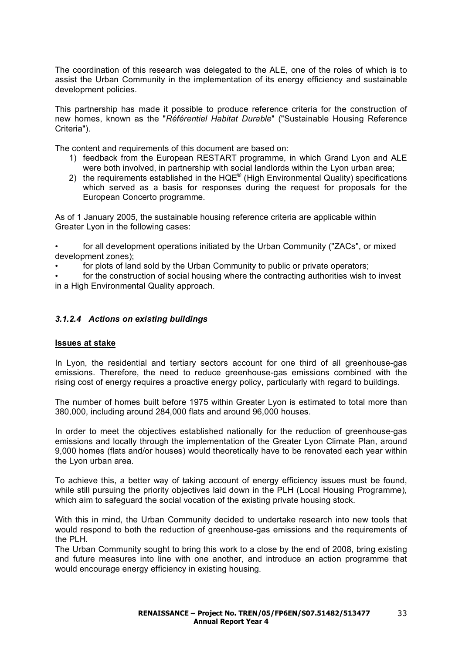The coordination of this research was delegated to the ALE, one of the roles of which is to assist the Urban Community in the implementation of its energy efficiency and sustainable development policies.

This partnership has made it possible to produce reference criteria for the construction of new homes, known as the "*Référentiel Habitat Durable*" ("Sustainable Housing Reference Criteria").

The content and requirements of this document are based on:

- 1) feedback from the European RESTART programme, in which Grand Lyon and ALE were both involved, in partnership with social landlords within the Lyon urban area;
- 2) the requirements established in the  $HQE^{\circledast}$  (High Environmental Quality) specifications which served as a basis for responses during the request for proposals for the European Concerto programme.

As of 1 January 2005, the sustainable housing reference criteria are applicable within Greater Lyon in the following cases:

• for all development operations initiated by the Urban Community ("ZACs", or mixed development zones);

• for plots of land sold by the Urban Community to public or private operators;

for the construction of social housing where the contracting authorities wish to invest in a High Environmental Quality approach.

### *3.1.2.4 Actions on existing buildings*

#### **Issues at stake**

In Lyon, the residential and tertiary sectors account for one third of all greenhouse-gas emissions. Therefore, the need to reduce greenhouse-gas emissions combined with the rising cost of energy requires a proactive energy policy, particularly with regard to buildings.

The number of homes built before 1975 within Greater Lyon is estimated to total more than 380,000, including around 284,000 flats and around 96,000 houses.

In order to meet the objectives established nationally for the reduction of greenhouse-gas emissions and locally through the implementation of the Greater Lyon Climate Plan, around 9,000 homes (flats and/or houses) would theoretically have to be renovated each year within the Lyon urban area.

To achieve this, a better way of taking account of energy efficiency issues must be found, while still pursuing the priority objectives laid down in the PLH (Local Housing Programme), which aim to safeguard the social vocation of the existing private housing stock.

With this in mind, the Urban Community decided to undertake research into new tools that would respond to both the reduction of greenhouse-gas emissions and the requirements of the PLH.

The Urban Community sought to bring this work to a close by the end of 2008, bring existing and future measures into line with one another, and introduce an action programme that would encourage energy efficiency in existing housing.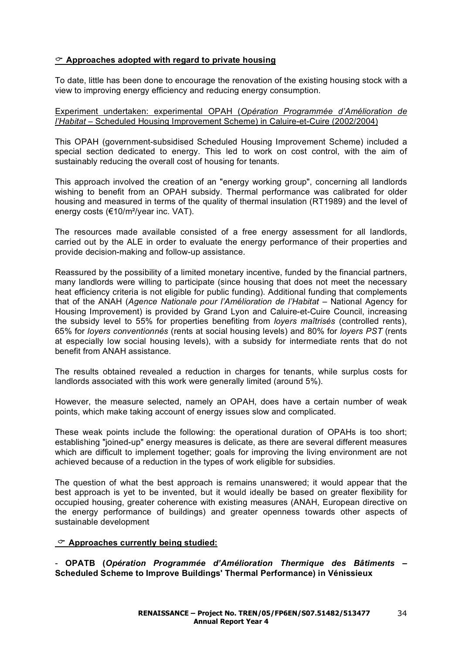## **Approaches adopted with regard to private housing**

To date, little has been done to encourage the renovation of the existing housing stock with a view to improving energy efficiency and reducing energy consumption.

Experiment undertaken: experimental OPAH (*Opération Programmée d'Amélioration de l'Habitat* – Scheduled Housing Improvement Scheme) in Caluire-et-Cuire (2002/2004)

This OPAH (government-subsidised Scheduled Housing Improvement Scheme) included a special section dedicated to energy. This led to work on cost control, with the aim of sustainably reducing the overall cost of housing for tenants.

This approach involved the creation of an "energy working group", concerning all landlords wishing to benefit from an OPAH subsidy. Thermal performance was calibrated for older housing and measured in terms of the quality of thermal insulation (RT1989) and the level of energy costs (€10/m²/year inc. VAT).

The resources made available consisted of a free energy assessment for all landlords, carried out by the ALE in order to evaluate the energy performance of their properties and provide decision-making and follow-up assistance.

Reassured by the possibility of a limited monetary incentive, funded by the financial partners, many landlords were willing to participate (since housing that does not meet the necessary heat efficiency criteria is not eligible for public funding). Additional funding that complements that of the ANAH (*Agence Nationale pour l'Amélioration de l'Habitat* – National Agency for Housing Improvement) is provided by Grand Lyon and Caluire-et-Cuire Council, increasing the subsidy level to 55% for properties benefiting from *loyers maîtrisés* (controlled rents), 65% for *loyers conventionnés* (rents at social housing levels) and 80% for *loyers PST* (rents at especially low social housing levels), with a subsidy for intermediate rents that do not benefit from ANAH assistance.

The results obtained revealed a reduction in charges for tenants, while surplus costs for landlords associated with this work were generally limited (around 5%).

However, the measure selected, namely an OPAH, does have a certain number of weak points, which make taking account of energy issues slow and complicated.

These weak points include the following: the operational duration of OPAHs is too short; establishing "joined-up" energy measures is delicate, as there are several different measures which are difficult to implement together; goals for improving the living environment are not achieved because of a reduction in the types of work eligible for subsidies.

The question of what the best approach is remains unanswered; it would appear that the best approach is yet to be invented, but it would ideally be based on greater flexibility for occupied housing, greater coherence with existing measures (ANAH, European directive on the energy performance of buildings) and greater openness towards other aspects of sustainable development

#### **Approaches currently being studied:**

- **OPATB (***Opération Programmée d'Amélioration Thermique des Bâtiments* **– Scheduled Scheme to Improve Buildings' Thermal Performance) in Vénissieux**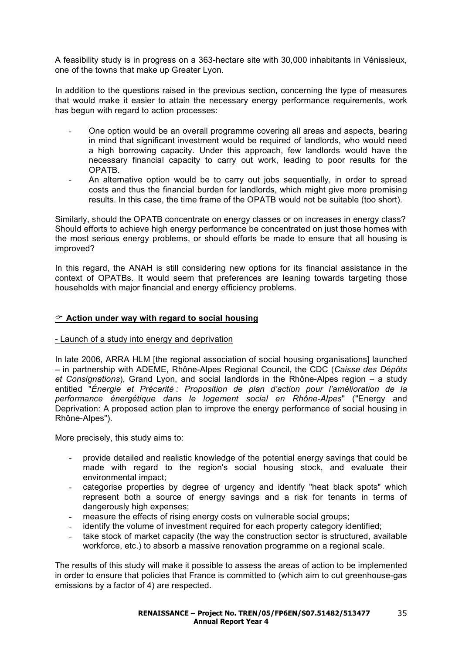A feasibility study is in progress on a 363-hectare site with 30,000 inhabitants in Vénissieux, one of the towns that make up Greater Lyon.

In addition to the questions raised in the previous section, concerning the type of measures that would make it easier to attain the necessary energy performance requirements, work has begun with regard to action processes:

- One option would be an overall programme covering all areas and aspects, bearing in mind that significant investment would be required of landlords, who would need a high borrowing capacity. Under this approach, few landlords would have the necessary financial capacity to carry out work, leading to poor results for the OPATB.
- An alternative option would be to carry out jobs sequentially, in order to spread costs and thus the financial burden for landlords, which might give more promising results. In this case, the time frame of the OPATB would not be suitable (too short).

Similarly, should the OPATB concentrate on energy classes or on increases in energy class? Should efforts to achieve high energy performance be concentrated on just those homes with the most serious energy problems, or should efforts be made to ensure that all housing is improved?

In this regard, the ANAH is still considering new options for its financial assistance in the context of OPATBs. It would seem that preferences are leaning towards targeting those households with major financial and energy efficiency problems.

#### **Action under way with regard to social housing**

#### - Launch of a study into energy and deprivation

In late 2006, ARRA HLM [the regional association of social housing organisations] launched – in partnership with ADEME, Rhône-Alpes Regional Council, the CDC (*Caisse des Dépôts et Consignations*), Grand Lyon, and social landlords in the Rhône-Alpes region – a study entitled "*Énergie et Précarité : Proposition de plan d'action pour l'amélioration de la performance énergétique dans le logement social en Rhône-Alpes*" ("Energy and Deprivation: A proposed action plan to improve the energy performance of social housing in Rhône-Alpes").

More precisely, this study aims to:

- provide detailed and realistic knowledge of the potential energy savings that could be made with regard to the region's social housing stock, and evaluate their environmental impact;
- categorise properties by degree of urgency and identify "heat black spots" which represent both a source of energy savings and a risk for tenants in terms of dangerously high expenses;
- measure the effects of rising energy costs on vulnerable social groups;
- identify the volume of investment required for each property category identified;
- take stock of market capacity (the way the construction sector is structured, available workforce, etc.) to absorb a massive renovation programme on a regional scale.

The results of this study will make it possible to assess the areas of action to be implemented in order to ensure that policies that France is committed to (which aim to cut greenhouse-gas emissions by a factor of 4) are respected.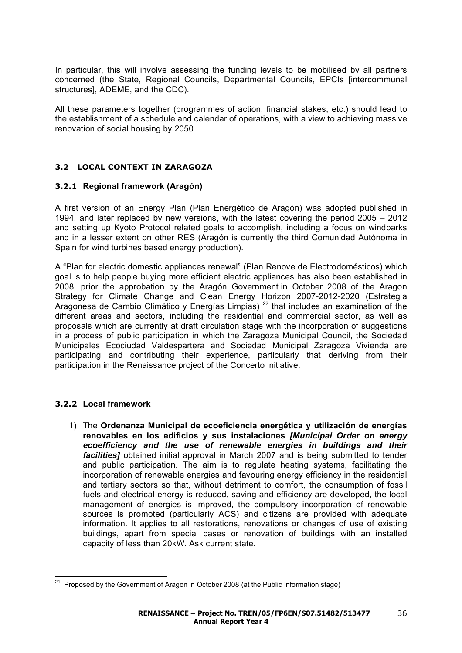In particular, this will involve assessing the funding levels to be mobilised by all partners concerned (the State, Regional Councils, Departmental Councils, EPCIs [intercommunal structures], ADEME, and the CDC).

All these parameters together (programmes of action, financial stakes, etc.) should lead to the establishment of a schedule and calendar of operations, with a view to achieving massive renovation of social housing by 2050.

## **3.2 LOCAL CONTEXT IN ZARAGOZA**

## **3.2.1 Regional framework (Aragón)**

A first version of an Energy Plan (Plan Energético de Aragón) was adopted published in 1994, and later replaced by new versions, with the latest covering the period 2005 – 2012 and setting up Kyoto Protocol related goals to accomplish, including a focus on windparks and in a lesser extent on other RES (Aragón is currently the third Comunidad Autónoma in Spain for wind turbines based energy production).

A "Plan for electric domestic appliances renewal" (Plan Renove de Electrodomésticos) which goal is to help people buying more efficient electric appliances has also been established in 2008, prior the approbation by the Aragón Government.in October 2008 of the Aragon Strategy for Climate Change and Clean Energy Horizon 2007-2012-2020 (Estrategia Aragonesa de Cambio Climático y Energías Limpias)  $^{22}$  that includes an examination of the different areas and sectors, including the residential and commercial sector, as well as proposals which are currently at draft circulation stage with the incorporation of suggestions in a process of public participation in which the Zaragoza Municipal Council, the Sociedad Municipales Ecociudad Valdespartera and Sociedad Municipal Zaragoza Vivienda are participating and contributing their experience, particularly that deriving from their participation in the Renaissance project of the Concerto initiative.

## **3.2.2 Local framework**

1) The **Ordenanza Municipal de ecoeficiencia energética y utilización de energías renovables en los edificios y sus instalaciones** *[Municipal Order on energy*  ecoefficiency and the use of renewable energies in buildings and their *facilities]* obtained initial approval in March 2007 and is being submitted to tender and public participation. The aim is to regulate heating systems, facilitating the incorporation of renewable energies and favouring energy efficiency in the residential and tertiary sectors so that, without detriment to comfort, the consumption of fossil fuels and electrical energy is reduced, saving and efficiency are developed, the local management of energies is improved, the compulsory incorporation of renewable sources is promoted (particularly ACS) and citizens are provided with adequate information. It applies to all restorations, renovations or changes of use of existing buildings, apart from special cases or renovation of buildings with an installed capacity of less than 20kW. Ask current state.

 $21$  Proposed by the Government of Aragon in October 2008 (at the Public Information stage)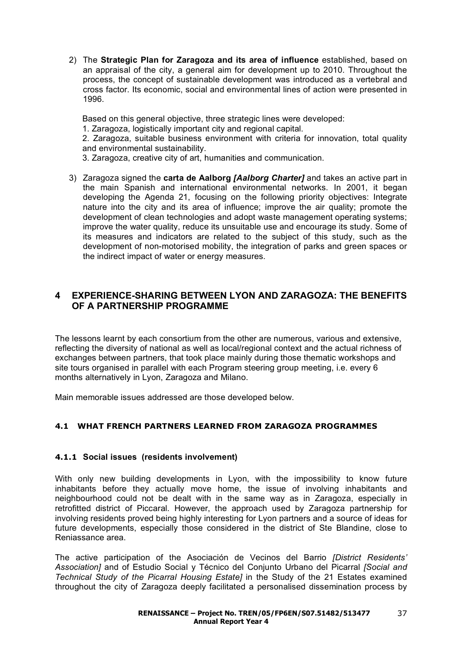2) The **Strategic Plan for Zaragoza and its area of influence** established, based on an appraisal of the city, a general aim for development up to 2010. Throughout the process, the concept of sustainable development was introduced as a vertebral and cross factor. Its economic, social and environmental lines of action were presented in 1996.

Based on this general objective, three strategic lines were developed:

1. Zaragoza, logistically important city and regional capital.

2. Zaragoza, suitable business environment with criteria for innovation, total quality and environmental sustainability.

3. Zaragoza, creative city of art, humanities and communication.

3) Zaragoza signed the **carta de Aalborg** *[Aalborg Charter]* and takes an active part in the main Spanish and international environmental networks. In 2001, it began developing the Agenda 21, focusing on the following priority objectives: Integrate nature into the city and its area of influence; improve the air quality; promote the development of clean technologies and adopt waste management operating systems; improve the water quality, reduce its unsuitable use and encourage its study. Some of its measures and indicators are related to the subject of this study, such as the development of non-motorised mobility, the integration of parks and green spaces or the indirect impact of water or energy measures.

## **4 EXPERIENCE-SHARING BETWEEN LYON AND ZARAGOZA: THE BENEFITS OF A PARTNERSHIP PROGRAMME**

The lessons learnt by each consortium from the other are numerous, various and extensive, reflecting the diversity of national as well as local/regional context and the actual richness of exchanges between partners, that took place mainly during those thematic workshops and site tours organised in parallel with each Program steering group meeting, i.e. every 6 months alternatively in Lyon, Zaragoza and Milano.

Main memorable issues addressed are those developed below.

## **4.1 WHAT FRENCH PARTNERS LEARNED FROM ZARAGOZA PROGRAMMES**

## **4.1.1 Social issues (residents involvement)**

With only new building developments in Lyon, with the impossibility to know future inhabitants before they actually move home, the issue of involving inhabitants and neighbourhood could not be dealt with in the same way as in Zaragoza, especially in retrofitted district of Piccaral. However, the approach used by Zaragoza partnership for involving residents proved being highly interesting for Lyon partners and a source of ideas for future developments, especially those considered in the district of Ste Blandine, close to Reniassance area.

The active participation of the Asociación de Vecinos del Barrio *[District Residents' Association]* and of Estudio Social y Técnico del Conjunto Urbano del Picarral *[Social and Technical Study of the Picarral Housing Estate]* in the Study of the 21 Estates examined throughout the city of Zaragoza deeply facilitated a personalised dissemination process by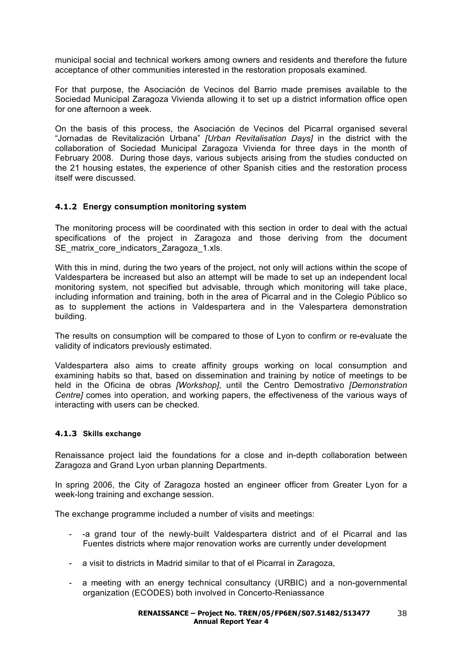municipal social and technical workers among owners and residents and therefore the future acceptance of other communities interested in the restoration proposals examined.

For that purpose, the Asociación de Vecinos del Barrio made premises available to the Sociedad Municipal Zaragoza Vivienda allowing it to set up a district information office open for one afternoon a week.

On the basis of this process, the Asociación de Vecinos del Picarral organised several "Jornadas de Revitalización Urbana" *[Urban Revitalisation Days]* in the district with the collaboration of Sociedad Municipal Zaragoza Vivienda for three days in the month of February 2008. During those days, various subjects arising from the studies conducted on the 21 housing estates, the experience of other Spanish cities and the restoration process itself were discussed.

## **4.1.2 Energy consumption monitoring system**

The monitoring process will be coordinated with this section in order to deal with the actual specifications of the project in Zaragoza and those deriving from the document SE\_matrix\_core\_indicators\_Zaragoza\_1.xls.

With this in mind, during the two years of the project, not only will actions within the scope of Valdespartera be increased but also an attempt will be made to set up an independent local monitoring system, not specified but advisable, through which monitoring will take place, including information and training, both in the area of Picarral and in the Colegio Público so as to supplement the actions in Valdespartera and in the Valespartera demonstration building.

The results on consumption will be compared to those of Lyon to confirm or re-evaluate the validity of indicators previously estimated.

Valdespartera also aims to create affinity groups working on local consumption and examining habits so that, based on dissemination and training by notice of meetings to be held in the Oficina de obras *[Workshop]*, until the Centro Demostrativo *[Demonstration Centre]* comes into operation, and working papers, the effectiveness of the various ways of interacting with users can be checked.

## **4.1.3 Skills exchange**

Renaissance project laid the foundations for a close and in-depth collaboration between Zaragoza and Grand Lyon urban planning Departments.

In spring 2006, the City of Zaragoza hosted an engineer officer from Greater Lyon for a week-long training and exchange session.

The exchange programme included a number of visits and meetings:

- -a grand tour of the newly-built Valdespartera district and of el Picarral and las Fuentes districts where major renovation works are currently under development
- a visit to districts in Madrid similar to that of el Picarral in Zaragoza,
- a meeting with an energy technical consultancy (URBIC) and a non-governmental organization (ECODES) both involved in Concerto-Reniassance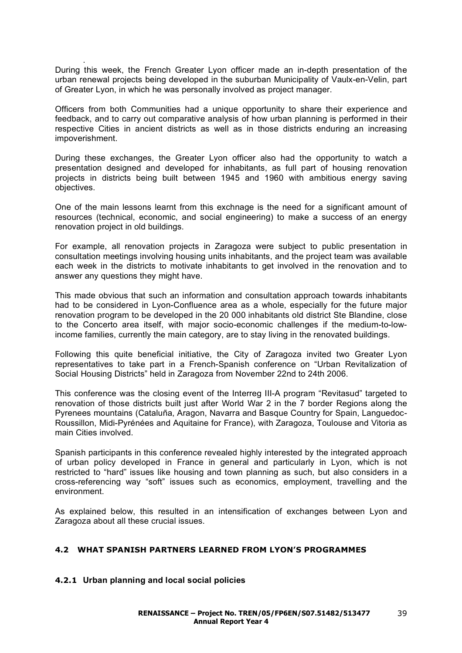. During this week, the French Greater Lyon officer made an in-depth presentation of the urban renewal projects being developed in the suburban Municipality of Vaulx-en-Velin, part of Greater Lyon, in which he was personally involved as project manager.

Officers from both Communities had a unique opportunity to share their experience and feedback, and to carry out comparative analysis of how urban planning is performed in their respective Cities in ancient districts as well as in those districts enduring an increasing impoverishment.

During these exchanges, the Greater Lyon officer also had the opportunity to watch a presentation designed and developed for inhabitants, as full part of housing renovation projects in districts being built between 1945 and 1960 with ambitious energy saving objectives.

One of the main lessons learnt from this exchnage is the need for a significant amount of resources (technical, economic, and social engineering) to make a success of an energy renovation project in old buildings.

For example, all renovation projects in Zaragoza were subject to public presentation in consultation meetings involving housing units inhabitants, and the project team was available each week in the districts to motivate inhabitants to get involved in the renovation and to answer any questions they might have.

This made obvious that such an information and consultation approach towards inhabitants had to be considered in Lyon-Confluence area as a whole, especially for the future major renovation program to be developed in the 20 000 inhabitants old district Ste Blandine, close to the Concerto area itself, with major socio-economic challenges if the medium-to-lowincome families, currently the main category, are to stay living in the renovated buildings.

Following this quite beneficial initiative, the City of Zaragoza invited two Greater Lyon representatives to take part in a French-Spanish conference on "Urban Revitalization of Social Housing Districts" held in Zaragoza from November 22nd to 24th 2006.

This conference was the closing event of the Interreg III-A program "Revitasud" targeted to renovation of those districts built just after World War 2 in the 7 border Regions along the Pyrenees mountains (Cataluña, Aragon, Navarra and Basque Country for Spain, Languedoc-Roussillon, Midi-Pyrénées and Aquitaine for France), with Zaragoza, Toulouse and Vitoria as main Cities involved.

Spanish participants in this conference revealed highly interested by the integrated approach of urban policy developed in France in general and particularly in Lyon, which is not restricted to "hard" issues like housing and town planning as such, but also considers in a cross-referencing way "soft" issues such as economics, employment, travelling and the environment.

As explained below, this resulted in an intensification of exchanges between Lyon and Zaragoza about all these crucial issues.

## **4.2 WHAT SPANISH PARTNERS LEARNED FROM LYON'S PROGRAMMES**

## **4.2.1 Urban planning and local social policies**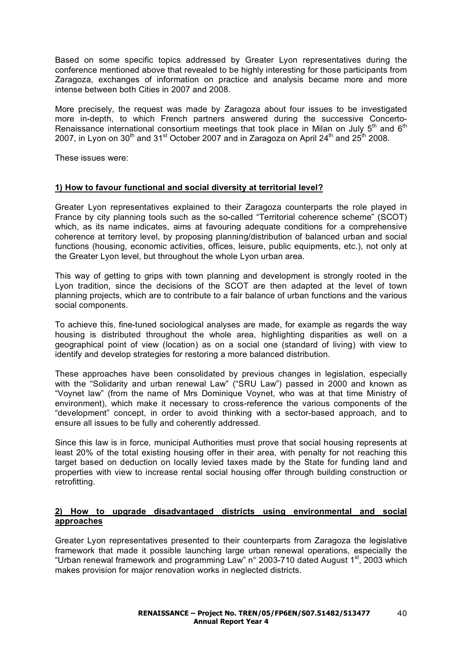Based on some specific topics addressed by Greater Lyon representatives during the conference mentioned above that revealed to be highly interesting for those participants from Zaragoza, exchanges of information on practice and analysis became more and more intense between both Cities in 2007 and 2008.

More precisely, the request was made by Zaragoza about four issues to be investigated more in-depth, to which French partners answered during the successive Concerto-Renaissance international consortium meetings that took place in Milan on July  $5<sup>th</sup>$  and  $6<sup>th</sup>$ 2007, in Lyon on 30<sup>th</sup> and 31<sup>st</sup> October 2007 and in Zaragoza on April 24<sup>th</sup> and 25<sup>th</sup> 2008.

These issues were:

## **1) How to favour functional and social diversity at territorial level?**

Greater Lyon representatives explained to their Zaragoza counterparts the role played in France by city planning tools such as the so-called "Territorial coherence scheme" (SCOT) which, as its name indicates, aims at favouring adequate conditions for a comprehensive coherence at territory level, by proposing planning/distribution of balanced urban and social functions (housing, economic activities, offices, leisure, public equipments, etc.), not only at the Greater Lyon level, but throughout the whole Lyon urban area.

This way of getting to grips with town planning and development is strongly rooted in the Lyon tradition, since the decisions of the SCOT are then adapted at the level of town planning projects, which are to contribute to a fair balance of urban functions and the various social components.

To achieve this, fine-tuned sociological analyses are made, for example as regards the way housing is distributed throughout the whole area, highlighting disparities as well on a geographical point of view (location) as on a social one (standard of living) with view to identify and develop strategies for restoring a more balanced distribution.

These approaches have been consolidated by previous changes in legislation, especially with the "Solidarity and urban renewal Law" ("SRU Law") passed in 2000 and known as "Voynet law" (from the name of Mrs Dominique Voynet, who was at that time Ministry of environment), which make it necessary to cross-reference the various components of the "development" concept, in order to avoid thinking with a sector-based approach, and to ensure all issues to be fully and coherently addressed.

Since this law is in force, municipal Authorities must prove that social housing represents at least 20% of the total existing housing offer in their area, with penalty for not reaching this target based on deduction on locally levied taxes made by the State for funding land and properties with view to increase rental social housing offer through building construction or retrofitting.

## **2) How to upgrade disadvantaged districts using environmental and social approaches**

Greater Lyon representatives presented to their counterparts from Zaragoza the legislative framework that made it possible launching large urban renewal operations, especially the "Urban renewal framework and programming Law" n° 2003-710 dated August 1<sup>st</sup>, 2003 which makes provision for major renovation works in neglected districts.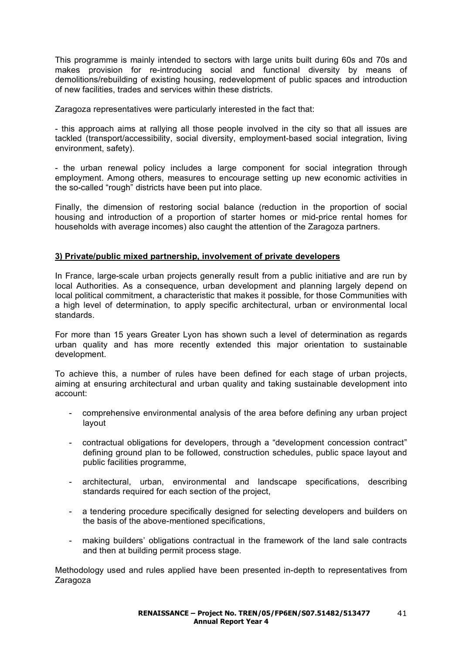This programme is mainly intended to sectors with large units built during 60s and 70s and makes provision for re-introducing social and functional diversity by means of demolitions/rebuilding of existing housing, redevelopment of public spaces and introduction of new facilities, trades and services within these districts.

Zaragoza representatives were particularly interested in the fact that:

- this approach aims at rallying all those people involved in the city so that all issues are tackled (transport/accessibility, social diversity, employment-based social integration, living environment, safety).

- the urban renewal policy includes a large component for social integration through employment. Among others, measures to encourage setting up new economic activities in the so-called "rough" districts have been put into place.

Finally, the dimension of restoring social balance (reduction in the proportion of social housing and introduction of a proportion of starter homes or mid-price rental homes for households with average incomes) also caught the attention of the Zaragoza partners.

## **3) Private/public mixed partnership, involvement of private developers**

In France, large-scale urban projects generally result from a public initiative and are run by local Authorities. As a consequence, urban development and planning largely depend on local political commitment, a characteristic that makes it possible, for those Communities with a high level of determination, to apply specific architectural, urban or environmental local standards.

For more than 15 years Greater Lyon has shown such a level of determination as regards urban quality and has more recently extended this major orientation to sustainable development.

To achieve this, a number of rules have been defined for each stage of urban projects, aiming at ensuring architectural and urban quality and taking sustainable development into account:

- comprehensive environmental analysis of the area before defining any urban project layout
- contractual obligations for developers, through a "development concession contract" defining ground plan to be followed, construction schedules, public space layout and public facilities programme,
- architectural, urban, environmental and landscape specifications, describing standards required for each section of the project,
- a tendering procedure specifically designed for selecting developers and builders on the basis of the above-mentioned specifications,
- making builders' obligations contractual in the framework of the land sale contracts and then at building permit process stage.

Methodology used and rules applied have been presented in-depth to representatives from Zaragoza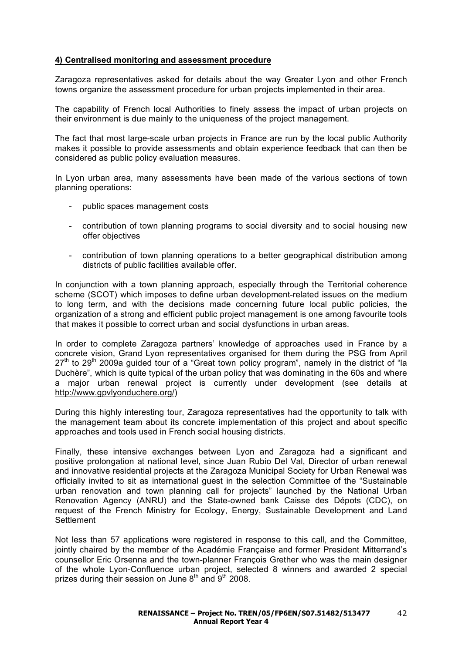## **4) Centralised monitoring and assessment procedure**

Zaragoza representatives asked for details about the way Greater Lyon and other French towns organize the assessment procedure for urban projects implemented in their area.

The capability of French local Authorities to finely assess the impact of urban projects on their environment is due mainly to the uniqueness of the project management.

The fact that most large-scale urban projects in France are run by the local public Authority makes it possible to provide assessments and obtain experience feedback that can then be considered as public policy evaluation measures.

In Lyon urban area, many assessments have been made of the various sections of town planning operations:

- public spaces management costs
- contribution of town planning programs to social diversity and to social housing new offer objectives
- contribution of town planning operations to a better geographical distribution among districts of public facilities available offer.

In conjunction with a town planning approach, especially through the Territorial coherence scheme (SCOT) which imposes to define urban development-related issues on the medium to long term, and with the decisions made concerning future local public policies, the organization of a strong and efficient public project management is one among favourite tools that makes it possible to correct urban and social dysfunctions in urban areas.

In order to complete Zaragoza partners' knowledge of approaches used in France by a concrete vision, Grand Lyon representatives organised for them during the PSG from April  $27<sup>th</sup>$  to  $29<sup>th</sup>$  2009a guided tour of a "Great town policy program", namely in the district of "la Duchère", which is quite typical of the urban policy that was dominating in the 60s and where a major urban renewal project is currently under development (see details at http://www.gpvlyonduchere.org/)

During this highly interesting tour, Zaragoza representatives had the opportunity to talk with the management team about its concrete implementation of this project and about specific approaches and tools used in French social housing districts.

Finally, these intensive exchanges between Lyon and Zaragoza had a significant and positive prolongation at national level, since Juan Rubio Del Val, Director of urban renewal and innovative residential projects at the Zaragoza Municipal Society for Urban Renewal was officially invited to sit as international guest in the selection Committee of the "Sustainable urban renovation and town planning call for projects" launched by the National Urban Renovation Agency (ANRU) and the State-owned bank Caisse des Dépots (CDC), on request of the French Ministry for Ecology, Energy, Sustainable Development and Land **Settlement** 

Not less than 57 applications were registered in response to this call, and the Committee, jointly chaired by the member of the Académie Française and former President Mitterrand's counsellor Eric Orsenna and the town-planner François Grether who was the main designer of the whole Lyon-Confluence urban project, selected 8 winners and awarded 2 special prizes during their session on June  $8<sup>th</sup>$  and  $9<sup>th</sup>$  2008.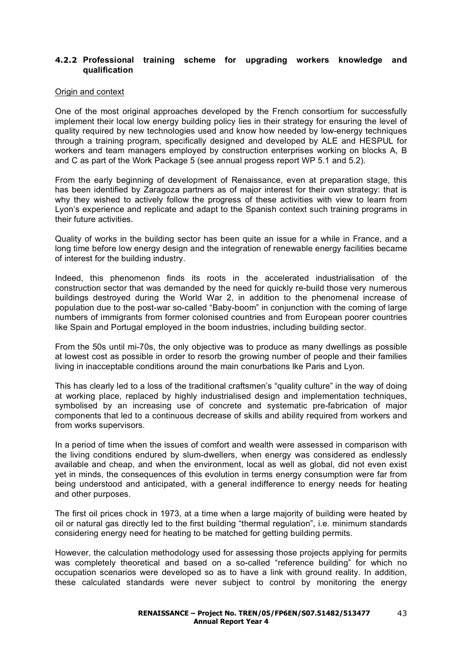## **4.2.2 Professional training scheme for upgrading workers knowledge and qualification**

#### Origin and context

One of the most original approaches developed by the French consortium for successfully implement their local low energy building policy lies in their strategy for ensuring the level of quality required by new technologies used and know how needed by low-energy techniques through a training program, specifically designed and developed by ALE and HESPUL for workers and team managers employed by construction enterprises working on blocks A, B and C as part of the Work Package 5 (see annual progess report WP 5.1 and 5.2).

From the early beginning of development of Renaissance, even at preparation stage, this has been identified by Zaragoza partners as of major interest for their own strategy: that is why they wished to actively follow the progress of these activities with view to learn from Lyon's experience and replicate and adapt to the Spanish context such training programs in their future activities.

Quality of works in the building sector has been quite an issue for a while in France, and a long time before low energy design and the integration of renewable energy facilities became of interest for the building industry.

Indeed, this phenomenon finds its roots in the accelerated industrialisation of the construction sector that was demanded by the need for quickly re-build those very numerous buildings destroyed during the World War 2, in addition to the phenomenal increase of population due to the post-war so-called "Baby-boom" in conjunction with the coming of large numbers of immigrants from former colonised countries and from European poorer countries like Spain and Portugal employed in the boom industries, including building sector.

From the 50s until mi-70s, the only objective was to produce as many dwellings as possible at lowest cost as possible in order to resorb the growing number of people and their families living in inacceptable conditions around the main conurbations lke Paris and Lyon.

This has clearly led to a loss of the traditional craftsmen's "quality culture" in the way of doing at working place, replaced by highly industrialised design and implementation techniques, symbolised by an increasing use of concrete and systematic pre-fabrication of major components that led to a continuous decrease of skills and ability required from workers and from works supervisors.

In a period of time when the issues of comfort and wealth were assessed in comparison with the living conditions endured by slum-dwellers, when energy was considered as endlessly available and cheap, and when the environment, local as well as global, did not even exist yet in minds, the consequences of this evolution in terms energy consumption were far from being understood and anticipated, with a general indifference to energy needs for heating and other purposes.

The first oil prices chock in 1973, at a time when a large majority of building were heated by oil or natural gas directly led to the first building "thermal regulation", i.e. minimum standards considering energy need for heating to be matched for getting building permits.

However, the calculation methodology used for assessing those projects applying for permits was completely theoretical and based on a so-called "reference building" for which no occupation scenarios were developed so as to have a link with ground reality. In addition, these calculated standards were never subject to control by monitoring the energy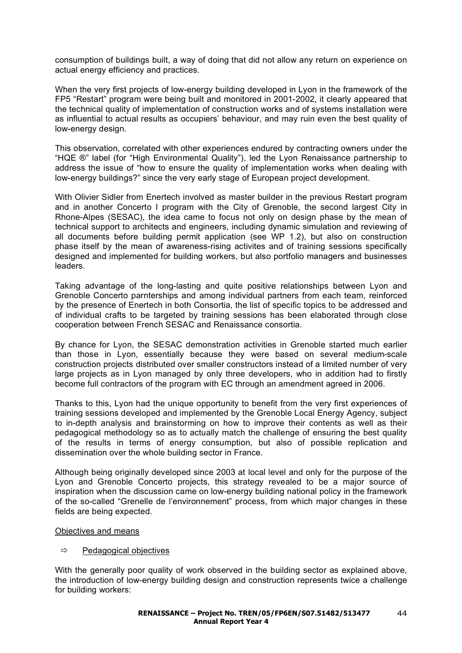consumption of buildings built, a way of doing that did not allow any return on experience on actual energy efficiency and practices.

When the very first projects of low-energy building developed in Lyon in the framework of the FP5 "Restart" program were being built and monitored in 2001-2002, it clearly appeared that the technical quality of implementation of construction works and of systems installation were as influential to actual results as occupiers' behaviour, and may ruin even the best quality of low-energy design.

This observation, correlated with other experiences endured by contracting owners under the "HQE ®" label (for "High Environmental Quality"), led the Lyon Renaissance partnership to address the issue of "how to ensure the quality of implementation works when dealing with low-energy buildings?" since the very early stage of European project development.

With Olivier Sidler from Enertech involved as master builder in the previous Restart program and in another Concerto I program with the City of Grenoble, the second largest City in Rhone-Alpes (SESAC), the idea came to focus not only on design phase by the mean of technical support to architects and engineers, including dynamic simulation and reviewing of all documents before building permit application (see WP 1.2), but also on construction phase itself by the mean of awareness-rising activites and of training sessions specifically designed and implemented for building workers, but also portfolio managers and businesses leaders.

Taking advantage of the long-lasting and quite positive relationships between Lyon and Grenoble Concerto parnterships and among individual partners from each team, reinforced by the presence of Enertech in both Consortia, the list of specific topics to be addressed and of individual crafts to be targeted by training sessions has been elaborated through close cooperation between French SESAC and Renaissance consortia.

By chance for Lyon, the SESAC demonstration activities in Grenoble started much earlier than those in Lyon, essentially because they were based on several medium-scale construction projects distributed over smaller constructors instead of a limited number of very large projects as in Lyon managed by only three developers, who in addition had to firstly become full contractors of the program with EC through an amendment agreed in 2006.

Thanks to this, Lyon had the unique opportunity to benefit from the very first experiences of training sessions developed and implemented by the Grenoble Local Energy Agency, subject to in-depth analysis and brainstorming on how to improve their contents as well as their pedagogical methodology so as to actually match the challenge of ensuring the best quality of the results in terms of energy consumption, but also of possible replication and dissemination over the whole building sector in France.

Although being originally developed since 2003 at local level and only for the purpose of the Lyon and Grenoble Concerto projects, this strategy revealed to be a major source of inspiration when the discussion came on low-energy building national policy in the framework of the so-called "Grenelle de l'environnement" process, from which major changes in these fields are being expected.

#### Objectives and means

## $\Rightarrow$  Pedagogical objectives

With the generally poor quality of work observed in the building sector as explained above, the introduction of low-energy building design and construction represents twice a challenge for building workers: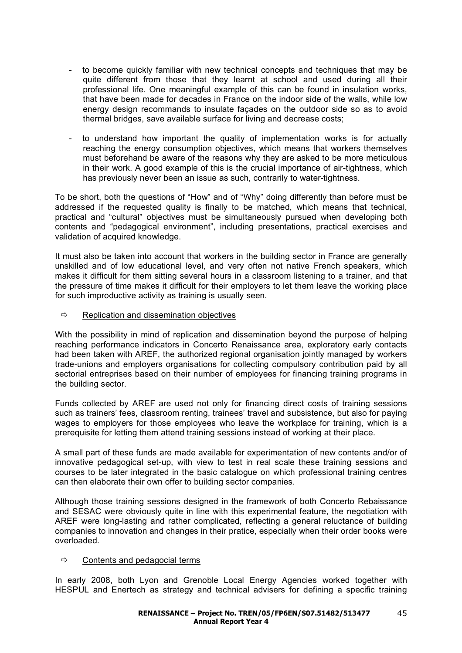- to become quickly familiar with new technical concepts and techniques that may be quite different from those that they learnt at school and used during all their professional life. One meaningful example of this can be found in insulation works, that have been made for decades in France on the indoor side of the walls, while low energy design recommands to insulate façades on the outdoor side so as to avoid thermal bridges, save available surface for living and decrease costs;
- to understand how important the quality of implementation works is for actually reaching the energy consumption objectives, which means that workers themselves must beforehand be aware of the reasons why they are asked to be more meticulous in their work. A good example of this is the crucial importance of air-tightness, which has previously never been an issue as such, contrarily to water-tightness.

To be short, both the questions of "How" and of "Why" doing differently than before must be addressed if the requested quality is finally to be matched, which means that technical, practical and "cultural" objectives must be simultaneously pursued when developing both contents and "pedagogical environment", including presentations, practical exercises and validation of acquired knowledge.

It must also be taken into account that workers in the building sector in France are generally unskilled and of low educational level, and very often not native French speakers, which makes it difficult for them sitting several hours in a classroom listening to a trainer, and that the pressure of time makes it difficult for their employers to let them leave the working place for such improductive activity as training is usually seen.

 $\Rightarrow$  Replication and dissemination objectives

With the possibility in mind of replication and dissemination beyond the purpose of helping reaching performance indicators in Concerto Renaissance area, exploratory early contacts had been taken with AREF, the authorized regional organisation jointly managed by workers trade-unions and employers organisations for collecting compulsory contribution paid by all sectorial entreprises based on their number of employees for financing training programs in the building sector.

Funds collected by AREF are used not only for financing direct costs of training sessions such as trainers' fees, classroom renting, trainees' travel and subsistence, but also for paying wages to employers for those employees who leave the workplace for training, which is a prerequisite for letting them attend training sessions instead of working at their place.

A small part of these funds are made available for experimentation of new contents and/or of innovative pedagogical set-up, with view to test in real scale these training sessions and courses to be later integrated in the basic catalogue on which professional training centres can then elaborate their own offer to building sector companies.

Although those training sessions designed in the framework of both Concerto Rebaissance and SESAC were obviously quite in line with this experimental feature, the negotiation with AREF were long-lasting and rather complicated, reflecting a general reluctance of building companies to innovation and changes in their pratice, especially when their order books were overloaded.

## $\Rightarrow$  Contents and pedagocial terms

In early 2008, both Lyon and Grenoble Local Energy Agencies worked together with HESPUL and Enertech as strategy and technical advisers for defining a specific training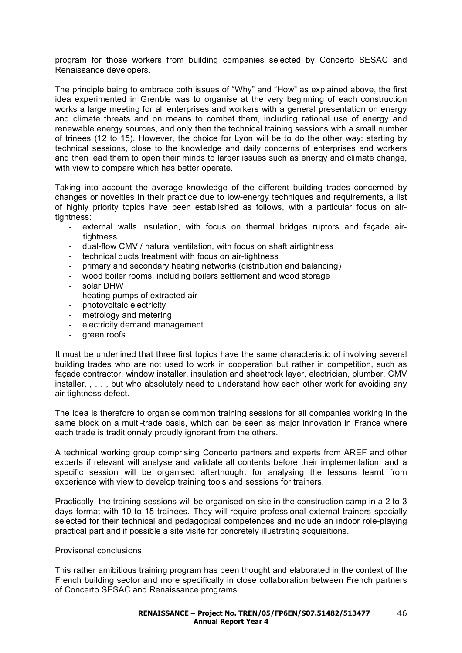program for those workers from building companies selected by Concerto SESAC and Renaissance developers.

The principle being to embrace both issues of "Why" and "How" as explained above, the first idea experimented in Grenble was to organise at the very beginning of each construction works a large meeting for all enterprises and workers with a general presentation on energy and climate threats and on means to combat them, including rational use of energy and renewable energy sources, and only then the technical training sessions with a small number of trinees (12 to 15). However, the choice for Lyon will be to do the other way: starting by technical sessions, close to the knowledge and daily concerns of enterprises and workers and then lead them to open their minds to larger issues such as energy and climate change, with view to compare which has better operate.

Taking into account the average knowledge of the different building trades concerned by changes or novelties In their practice due to low-energy techniques and requirements, a list of highly priority topics have been estabilshed as follows, with a particular focus on airtightness:

- external walls insulation, with focus on thermal bridges ruptors and facade airtightness
- dual-flow CMV / natural ventilation, with focus on shaft airtightness
- technical ducts treatment with focus on air-tightness
- primary and secondary heating networks (distribution and balancing)
- wood boiler rooms, including boilers settlement and wood storage
- solar DHW
- heating pumps of extracted air
- photovoltaic electricity
- metrology and metering
- electricity demand management
- green roofs

It must be underlined that three first topics have the same characteristic of involving several building trades who are not used to work in cooperation but rather in competition, such as façade contractor, window installer, insulation and sheetrock layer, electrician, plumber, CMV installer, , … , but who absolutely need to understand how each other work for avoiding any air-tightness defect.

The idea is therefore to organise common training sessions for all companies working in the same block on a multi-trade basis, which can be seen as major innovation in France where each trade is traditionnaly proudly ignorant from the others.

A technical working group comprising Concerto partners and experts from AREF and other experts if relevant will analyse and validate all contents before their implementation, and a specific session will be organised afterthought for analysing the lessons learnt from experience with view to develop training tools and sessions for trainers.

Practically, the training sessions will be organised on-site in the construction camp in a 2 to 3 days format with 10 to 15 trainees. They will require professional external trainers specially selected for their technical and pedagogical competences and include an indoor role-playing practical part and if possible a site visite for concretely illustrating acquisitions.

#### Provisonal conclusions

This rather amibitious training program has been thought and elaborated in the context of the French building sector and more specifically in close collaboration between French partners of Concerto SESAC and Renaissance programs.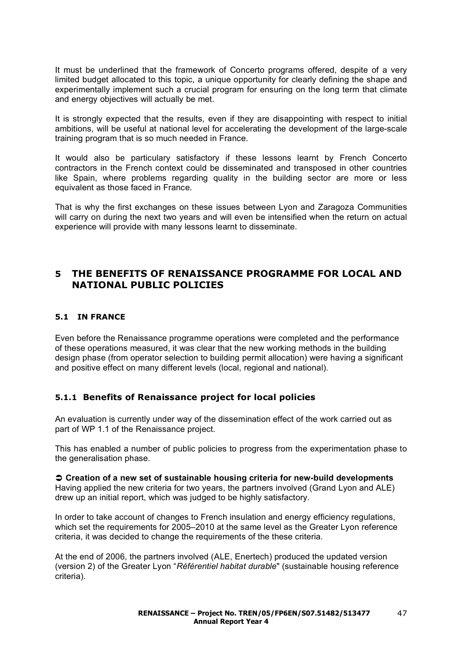It must be underlined that the framework of Concerto programs offered, despite of a very limited budget allocated to this topic, a unique opportunity for clearly defining the shape and experimentally implement such a crucial program for ensuring on the long term that climate and energy objectives will actually be met.

It is strongly expected that the results, even if they are disappointing with respect to initial ambitions, will be useful at national level for accelerating the development of the large-scale training program that is so much needed in France.

It would also be particulary satisfactory if these lessons learnt by French Concerto contractors in the French context could be disseminated and transposed in other countries like Spain, where problems regarding quality in the building sector are more or less equivalent as those faced in France.

That is why the first exchanges on these issues between Lyon and Zaragoza Communities will carry on during the next two years and will even be intensified when the return on actual experience will provide with many lessons learnt to disseminate.

## **5 THE BENEFITS OF RENAISSANCE PROGRAMME FOR LOCAL AND NATIONAL PUBLIC POLICIES**

## **5.1 IN FRANCE**

Even before the Renaissance programme operations were completed and the performance of these operations measured, it was clear that the new working methods in the building design phase (from operator selection to building permit allocation) were having a significant and positive effect on many different levels (local, regional and national).

## **5.1.1 Benefits of Renaissance project for local policies**

An evaluation is currently under way of the dissemination effect of the work carried out as part of WP 1.1 of the Renaissance project.

This has enabled a number of public policies to progress from the experimentation phase to the generalisation phase.

 **Creation of a new set of sustainable housing criteria for new-build developments** Having applied the new criteria for two years, the partners involved (Grand Lyon and ALE) drew up an initial report, which was judged to be highly satisfactory.

In order to take account of changes to French insulation and energy efficiency regulations, which set the requirements for 2005–2010 at the same level as the Greater Lyon reference criteria, it was decided to change the requirements of the these criteria.

At the end of 2006, the partners involved (ALE, Enertech) produced the updated version (version 2) of the Greater Lyon "*Référentiel habitat durable*" (sustainable housing reference criteria).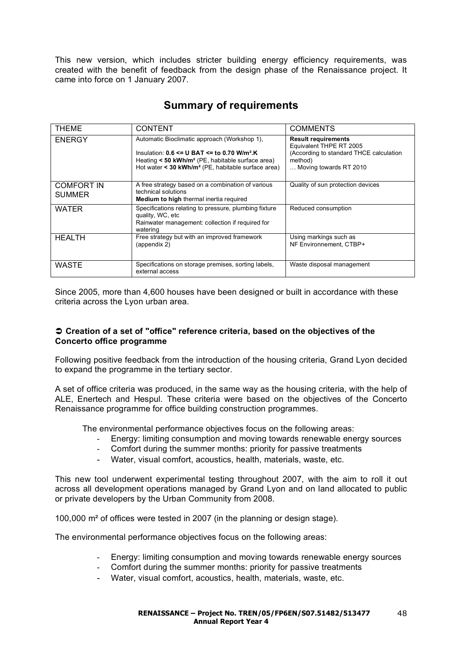This new version, which includes stricter building energy efficiency requirements, was created with the benefit of feedback from the design phase of the Renaissance project. It came into force on 1 January 2007.

| <b>THEME</b>                       | <b>CONTENT</b>                                                                                                                                                                                                                                            | <b>COMMENTS</b>                                                                                                                       |  |
|------------------------------------|-----------------------------------------------------------------------------------------------------------------------------------------------------------------------------------------------------------------------------------------------------------|---------------------------------------------------------------------------------------------------------------------------------------|--|
| <b>ENERGY</b>                      | Automatic Bioclimatic approach (Workshop 1),<br>Insulation: $0.6 \le U$ BAT $\le$ to 0.70 W/m <sup>2</sup> .K<br>Heating $\leq 50$ kWh/m <sup>2</sup> (PE, habitable surface area)<br>Hot water $\leq$ 30 kWh/m <sup>2</sup> (PE, habitable surface area) | <b>Result requirements</b><br>Equivalent THPE RT 2005<br>(According to standard THCE calculation<br>method)<br>Moving towards RT 2010 |  |
| <b>COMFORT IN</b><br><b>SUMMER</b> | A free strategy based on a combination of various<br>technical solutions<br><b>Medium to high thermal inertia required</b>                                                                                                                                | Quality of sun protection devices                                                                                                     |  |
| WATER                              | Specifications relating to pressure, plumbing fixture<br>quality, WC, etc<br>Rainwater management: collection if required for<br>watering                                                                                                                 | Reduced consumption                                                                                                                   |  |
| <b>HEALTH</b>                      | Free strategy but with an improved framework<br>(appendix 2)                                                                                                                                                                                              | Using markings such as<br>NF Environnement, CTBP+                                                                                     |  |
| <b>WASTE</b>                       | Specifications on storage premises, sorting labels,<br>external access                                                                                                                                                                                    | Waste disposal management                                                                                                             |  |

# **Summary of requirements**

Since 2005, more than 4,600 houses have been designed or built in accordance with these criteria across the Lyon urban area.

## **Creation of a set of "office" reference criteria, based on the objectives of the Concerto office programme**

Following positive feedback from the introduction of the housing criteria, Grand Lyon decided to expand the programme in the tertiary sector.

A set of office criteria was produced, in the same way as the housing criteria, with the help of ALE, Enertech and Hespul. These criteria were based on the objectives of the Concerto Renaissance programme for office building construction programmes.

The environmental performance objectives focus on the following areas:

- Energy: limiting consumption and moving towards renewable energy sources
- Comfort during the summer months: priority for passive treatments
- Water, visual comfort, acoustics, health, materials, waste, etc.

This new tool underwent experimental testing throughout 2007, with the aim to roll it out across all development operations managed by Grand Lyon and on land allocated to public or private developers by the Urban Community from 2008.

100,000 m² of offices were tested in 2007 (in the planning or design stage).

The environmental performance objectives focus on the following areas:

- Energy: limiting consumption and moving towards renewable energy sources
- Comfort during the summer months: priority for passive treatments
- Water, visual comfort, acoustics, health, materials, waste, etc.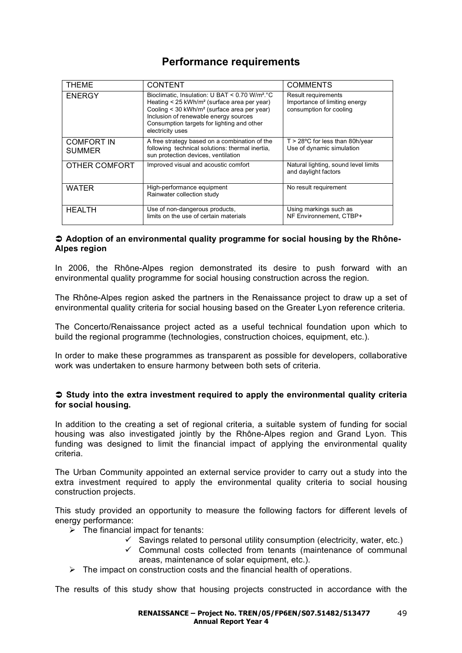# **Performance requirements**

| <b>THEME</b>                       | <b>CONTENT</b>                                                                                                                                                                                                                                                                              | <b>COMMENTS</b>                                                                 |
|------------------------------------|---------------------------------------------------------------------------------------------------------------------------------------------------------------------------------------------------------------------------------------------------------------------------------------------|---------------------------------------------------------------------------------|
| <b>ENERGY</b>                      | Bioclimatic, Insulation: U BAT < 0.70 W/m <sup>2</sup> .°C<br>Heating < 25 kWh/m <sup>2</sup> (surface area per year)<br>Cooling < 30 kWh/m <sup>2</sup> (surface area per year)<br>Inclusion of renewable energy sources<br>Consumption targets for lighting and other<br>electricity uses | Result requirements<br>Importance of limiting energy<br>consumption for cooling |
| <b>COMFORT IN</b><br><b>SUMMER</b> | A free strategy based on a combination of the<br>following technical solutions: thermal inertia,<br>sun protection devices, ventilation                                                                                                                                                     | $T > 28^{\circ}$ C for less than 80h/year<br>Use of dynamic simulation          |
| OTHER COMFORT                      | Improved visual and acoustic comfort                                                                                                                                                                                                                                                        | Natural lighting, sound level limits<br>and daylight factors                    |
| <b>WATER</b>                       | High-performance equipment<br>Rainwater collection study                                                                                                                                                                                                                                    | No result requirement                                                           |
| <b>HEALTH</b>                      | Use of non-dangerous products,<br>limits on the use of certain materials                                                                                                                                                                                                                    | Using markings such as<br>NF Environnement. CTBP+                               |

### **● Adoption of an environmental quality programme for social housing by the Rhône-Alpes region**

In 2006, the Rhône-Alpes region demonstrated its desire to push forward with an environmental quality programme for social housing construction across the region.

The Rhône-Alpes region asked the partners in the Renaissance project to draw up a set of environmental quality criteria for social housing based on the Greater Lyon reference criteria.

The Concerto/Renaissance project acted as a useful technical foundation upon which to build the regional programme (technologies, construction choices, equipment, etc.).

In order to make these programmes as transparent as possible for developers, collaborative work was undertaken to ensure harmony between both sets of criteria.

### **Study into the extra investment required to apply the environmental quality criteria for social housing.**

In addition to the creating a set of regional criteria, a suitable system of funding for social housing was also investigated jointly by the Rhône-Alpes region and Grand Lyon. This funding was designed to limit the financial impact of applying the environmental quality criteria.

The Urban Community appointed an external service provider to carry out a study into the extra investment required to apply the environmental quality criteria to social housing construction projects.

This study provided an opportunity to measure the following factors for different levels of energy performance:

- $\sum$  The financial impact for tenants:
	- $\checkmark$  Savings related to personal utility consumption (electricity, water, etc.)
	- $\checkmark$  Communal costs collected from tenants (maintenance of communal areas, maintenance of solar equipment, etc.).
- $\triangleright$  The impact on construction costs and the financial health of operations.

The results of this study show that housing projects constructed in accordance with the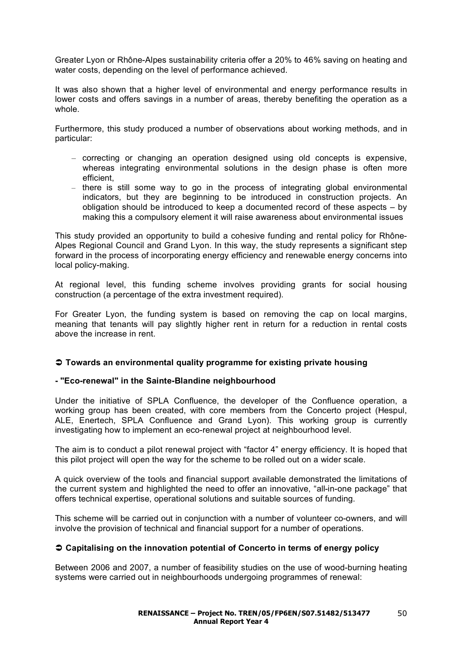Greater Lyon or Rhône-Alpes sustainability criteria offer a 20% to 46% saving on heating and water costs, depending on the level of performance achieved.

It was also shown that a higher level of environmental and energy performance results in lower costs and offers savings in a number of areas, thereby benefiting the operation as a whole.

Furthermore, this study produced a number of observations about working methods, and in particular:

- correcting or changing an operation designed using old concepts is expensive, whereas integrating environmental solutions in the design phase is often more efficient,
- there is still some way to go in the process of integrating global environmental indicators, but they are beginning to be introduced in construction projects. An obligation should be introduced to keep a documented record of these aspects – by making this a compulsory element it will raise awareness about environmental issues

This study provided an opportunity to build a cohesive funding and rental policy for Rhône-Alpes Regional Council and Grand Lyon. In this way, the study represents a significant step forward in the process of incorporating energy efficiency and renewable energy concerns into local policy-making.

At regional level, this funding scheme involves providing grants for social housing construction (a percentage of the extra investment required).

For Greater Lyon, the funding system is based on removing the cap on local margins, meaning that tenants will pay slightly higher rent in return for a reduction in rental costs above the increase in rent.

## **Towards an environmental quality programme for existing private housing**

## **- "Eco-renewal" in the Sainte-Blandine neighbourhood**

Under the initiative of SPLA Confluence, the developer of the Confluence operation, a working group has been created, with core members from the Concerto project (Hespul, ALE, Enertech, SPLA Confluence and Grand Lyon). This working group is currently investigating how to implement an eco-renewal project at neighbourhood level.

The aim is to conduct a pilot renewal project with "factor 4" energy efficiency. It is hoped that this pilot project will open the way for the scheme to be rolled out on a wider scale.

A quick overview of the tools and financial support available demonstrated the limitations of the current system and highlighted the need to offer an innovative, "all-in-one package" that offers technical expertise, operational solutions and suitable sources of funding.

This scheme will be carried out in conjunction with a number of volunteer co-owners, and will involve the provision of technical and financial support for a number of operations.

## **Capitalising on the innovation potential of Concerto in terms of energy policy**

Between 2006 and 2007, a number of feasibility studies on the use of wood-burning heating systems were carried out in neighbourhoods undergoing programmes of renewal: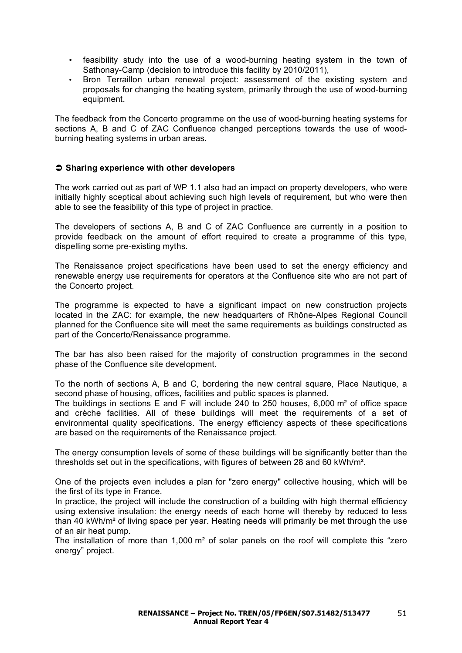- feasibility study into the use of a wood-burning heating system in the town of Sathonay-Camp (decision to introduce this facility by 2010/2011),
- Bron Terraillon urban renewal project: assessment of the existing system and proposals for changing the heating system, primarily through the use of wood-burning equipment.

The feedback from the Concerto programme on the use of wood-burning heating systems for sections A, B and C of ZAC Confluence changed perceptions towards the use of woodburning heating systems in urban areas.

### **Sharing experience with other developers**

The work carried out as part of WP 1.1 also had an impact on property developers, who were initially highly sceptical about achieving such high levels of requirement, but who were then able to see the feasibility of this type of project in practice.

The developers of sections A, B and C of ZAC Confluence are currently in a position to provide feedback on the amount of effort required to create a programme of this type, dispelling some pre-existing myths.

The Renaissance project specifications have been used to set the energy efficiency and renewable energy use requirements for operators at the Confluence site who are not part of the Concerto project.

The programme is expected to have a significant impact on new construction projects located in the ZAC: for example, the new headquarters of Rhône-Alpes Regional Council planned for the Confluence site will meet the same requirements as buildings constructed as part of the Concerto/Renaissance programme.

The bar has also been raised for the majority of construction programmes in the second phase of the Confluence site development.

To the north of sections A, B and C, bordering the new central square, Place Nautique, a second phase of housing, offices, facilities and public spaces is planned.

The buildings in sections E and F will include 240 to 250 houses, 6,000 m² of office space and crèche facilities. All of these buildings will meet the requirements of a set of environmental quality specifications. The energy efficiency aspects of these specifications are based on the requirements of the Renaissance project.

The energy consumption levels of some of these buildings will be significantly better than the thresholds set out in the specifications, with figures of between 28 and 60 kWh/m².

One of the projects even includes a plan for "zero energy" collective housing, which will be the first of its type in France.

In practice, the project will include the construction of a building with high thermal efficiency using extensive insulation: the energy needs of each home will thereby by reduced to less than 40 kWh/m² of living space per year. Heating needs will primarily be met through the use of an air heat pump.

The installation of more than 1,000 m<sup>2</sup> of solar panels on the roof will complete this "zero energy" project.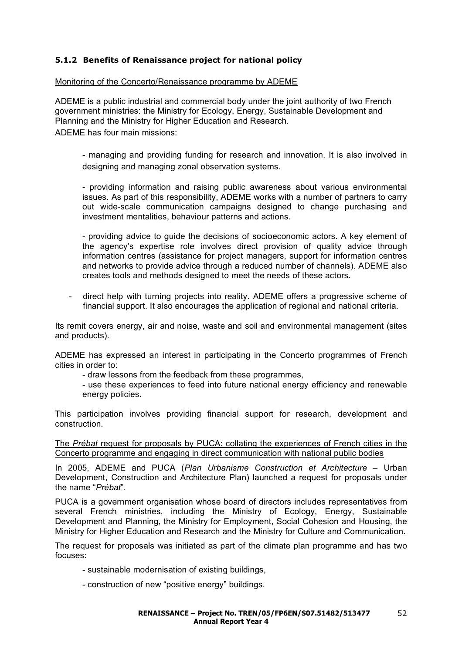## **5.1.2 Benefits of Renaissance project for national policy**

#### Monitoring of the Concerto/Renaissance programme by ADEME

ADEME is a public industrial and commercial body under the joint authority of two French government ministries: the Ministry for Ecology, Energy, Sustainable Development and Planning and the Ministry for Higher Education and Research. ADEME has four main missions:

- managing and providing funding for research and innovation. It is also involved in designing and managing zonal observation systems.

- providing information and raising public awareness about various environmental issues. As part of this responsibility, ADEME works with a number of partners to carry out wide-scale communication campaigns designed to change purchasing and investment mentalities, behaviour patterns and actions.

- providing advice to guide the decisions of socioeconomic actors. A key element of the agency's expertise role involves direct provision of quality advice through information centres (assistance for project managers, support for information centres and networks to provide advice through a reduced number of channels). ADEME also creates tools and methods designed to meet the needs of these actors.

direct help with turning projects into reality. ADEME offers a progressive scheme of financial support. It also encourages the application of regional and national criteria.

Its remit covers energy, air and noise, waste and soil and environmental management (sites and products).

ADEME has expressed an interest in participating in the Concerto programmes of French cities in order to:

- draw lessons from the feedback from these programmes,

- use these experiences to feed into future national energy efficiency and renewable energy policies.

This participation involves providing financial support for research, development and construction.

The *Prébat* request for proposals by PUCA: collating the experiences of French cities in the Concerto programme and engaging in direct communication with national public bodies

In 2005, ADEME and PUCA (*Plan Urbanisme Construction et Architecture* – Urban Development, Construction and Architecture Plan) launched a request for proposals under the name "*Prébat*".

PUCA is a government organisation whose board of directors includes representatives from several French ministries, including the Ministry of Ecology, Energy, Sustainable Development and Planning, the Ministry for Employment, Social Cohesion and Housing, the Ministry for Higher Education and Research and the Ministry for Culture and Communication.

The request for proposals was initiated as part of the climate plan programme and has two focuses:

- sustainable modernisation of existing buildings,
- construction of new "positive energy" buildings.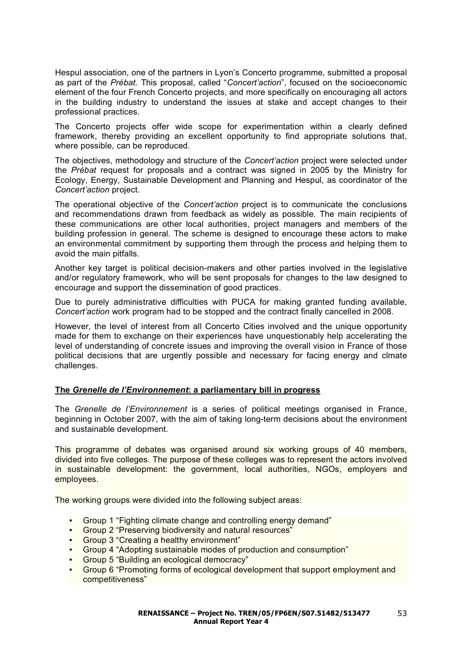Hespul association, one of the partners in Lyon's Concerto programme, submitted a proposal as part of the *Prébat.* This proposal, called "*Concert'action*", focused on the socioeconomic element of the four French Concerto projects, and more specifically on encouraging all actors in the building industry to understand the issues at stake and accept changes to their professional practices.

The Concerto projects offer wide scope for experimentation within a clearly defined framework, thereby providing an excellent opportunity to find appropriate solutions that, where possible, can be reproduced.

The objectives, methodology and structure of the *Concert'action* project were selected under the *Prébat* request for proposals and a contract was signed in 2005 by the Ministry for Ecology, Energy, Sustainable Development and Planning and Hespul, as coordinator of the *Concert'action* project.

The operational objective of the *Concert'action* project is to communicate the conclusions and recommendations drawn from feedback as widely as possible. The main recipients of these communications are other local authorities, project managers and members of the building profession in general. The scheme is designed to encourage these actors to make an environmental commitment by supporting them through the process and helping them to avoid the main pitfalls.

Another key target is political decision-makers and other parties involved in the legislative and/or regulatory framework, who will be sent proposals for changes to the law designed to encourage and support the dissemination of good practices.

Due to purely administrative difficulties with PUCA for making granted funding available. *Concert'action* work program had to be stopped and the contract finally cancelled in 2008.

However, the level of interest from all Concerto Cities involved and the unique opportunity made for them to exchange on their experiences have unquestionably help accelerating the level of understanding of concrete issues and improving the overall vision in France of those political decisions that are urgently possible and necessary for facing energy and clmate challenges.

## **The** *Grenelle de l'Environnement***: a parliamentary bill in progress**

The *Grenelle de l'Environnement* is a series of political meetings organised in France, beginning in October 2007, with the aim of taking long-term decisions about the environment and sustainable development.

This programme of debates was organised around six working groups of 40 members, divided into five colleges. The purpose of these colleges was to represent the actors involved in sustainable development: the government, local authorities, NGOs, employers and employees.

The working groups were divided into the following subject areas:

- Group 1 "Fighting climate change and controlling energy demand"
- Group 2 "Preserving biodiversity and natural resources"
- Group 3 "Creating a healthy environment"
- Group 4 "Adopting sustainable modes of production and consumption"
- Group 5 "Building an ecological democracy"
- Group 6 "Promoting forms of ecological development that support employment and competitiveness"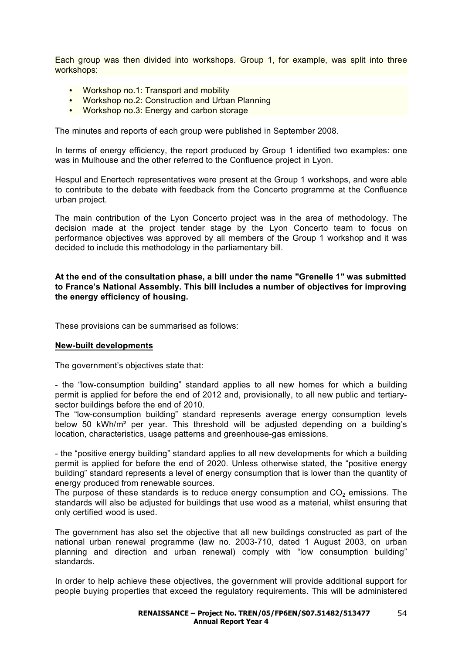Each group was then divided into workshops. Group 1, for example, was split into three workshops:

- Workshop no.1: Transport and mobility
- Workshop no.2: Construction and Urban Planning
- Workshop no.3: Energy and carbon storage

The minutes and reports of each group were published in September 2008.

In terms of energy efficiency, the report produced by Group 1 identified two examples: one was in Mulhouse and the other referred to the Confluence project in Lyon.

Hespul and Enertech representatives were present at the Group 1 workshops, and were able to contribute to the debate with feedback from the Concerto programme at the Confluence urban project.

The main contribution of the Lyon Concerto project was in the area of methodology. The decision made at the project tender stage by the Lyon Concerto team to focus on performance objectives was approved by all members of the Group 1 workshop and it was decided to include this methodology in the parliamentary bill.

### **At the end of the consultation phase, a bill under the name "Grenelle 1" was submitted to France's National Assembly. This bill includes a number of objectives for improving the energy efficiency of housing.**

These provisions can be summarised as follows:

#### **New-built developments**

The government's objectives state that:

- the "low-consumption building" standard applies to all new homes for which a building permit is applied for before the end of 2012 and, provisionally, to all new public and tertiarysector buildings before the end of 2010.

The "low-consumption building" standard represents average energy consumption levels below 50 kWh/m² per year. This threshold will be adjusted depending on a building's location, characteristics, usage patterns and greenhouse-gas emissions.

- the "positive energy building" standard applies to all new developments for which a building permit is applied for before the end of 2020. Unless otherwise stated, the "positive energy building" standard represents a level of energy consumption that is lower than the quantity of energy produced from renewable sources.

The purpose of these standards is to reduce energy consumption and  $CO<sub>2</sub>$  emissions. The standards will also be adjusted for buildings that use wood as a material, whilst ensuring that only certified wood is used.

The government has also set the objective that all new buildings constructed as part of the national urban renewal programme (law no. 2003-710, dated 1 August 2003, on urban planning and direction and urban renewal) comply with "low consumption building" standards.

In order to help achieve these objectives, the government will provide additional support for people buying properties that exceed the regulatory requirements. This will be administered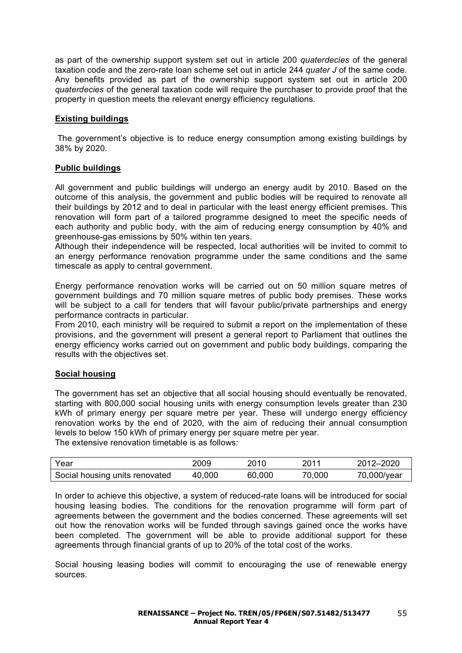as part of the ownership support system set out in article 200 *quaterdecies* of the general taxation code and the zero-rate loan scheme set out in article 244 *quater J* of the same code*.* Any benefits provided as part of the ownership support system set out in article 200 *quaterdecies* of the general taxation code will require the purchaser to provide proof that the property in question meets the relevant energy efficiency regulations*.*

## **Existing buildings**

 The government's objective is to reduce energy consumption among existing buildings by 38% by 2020.

## **Public buildings**

All government and public buildings will undergo an energy audit by 2010. Based on the outcome of this analysis, the government and public bodies will be required to renovate all their buildings by 2012 and to deal in particular with the least energy efficient premises. This renovation will form part of a tailored programme designed to meet the specific needs of each authority and public body, with the aim of reducing energy consumption by 40% and greenhouse-gas emissions by 50% within ten years.

Although their independence will be respected, local authorities will be invited to commit to an energy performance renovation programme under the same conditions and the same timescale as apply to central government.

Energy performance renovation works will be carried out on 50 million square metres of government buildings and 70 million square metres of public body premises. These works will be subject to a call for tenders that will favour public/private partnerships and energy performance contracts in particular.

From 2010, each ministry will be required to submit a report on the implementation of these provisions, and the government will present a general report to Parliament that outlines the energy efficiency works carried out on government and public body buildings, comparing the results with the objectives set.

## **Social housing**

The government has set an objective that all social housing should eventually be renovated, starting with 800,000 social housing units with energy consumption levels greater than 230 kWh of primary energy per square metre per year. These will undergo energy efficiency renovation works by the end of 2020, with the aim of reducing their annual consumption levels to below 150 kWh of primary energy per square metre per year. The extensive renovation timetable is as follows:

| Year                           | 2009   | 2010   | 2011   | 2012-2020   |
|--------------------------------|--------|--------|--------|-------------|
| Social housing units renovated | 40,000 | 60,000 | 70,000 | 70,000/year |

In order to achieve this objective, a system of reduced-rate loans will be introduced for social housing leasing bodies. The conditions for the renovation programme will form part of agreements between the government and the bodies concerned. These agreements will set out how the renovation works will be funded through savings gained once the works have been completed. The government will be able to provide additional support for these agreements through financial grants of up to 20% of the total cost of the works.

Social housing leasing bodies will commit to encouraging the use of renewable energy sources.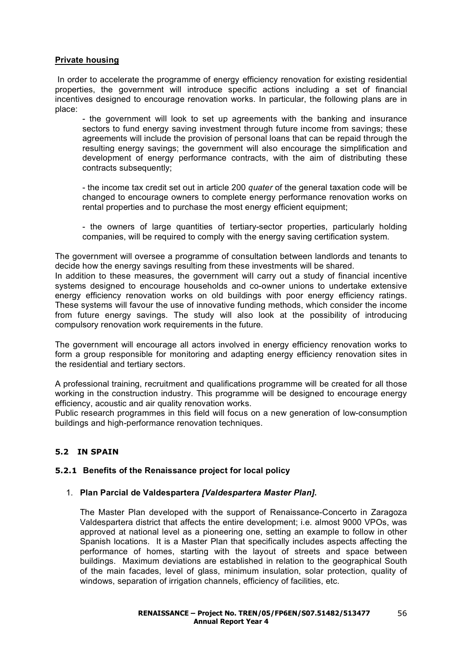## **Private housing**

 In order to accelerate the programme of energy efficiency renovation for existing residential properties, the government will introduce specific actions including a set of financial incentives designed to encourage renovation works. In particular, the following plans are in place:

- the government will look to set up agreements with the banking and insurance sectors to fund energy saving investment through future income from savings; these agreements will include the provision of personal loans that can be repaid through the resulting energy savings; the government will also encourage the simplification and development of energy performance contracts, with the aim of distributing these contracts subsequently:

- the income tax credit set out in article 200 *quater* of the general taxation code will be changed to encourage owners to complete energy performance renovation works on rental properties and to purchase the most energy efficient equipment:

- the owners of large quantities of tertiary-sector properties, particularly holding companies, will be required to comply with the energy saving certification system.

The government will oversee a programme of consultation between landlords and tenants to decide how the energy savings resulting from these investments will be shared.

In addition to these measures, the government will carry out a study of financial incentive systems designed to encourage households and co-owner unions to undertake extensive energy efficiency renovation works on old buildings with poor energy efficiency ratings. These systems will favour the use of innovative funding methods, which consider the income from future energy savings. The study will also look at the possibility of introducing compulsory renovation work requirements in the future.

The government will encourage all actors involved in energy efficiency renovation works to form a group responsible for monitoring and adapting energy efficiency renovation sites in the residential and tertiary sectors.

A professional training, recruitment and qualifications programme will be created for all those working in the construction industry. This programme will be designed to encourage energy efficiency, acoustic and air quality renovation works.

Public research programmes in this field will focus on a new generation of low-consumption buildings and high-performance renovation techniques.

## **5.2 IN SPAIN**

#### **5.2.1 Benefits of the Renaissance project for local policy**

#### 1. **Plan Parcial de Valdespartera** *[Valdespartera Master Plan]***.**

The Master Plan developed with the support of Renaissance-Concerto in Zaragoza Valdespartera district that affects the entire development; i.e. almost 9000 VPOs, was approved at national level as a pioneering one, setting an example to follow in other Spanish locations. It is a Master Plan that specifically includes aspects affecting the performance of homes, starting with the layout of streets and space between buildings. Maximum deviations are established in relation to the geographical South of the main facades, level of glass, minimum insulation, solar protection, quality of windows, separation of irrigation channels, efficiency of facilities, etc.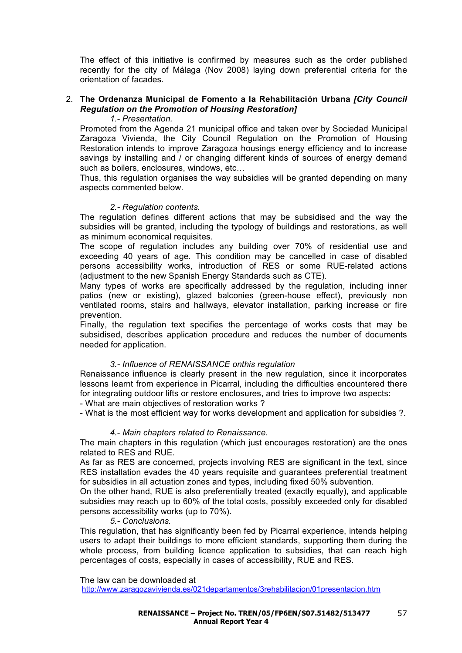The effect of this initiative is confirmed by measures such as the order published recently for the city of Málaga (Nov 2008) laying down preferential criteria for the orientation of facades.

### 2. **The Ordenanza Municipal de Fomento a la Rehabilitación Urbana** *[City Council Regulation on the Promotion of Housing Restoration]*

#### *1.- Presentation.*

Promoted from the Agenda 21 municipal office and taken over by Sociedad Municipal Zaragoza Vivienda, the City Council Regulation on the Promotion of Housing Restoration intends to improve Zaragoza housings energy efficiency and to increase savings by installing and / or changing different kinds of sources of energy demand such as boilers, enclosures, windows, etc...

Thus, this regulation organises the way subsidies will be granted depending on many aspects commented below.

#### *2.- Regulation contents.*

The regulation defines different actions that may be subsidised and the way the subsidies will be granted, including the typology of buildings and restorations, as well as minimum economical requisites.

The scope of regulation includes any building over 70% of residential use and exceeding 40 years of age. This condition may be cancelled in case of disabled persons accessibility works, introduction of RES or some RUE-related actions (adjustment to the new Spanish Energy Standards such as CTE).

Many types of works are specifically addressed by the regulation, including inner patios (new or existing), glazed balconies (green-house effect), previously non ventilated rooms, stairs and hallways, elevator installation, parking increase or fire prevention.

Finally, the regulation text specifies the percentage of works costs that may be subsidised, describes application procedure and reduces the number of documents needed for application.

#### *3.- Influence of RENAISSANCE onthis regulation*

Renaissance influence is clearly present in the new regulation, since it incorporates lessons learnt from experience in Picarral, including the difficulties encountered there for integrating outdoor lifts or restore enclosures, and tries to improve two aspects:

- What are main objectives of restoration works ?

- What is the most efficient way for works development and application for subsidies ?.

#### *4.- Main chapters related to Renaissance.*

The main chapters in this regulation (which just encourages restoration) are the ones related to RES and RUE.

As far as RES are concerned, projects involving RES are significant in the text, since RES installation evades the 40 years requisite and guarantees preferential treatment for subsidies in all actuation zones and types, including fixed 50% subvention.

On the other hand, RUE is also preferentially treated (exactly equally), and applicable subsidies may reach up to 60% of the total costs, possibly exceeded only for disabled persons accessibility works (up to 70%).

#### *5.- Conclusions.*

This regulation, that has significantly been fed by Picarral experience, intends helping users to adapt their buildings to more efficient standards, supporting them during the whole process, from building licence application to subsidies, that can reach high percentages of costs, especially in cases of accessibility, RUE and RES.

#### The law can be downloaded at

http://www.zaragozavivienda.es/021departamentos/3rehabilitacion/01presentacion.htm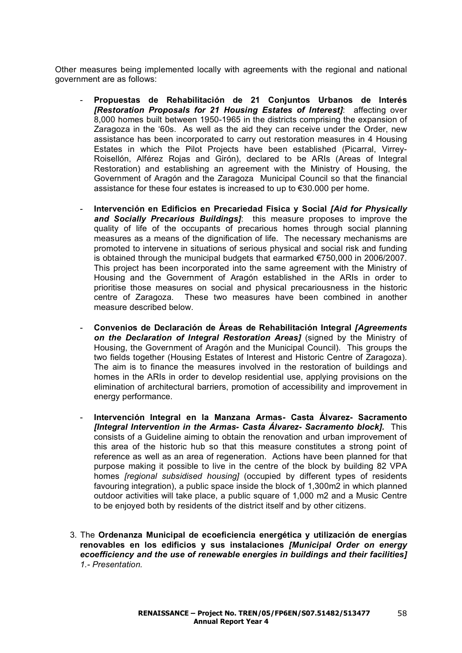Other measures being implemented locally with agreements with the regional and national government are as follows:

- **Propuestas de Rehabilitación de 21 Conjuntos Urbanos de Interés**  *[Restoration Proposals for 21 Housing Estates of Interest]*: affecting over 8,000 homes built between 1950-1965 in the districts comprising the expansion of Zaragoza in the '60s. As well as the aid they can receive under the Order, new assistance has been incorporated to carry out restoration measures in 4 Housing Estates in which the Pilot Projects have been established (Picarral, Virrey-Roisellón, Alférez Rojas and Girón), declared to be ARIs (Areas of Integral Restoration) and establishing an agreement with the Ministry of Housing, the Government of Aragón and the Zaragoza Municipal Council so that the financial assistance for these four estates is increased to up to €30.000 per home.
- **Intervención en Edificios en Precariedad Fisica y Social** *[Aid for Physically and Socially Precarious Buildings]*: this measure proposes to improve the quality of life of the occupants of precarious homes through social planning measures as a means of the dignification of life. The necessary mechanisms are promoted to intervene in situations of serious physical and social risk and funding is obtained through the municipal budgets that earmarked €750,000 in 2006/2007. This project has been incorporated into the same agreement with the Ministry of Housing and the Government of Aragón established in the ARIs in order to prioritise those measures on social and physical precariousness in the historic centre of Zaragoza. These two measures have been combined in another measure described below.
- **Convenios de Declaración de Áreas de Rehabilitación Integral** *[Agreements on the Declaration of Integral Restoration Areas]* (signed by the Ministry of Housing, the Government of Aragón and the Municipal Council). This groups the two fields together (Housing Estates of Interest and Historic Centre of Zaragoza). The aim is to finance the measures involved in the restoration of buildings and homes in the ARIs in order to develop residential use, applying provisions on the elimination of architectural barriers, promotion of accessibility and improvement in energy performance.
- **Intervención Integral en la Manzana Armas- Casta Álvarez- Sacramento**  *[Integral Intervention in the Armas- Casta Álvarez- Sacramento block].* This consists of a Guideline aiming to obtain the renovation and urban improvement of this area of the historic hub so that this measure constitutes a strong point of reference as well as an area of regeneration. Actions have been planned for that purpose making it possible to live in the centre of the block by building 82 VPA homes *[regional subsidised housing]* (occupied by different types of residents favouring integration), a public space inside the block of 1,300m2 in which planned outdoor activities will take place, a public square of 1,000 m2 and a Music Centre to be enjoyed both by residents of the district itself and by other citizens.
- 3. The **Ordenanza Municipal de ecoeficiencia energética y utilización de energías renovables en los edificios y sus instalaciones** *[Municipal Order on energy ecoefficiency and the use of renewable energies in buildings and their facilities] 1.- Presentation.*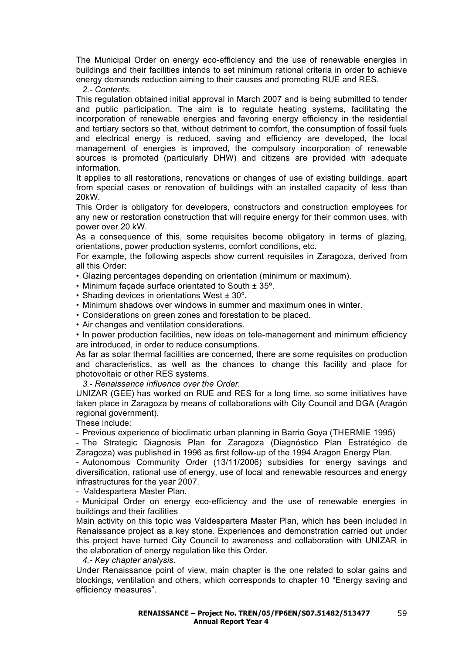The Municipal Order on energy eco-efficiency and the use of renewable energies in buildings and their facilities intends to set minimum rational criteria in order to achieve energy demands reduction aiming to their causes and promoting RUE and RES.

*2.- Contents.*

This regulation obtained initial approval in March 2007 and is being submitted to tender and public participation. The aim is to regulate heating systems, facilitating the incorporation of renewable energies and favoring energy efficiency in the residential and tertiary sectors so that, without detriment to comfort, the consumption of fossil fuels and electrical energy is reduced, saving and efficiency are developed, the local management of energies is improved, the compulsory incorporation of renewable sources is promoted (particularly DHW) and citizens are provided with adequate information.

It applies to all restorations, renovations or changes of use of existing buildings, apart from special cases or renovation of buildings with an installed capacity of less than 20kW.

This Order is obligatory for developers, constructors and construction employees for any new or restoration construction that will require energy for their common uses, with power over 20 kW.

As a consequence of this, some requisites become obligatory in terms of glazing, orientations, power production systems, comfort conditions, etc.

For example, the following aspects show current requisites in Zaragoza, derived from all this Order:

• Glazing percentages depending on orientation (minimum or maximum).

- Minimum façade surface orientated to South ± 35º.
- Shading devices in orientations West ± 30º.
- Minimum shadows over windows in summer and maximum ones in winter.
- Considerations on green zones and forestation to be placed.
- Air changes and ventilation considerations.

• In power production facilities, new ideas on tele-management and minimum efficiency are introduced, in order to reduce consumptions.

As far as solar thermal facilities are concerned, there are some requisites on production and characteristics, as well as the chances to change this facility and place for photovoltaic or other RES systems.

*3.- Renaissance influence over the Order.*

UNIZAR (GEE) has worked on RUE and RES for a long time, so some initiatives have taken place in Zaragoza by means of collaborations with City Council and DGA (Aragón regional government).

These include:

- Previous experience of bioclimatic urban planning in Barrio Goya (THERMIE 1995)

- The Strategic Diagnosis Plan for Zaragoza (Diagnóstico Plan Estratégico de Zaragoza) was published in 1996 as first follow-up of the 1994 Aragon Energy Plan.

- Autonomous Community Order (13/11/2006) subsidies for energy savings and diversification, rational use of energy, use of local and renewable resources and energy infrastructures for the year 2007.

- Valdespartera Master Plan.

- Municipal Order on energy eco-efficiency and the use of renewable energies in buildings and their facilities

Main activity on this topic was Valdespartera Master Plan, which has been included in Renaissance project as a key stone. Experiences and demonstration carried out under this project have turned City Council to awareness and collaboration with UNIZAR in the elaboration of energy regulation like this Order.

*4.- Key chapter analysis.*

Under Renaissance point of view, main chapter is the one related to solar gains and blockings, ventilation and others, which corresponds to chapter 10 "Energy saving and efficiency measures".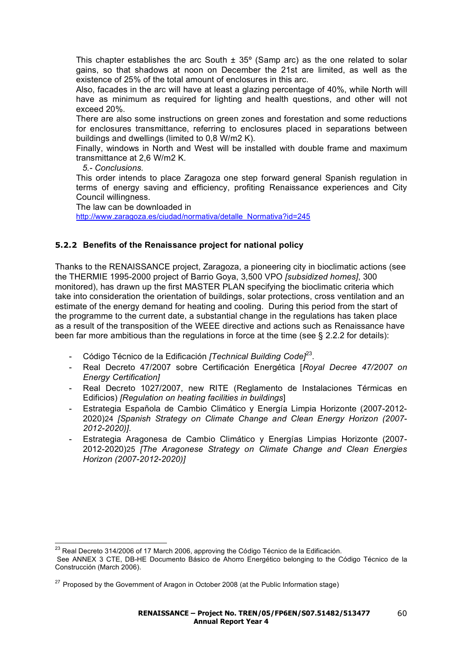This chapter establishes the arc South  $\pm$  35 $^{\circ}$  (Samp arc) as the one related to solar gains, so that shadows at noon on December the 21st are limited, as well as the existence of 25% of the total amount of enclosures in this arc.

Also, facades in the arc will have at least a glazing percentage of 40%, while North will have as minimum as required for lighting and health questions, and other will not exceed 20%.

There are also some instructions on green zones and forestation and some reductions for enclosures transmittance, referring to enclosures placed in separations between buildings and dwellings (limited to 0,8 W/m2 K).

Finally, windows in North and West will be installed with double frame and maximum transmittance at 2,6 W/m2 K.

*5.- Conclusions.*

This order intends to place Zaragoza one step forward general Spanish regulation in terms of energy saving and efficiency, profiting Renaissance experiences and City Council willingness.

The law can be downloaded in

http://www.zaragoza.es/ciudad/normativa/detalle\_Normativa?id=245

## **5.2.2 Benefits of the Renaissance project for national policy**

Thanks to the RENAISSANCE project, Zaragoza, a pioneering city in bioclimatic actions (see the THERMIE 1995-2000 project of Barrio Goya, 3,500 VPO *[subsidized homes]*, 300 monitored), has drawn up the first MASTER PLAN specifying the bioclimatic criteria which take into consideration the orientation of buildings, solar protections, cross ventilation and an estimate of the energy demand for heating and cooling. During this period from the start of the programme to the current date, a substantial change in the regulations has taken place as a result of the transposition of the WEEE directive and actions such as Renaissance have been far more ambitious than the regulations in force at the time (see  $\S 2.2.2$  for details):

- Código Técnico de la Edificación *[Technical Building Code]*23.
- Real Decreto 47/2007 sobre Certificación Energética [*Royal Decree 47/2007 on Energy Certification]*
- Real Decreto 1027/2007, new RITE (Reglamento de Instalaciones Térmicas en Edificios) *[Regulation on heating facilities in buildings*]
- Estrategia Española de Cambio Climático y Energía Limpia Horizonte (2007-2012- 2020)24 *[Spanish Strategy on Climate Change and Clean Energy Horizon (2007- 2012-2020)]*.
- Estrategia Aragonesa de Cambio Climático y Energías Limpias Horizonte (2007- 2012-2020)25 *[The Aragonese Strategy on Climate Change and Clean Energies Horizon (2007-2012-2020)]*

<sup>&</sup>lt;sup>23</sup> Real Decreto 314/2006 of 17 March 2006, approving the Código Técnico de la Edificación. See ANNEX 3 CTE, DB-HE Documento Básico de Ahorro Energético belonging to the Código Técnico de la Construcción (March 2006).

 $27$  Proposed by the Government of Aragon in October 2008 (at the Public Information stage)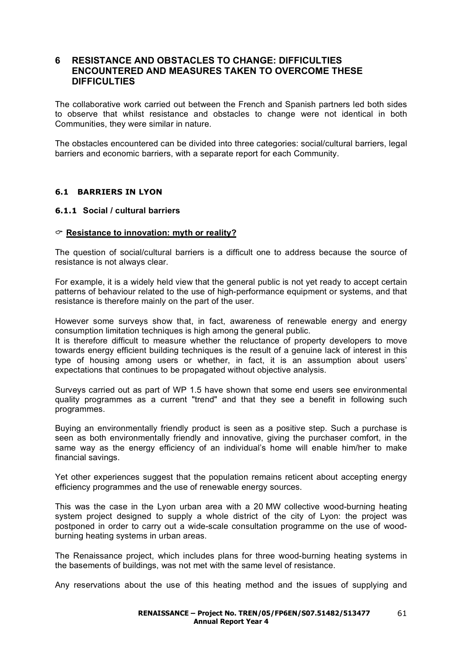## **6 RESISTANCE AND OBSTACLES TO CHANGE: DIFFICULTIES ENCOUNTERED AND MEASURES TAKEN TO OVERCOME THESE DIFFICULTIES**

The collaborative work carried out between the French and Spanish partners led both sides to observe that whilst resistance and obstacles to change were not identical in both Communities, they were similar in nature.

The obstacles encountered can be divided into three categories: social/cultural barriers, legal barriers and economic barriers, with a separate report for each Community.

### **6.1 BARRIERS IN LYON**

### **6.1.1 Social / cultural barriers**

### **Resistance to innovation: myth or reality?**

The question of social/cultural barriers is a difficult one to address because the source of resistance is not always clear.

For example, it is a widely held view that the general public is not yet ready to accept certain patterns of behaviour related to the use of high-performance equipment or systems, and that resistance is therefore mainly on the part of the user.

However some surveys show that, in fact, awareness of renewable energy and energy consumption limitation techniques is high among the general public.

It is therefore difficult to measure whether the reluctance of property developers to move towards energy efficient building techniques is the result of a genuine lack of interest in this type of housing among users or whether, in fact, it is an assumption about users' expectations that continues to be propagated without objective analysis.

Surveys carried out as part of WP 1.5 have shown that some end users see environmental quality programmes as a current "trend" and that they see a benefit in following such programmes.

Buying an environmentally friendly product is seen as a positive step. Such a purchase is seen as both environmentally friendly and innovative, giving the purchaser comfort, in the same way as the energy efficiency of an individual's home will enable him/her to make financial savings.

Yet other experiences suggest that the population remains reticent about accepting energy efficiency programmes and the use of renewable energy sources.

This was the case in the Lyon urban area with a 20 MW collective wood-burning heating system project designed to supply a whole district of the city of Lyon: the project was postponed in order to carry out a wide-scale consultation programme on the use of woodburning heating systems in urban areas.

The Renaissance project, which includes plans for three wood-burning heating systems in the basements of buildings, was not met with the same level of resistance.

Any reservations about the use of this heating method and the issues of supplying and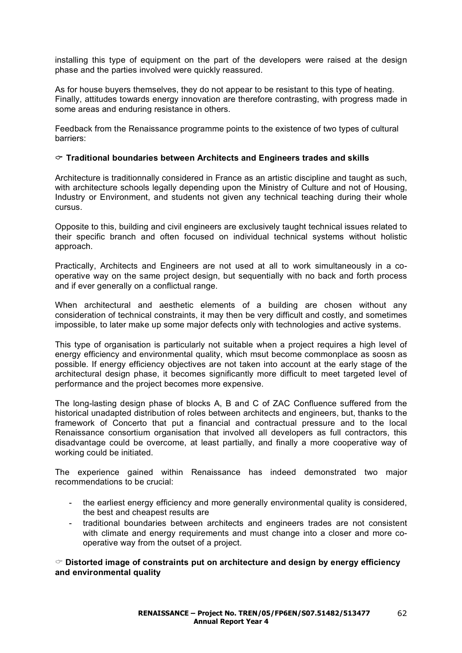installing this type of equipment on the part of the developers were raised at the design phase and the parties involved were quickly reassured.

As for house buyers themselves, they do not appear to be resistant to this type of heating. Finally, attitudes towards energy innovation are therefore contrasting, with progress made in some areas and enduring resistance in others.

Feedback from the Renaissance programme points to the existence of two types of cultural barriers:

### **Traditional boundaries between Architects and Engineers trades and skills**

Architecture is traditionnally considered in France as an artistic discipline and taught as such, with architecture schools legally depending upon the Ministry of Culture and not of Housing, Industry or Environment, and students not given any technical teaching during their whole cursus.

Opposite to this, building and civil engineers are exclusively taught technical issues related to their specific branch and often focused on individual technical systems without holistic approach.

Practically, Architects and Engineers are not used at all to work simultaneously in a cooperative way on the same project design, but sequentially with no back and forth process and if ever generally on a conflictual range.

When architectural and aesthetic elements of a building are chosen without any consideration of technical constraints, it may then be very difficult and costly, and sometimes impossible, to later make up some major defects only with technologies and active systems.

This type of organisation is particularly not suitable when a project requires a high level of energy efficiency and environmental quality, which msut become commonplace as soosn as possible. If energy efficiency objectives are not taken into account at the early stage of the architectural design phase, it becomes significantly more difficult to meet targeted level of performance and the project becomes more expensive.

The long-lasting design phase of blocks A, B and C of ZAC Confluence suffered from the historical unadapted distribution of roles between architects and engineers, but, thanks to the framework of Concerto that put a financial and contractual pressure and to the local Renaissance consortium organisation that involved all developers as full contractors, this disadvantage could be overcome, at least partially, and finally a more cooperative way of working could be initiated.

The experience gained within Renaissance has indeed demonstrated two major recommendations to be crucial:

- the earliest energy efficiency and more generally environmental quality is considered. the best and cheapest results are
- traditional boundaries between architects and engineers trades are not consistent with climate and energy requirements and must change into a closer and more cooperative way from the outset of a project.

 **Distorted image of constraints put on architecture and design by energy efficiency and environmental quality**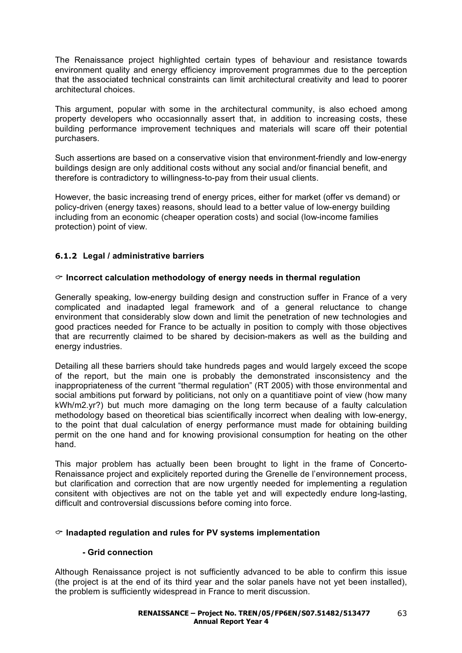The Renaissance project highlighted certain types of behaviour and resistance towards environment quality and energy efficiency improvement programmes due to the perception that the associated technical constraints can limit architectural creativity and lead to poorer architectural choices.

This argument, popular with some in the architectural community, is also echoed among property developers who occasionnally assert that, in addition to increasing costs, these building performance improvement techniques and materials will scare off their potential purchasers.

Such assertions are based on a conservative vision that environment-friendly and low-energy buildings design are only additional costs without any social and/or financial benefit, and therefore is contradictory to willingness-to-pay from their usual clients.

However, the basic increasing trend of energy prices, either for market (offer vs demand) or policy-driven (energy taxes) reasons, should lead to a better value of low-energy building including from an economic (cheaper operation costs) and social (low-income families protection) point of view.

## **6.1.2 Legal / administrative barriers**

## **Incorrect calculation methodology of energy needs in thermal regulation**

Generally speaking, low-energy building design and construction suffer in France of a very complicated and inadapted legal framework and of a general reluctance to change environment that considerably slow down and limit the penetration of new technologies and good practices needed for France to be actually in position to comply with those objectives that are recurrently claimed to be shared by decision-makers as well as the building and energy industries.

Detailing all these barriers should take hundreds pages and would largely exceed the scope of the report, but the main one is probably the demonstrated insconsistency and the inappropriateness of the current "thermal regulation" (RT 2005) with those environmental and social ambitions put forward by politicians, not only on a quantitiave point of view (how many kWh/m2.yr?) but much more damaging on the long term because of a faulty calculation methodology based on theoretical bias scientifically incorrect when dealing with low-energy, to the point that dual calculation of energy performance must made for obtaining building permit on the one hand and for knowing provisional consumption for heating on the other hand.

This major problem has actually been been brought to light in the frame of Concerto-Renaissance project and explicitely reported during the Grenelle de l'environnement process, but clarification and correction that are now urgently needed for implementing a regulation consitent with objectives are not on the table yet and will expectedly endure long-lasting, difficult and controversial discussions before coming into force.

## **Inadapted regulation and rules for PV systems implementation**

## **- Grid connection**

Although Renaissance project is not sufficiently advanced to be able to confirm this issue (the project is at the end of its third year and the solar panels have not yet been installed), the problem is sufficiently widespread in France to merit discussion.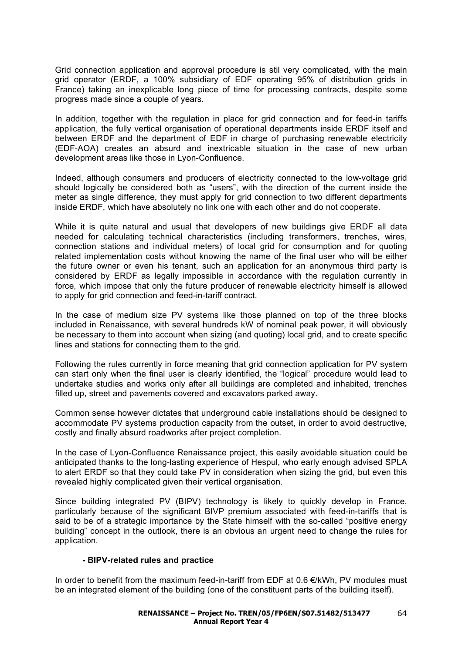Grid connection application and approval procedure is stil very complicated, with the main grid operator (ERDF, a 100% subsidiary of EDF operating 95% of distribution grids in France) taking an inexplicable long piece of time for processing contracts, despite some progress made since a couple of years.

In addition, together with the regulation in place for grid connection and for feed-in tariffs application, the fully vertical organisation of operational departments inside ERDF itself and between ERDF and the department of EDF in charge of purchasing renewable electricity (EDF-AOA) creates an absurd and inextricable situation in the case of new urban development areas like those in Lyon-Confluence.

Indeed, although consumers and producers of electricity connected to the low-voltage grid should logically be considered both as "users", with the direction of the current inside the meter as single difference, they must apply for grid connection to two different departments inside ERDF, which have absolutely no link one with each other and do not cooperate.

While it is quite natural and usual that developers of new buildings give ERDF all data needed for calculating technical characteristics (including transformers, trenches, wires, connection stations and individual meters) of local grid for consumption and for quoting related implementation costs without knowing the name of the final user who will be either the future owner or even his tenant, such an application for an anonymous third party is considered by ERDF as legally impossible in accordance with the regulation currently in force, which impose that only the future producer of renewable electricity himself is allowed to apply for grid connection and feed-in-tariff contract.

In the case of medium size PV systems like those planned on top of the three blocks included in Renaissance, with several hundreds kW of nominal peak power, it will obviously be necessary to them into account when sizing (and quoting) local grid, and to create specific lines and stations for connecting them to the grid.

Following the rules currently in force meaning that grid connection application for PV system can start only when the final user is clearly identified, the "logical" procedure would lead to undertake studies and works only after all buildings are completed and inhabited, trenches filled up, street and pavements covered and excavators parked away.

Common sense however dictates that underground cable installations should be designed to accommodate PV systems production capacity from the outset, in order to avoid destructive, costly and finally absurd roadworks after project completion.

In the case of Lyon-Confluence Renaissance project, this easily avoidable situation could be anticipated thanks to the long-lasting experience of Hespul, who early enough advised SPLA to alert ERDF so that they could take PV in consideration when sizing the grid, but even this revealed highly complicated given their vertical organisation.

Since building integrated PV (BIPV) technology is likely to quickly develop in France, particularly because of the significant BIVP premium associated with feed-in-tariffs that is said to be of a strategic importance by the State himself with the so-called "positive energy building" concept in the outlook, there is an obvious an urgent need to change the rules for application.

## **- BIPV-related rules and practice**

In order to benefit from the maximum feed-in-tariff from EDF at 0.6 €/kWh, PV modules must be an integrated element of the building (one of the constituent parts of the building itself).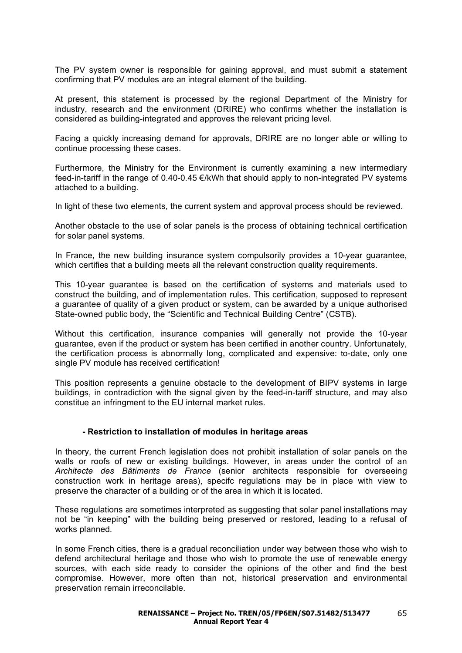The PV system owner is responsible for gaining approval, and must submit a statement confirming that PV modules are an integral element of the building.

At present, this statement is processed by the regional Department of the Ministry for industry, research and the environment (DRIRE) who confirms whether the installation is considered as building-integrated and approves the relevant pricing level.

Facing a quickly increasing demand for approvals, DRIRE are no longer able or willing to continue processing these cases.

Furthermore, the Ministry for the Environment is currently examining a new intermediary feed-in-tariff in the range of 0.40-0.45 €/kWh that should apply to non-integrated PV systems attached to a building.

In light of these two elements, the current system and approval process should be reviewed.

Another obstacle to the use of solar panels is the process of obtaining technical certification for solar panel systems.

In France, the new building insurance system compulsorily provides a 10-year guarantee, which certifies that a building meets all the relevant construction quality requirements.

This 10-year guarantee is based on the certification of systems and materials used to construct the building, and of implementation rules. This certification, supposed to represent a guarantee of quality of a given product or system, can be awarded by a unique authorised State-owned public body, the "Scientific and Technical Building Centre" (CSTB).

Without this certification, insurance companies will generally not provide the 10-year guarantee, even if the product or system has been certified in another country. Unfortunately, the certification process is abnormally long, complicated and expensive: to-date, only one single PV module has received certification!

This position represents a genuine obstacle to the development of BIPV systems in large buildings, in contradiction with the signal given by the feed-in-tariff structure, and may also constitue an infringment to the EU internal market rules.

#### **- Restriction to installation of modules in heritage areas**

In theory, the current French legislation does not prohibit installation of solar panels on the walls or roofs of new or existing buildings. However, in areas under the control of an *Architecte des Bâtiments de France* (senior architects responsible for overseeing construction work in heritage areas), specifc regulations may be in place with view to preserve the character of a building or of the area in which it is located.

These regulations are sometimes interpreted as suggesting that solar panel installations may not be "in keeping" with the building being preserved or restored, leading to a refusal of works planned.

In some French cities, there is a gradual reconciliation under way between those who wish to defend architectural heritage and those who wish to promote the use of renewable energy sources, with each side ready to consider the opinions of the other and find the best compromise. However, more often than not, historical preservation and environmental preservation remain irreconcilable.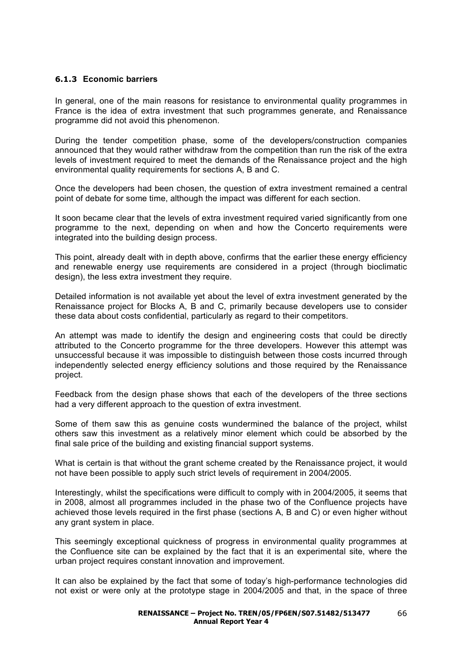## **6.1.3 Economic barriers**

In general, one of the main reasons for resistance to environmental quality programmes in France is the idea of extra investment that such programmes generate, and Renaissance programme did not avoid this phenomenon.

During the tender competition phase, some of the developers/construction companies announced that they would rather withdraw from the competition than run the risk of the extra levels of investment required to meet the demands of the Renaissance project and the high environmental quality requirements for sections A, B and C.

Once the developers had been chosen, the question of extra investment remained a central point of debate for some time, although the impact was different for each section.

It soon became clear that the levels of extra investment required varied significantly from one programme to the next, depending on when and how the Concerto requirements were integrated into the building design process.

This point, already dealt with in depth above, confirms that the earlier these energy efficiency and renewable energy use requirements are considered in a project (through bioclimatic design), the less extra investment they require.

Detailed information is not available yet about the level of extra investment generated by the Renaissance project for Blocks A, B and C, primarily because developers use to consider these data about costs confidential, particularly as regard to their competitors.

An attempt was made to identify the design and engineering costs that could be directly attributed to the Concerto programme for the three developers. However this attempt was unsuccessful because it was impossible to distinguish between those costs incurred through independently selected energy efficiency solutions and those required by the Renaissance project.

Feedback from the design phase shows that each of the developers of the three sections had a very different approach to the question of extra investment.

Some of them saw this as genuine costs wundermined the balance of the project, whilst others saw this investment as a relatively minor element which could be absorbed by the final sale price of the building and existing financial support systems.

What is certain is that without the grant scheme created by the Renaissance project, it would not have been possible to apply such strict levels of requirement in 2004/2005.

Interestingly, whilst the specifications were difficult to comply with in 2004/2005, it seems that in 2008, almost all programmes included in the phase two of the Confluence projects have achieved those levels required in the first phase (sections A, B and C) or even higher without any grant system in place.

This seemingly exceptional quickness of progress in environmental quality programmes at the Confluence site can be explained by the fact that it is an experimental site, where the urban project requires constant innovation and improvement.

It can also be explained by the fact that some of today's high-performance technologies did not exist or were only at the prototype stage in 2004/2005 and that, in the space of three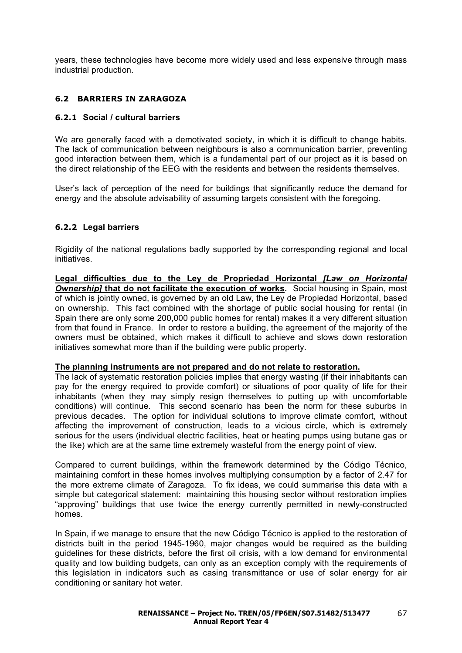years, these technologies have become more widely used and less expensive through mass industrial production.

## **6.2 BARRIERS IN ZARAGOZA**

### **6.2.1 Social / cultural barriers**

We are generally faced with a demotivated society, in which it is difficult to change habits. The lack of communication between neighbours is also a communication barrier, preventing good interaction between them, which is a fundamental part of our project as it is based on the direct relationship of the EEG with the residents and between the residents themselves.

User's lack of perception of the need for buildings that significantly reduce the demand for energy and the absolute advisability of assuming targets consistent with the foregoing.

## **6.2.2 Legal barriers**

Rigidity of the national regulations badly supported by the corresponding regional and local initiatives.

**Legal difficulties due to the Ley de Propriedad Horizontal** *[Law on Horizontal Ownership]* **that do not facilitate the execution of works.** Social housing in Spain, most of which is jointly owned, is governed by an old Law, the Ley de Propiedad Horizontal, based on ownership. This fact combined with the shortage of public social housing for rental (in Spain there are only some 200,000 public homes for rental) makes it a very different situation from that found in France. In order to restore a building, the agreement of the majority of the owners must be obtained, which makes it difficult to achieve and slows down restoration initiatives somewhat more than if the building were public property.

#### **The planning instruments are not prepared and do not relate to restoration.**

The lack of systematic restoration policies implies that energy wasting (if their inhabitants can pay for the energy required to provide comfort) or situations of poor quality of life for their inhabitants (when they may simply resign themselves to putting up with uncomfortable conditions) will continue. This second scenario has been the norm for these suburbs in previous decades. The option for individual solutions to improve climate comfort, without affecting the improvement of construction, leads to a vicious circle, which is extremely serious for the users (individual electric facilities, heat or heating pumps using butane gas or the like) which are at the same time extremely wasteful from the energy point of view.

Compared to current buildings, within the framework determined by the Código Técnico, maintaining comfort in these homes involves multiplying consumption by a factor of 2.47 for the more extreme climate of Zaragoza. To fix ideas, we could summarise this data with a simple but categorical statement: maintaining this housing sector without restoration implies "approving" buildings that use twice the energy currently permitted in newly-constructed homes.

In Spain, if we manage to ensure that the new Código Técnico is applied to the restoration of districts built in the period 1945-1960, major changes would be required as the building guidelines for these districts, before the first oil crisis, with a low demand for environmental quality and low building budgets, can only as an exception comply with the requirements of this legislation in indicators such as casing transmittance or use of solar energy for air conditioning or sanitary hot water.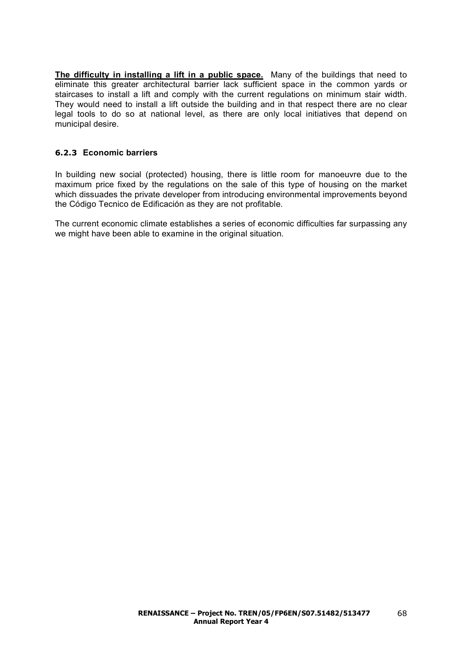**The difficulty in installing a lift in a public space.** Many of the buildings that need to eliminate this greater architectural barrier lack sufficient space in the common yards or staircases to install a lift and comply with the current regulations on minimum stair width. They would need to install a lift outside the building and in that respect there are no clear legal tools to do so at national level, as there are only local initiatives that depend on municipal desire.

## **6.2.3 Economic barriers**

In building new social (protected) housing, there is little room for manoeuvre due to the maximum price fixed by the regulations on the sale of this type of housing on the market which dissuades the private developer from introducing environmental improvements beyond the Código Tecnico de Edificación as they are not profitable.

The current economic climate establishes a series of economic difficulties far surpassing any we might have been able to examine in the original situation.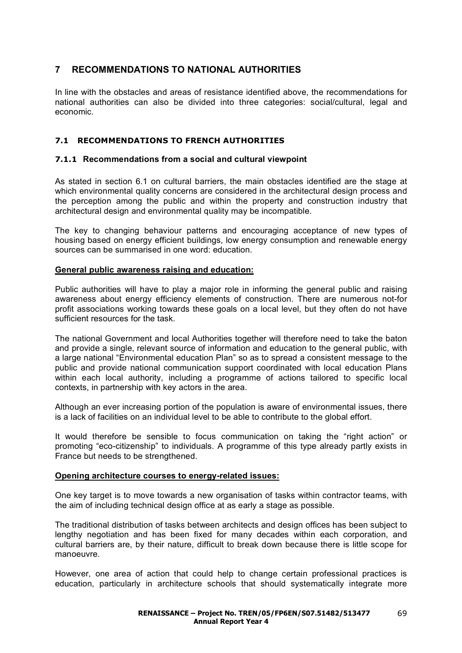## **7 RECOMMENDATIONS TO NATIONAL AUTHORITIES**

In line with the obstacles and areas of resistance identified above, the recommendations for national authorities can also be divided into three categories: social/cultural, legal and economic.

## **7.1 RECOMMENDATIONS TO FRENCH AUTHORITIES**

## **7.1.1 Recommendations from a social and cultural viewpoint**

As stated in section 6.1 on cultural barriers, the main obstacles identified are the stage at which environmental quality concerns are considered in the architectural design process and the perception among the public and within the property and construction industry that architectural design and environmental quality may be incompatible.

The key to changing behaviour patterns and encouraging acceptance of new types of housing based on energy efficient buildings, low energy consumption and renewable energy sources can be summarised in one word: education.

### **General public awareness raising and education:**

Public authorities will have to play a major role in informing the general public and raising awareness about energy efficiency elements of construction. There are numerous not-for profit associations working towards these goals on a local level, but they often do not have sufficient resources for the task.

The national Government and local Authorities together will therefore need to take the baton and provide a single, relevant source of information and education to the general public, with a large national "Environmental education Plan" so as to spread a consistent message to the public and provide national communication support coordinated with local education Plans within each local authority, including a programme of actions tailored to specific local contexts, in partnership with key actors in the area.

Although an ever increasing portion of the population is aware of environmental issues, there is a lack of facilities on an individual level to be able to contribute to the global effort.

It would therefore be sensible to focus communication on taking the "right action" or promoting "eco-citizenship" to individuals. A programme of this type already partly exists in France but needs to be strengthened.

## **Opening architecture courses to energy-related issues:**

One key target is to move towards a new organisation of tasks within contractor teams, with the aim of including technical design office at as early a stage as possible.

The traditional distribution of tasks between architects and design offices has been subject to lengthy negotiation and has been fixed for many decades within each corporation, and cultural barriers are, by their nature, difficult to break down because there is little scope for manoeuvre.

However, one area of action that could help to change certain professional practices is education, particularly in architecture schools that should systematically integrate more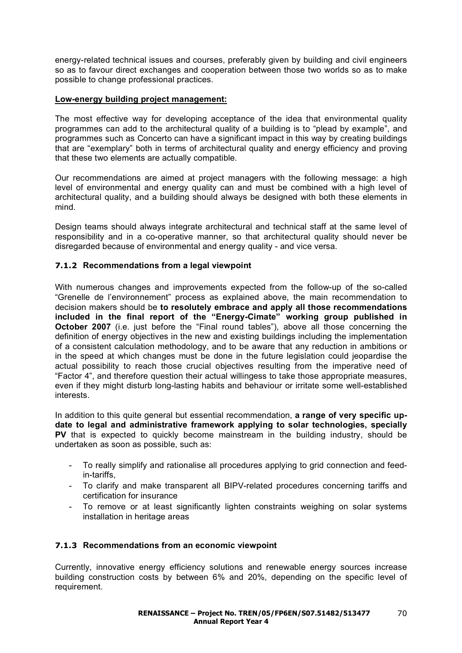energy-related technical issues and courses, preferably given by building and civil engineers so as to favour direct exchanges and cooperation between those two worlds so as to make possible to change professional practices.

## **Low-energy building project management:**

The most effective way for developing acceptance of the idea that environmental quality programmes can add to the architectural quality of a building is to "plead by example", and programmes such as Concerto can have a significant impact in this way by creating buildings that are "exemplary" both in terms of architectural quality and energy efficiency and proving that these two elements are actually compatible.

Our recommendations are aimed at project managers with the following message: a high level of environmental and energy quality can and must be combined with a high level of architectural quality, and a building should always be designed with both these elements in mind.

Design teams should always integrate architectural and technical staff at the same level of responsibility and in a co-operative manner, so that architectural quality should never be disregarded because of environmental and energy quality - and vice versa.

## **7.1.2 Recommendations from a legal viewpoint**

With numerous changes and improvements expected from the follow-up of the so-called "Grenelle de l'environnement" process as explained above, the main recommendation to decision makers should be **to resolutely embrace and apply all those recommendations included in the final report of the "Energy-Cimate" working group published in October 2007** (i.e. just before the "Final round tables"), above all those concerning the definition of energy objectives in the new and existing buildings including the implementation of a consistent calculation methodology, and to be aware that any reduction in ambitions or in the speed at which changes must be done in the future legislation could jeopardise the actual possibility to reach those crucial objectives resulting from the imperative need of "Factor 4", and therefore question their actual willingess to take those appropriate measures, even if they might disturb long-lasting habits and behaviour or irritate some well-established interests.

In addition to this quite general but essential recommendation, **a range of very specific update to legal and administrative framework applying to solar technologies, specially PV** that is expected to quickly become mainstream in the building industry, should be undertaken as soon as possible, such as:

- To really simplify and rationalise all procedures applying to grid connection and feedin-tariffs,
- To clarify and make transparent all BIPV-related procedures concerning tariffs and certification for insurance
- To remove or at least significantly lighten constraints weighing on solar systems installation in heritage areas

## **7.1.3 Recommendations from an economic viewpoint**

Currently, innovative energy efficiency solutions and renewable energy sources increase building construction costs by between 6% and 20%, depending on the specific level of requirement.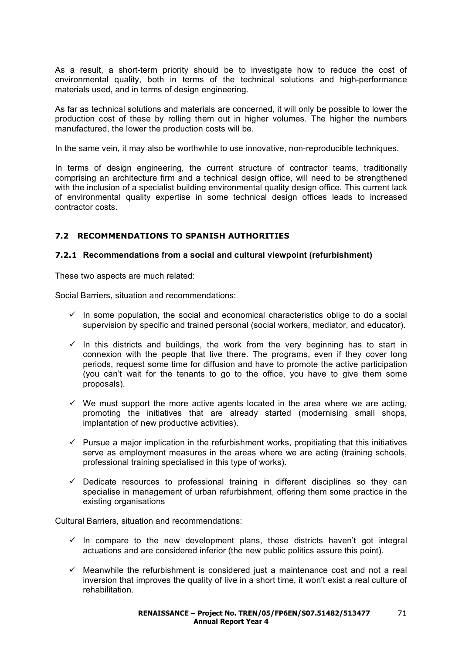As a result, a short-term priority should be to investigate how to reduce the cost of environmental quality, both in terms of the technical solutions and high-performance materials used, and in terms of design engineering.

As far as technical solutions and materials are concerned, it will only be possible to lower the production cost of these by rolling them out in higher volumes. The higher the numbers manufactured, the lower the production costs will be.

In the same vein, it may also be worthwhile to use innovative, non-reproducible techniques.

In terms of design engineering, the current structure of contractor teams, traditionally comprising an architecture firm and a technical design office, will need to be strengthened with the inclusion of a specialist building environmental quality design office. This current lack of environmental quality expertise in some technical design offices leads to increased contractor costs.

## **7.2 RECOMMENDATIONS TO SPANISH AUTHORITIES**

## **7.2.1 Recommendations from a social and cultural viewpoint (refurbishment)**

These two aspects are much related:

Social Barriers, situation and recommendations:

- $\checkmark$  In some population, the social and economical characteristics oblige to do a social supervision by specific and trained personal (social workers, mediator, and educator).
- $\checkmark$  In this districts and buildings, the work from the very beginning has to start in connexion with the people that live there. The programs, even if they cover long periods, request some time for diffusion and have to promote the active participation (you can't wait for the tenants to go to the office, you have to give them some proposals).
- $\checkmark$  We must support the more active agents located in the area where we are acting, promoting the initiatives that are already started (modernising small shops, implantation of new productive activities).
- $\checkmark$  Pursue a major implication in the refurbishment works, propitiating that this initiatives serve as employment measures in the areas where we are acting (training schools, professional training specialised in this type of works).
- $\checkmark$  Dedicate resources to professional training in different disciplines so they can specialise in management of urban refurbishment, offering them some practice in the existing organisations

Cultural Barriers, situation and recommendations:

- $\checkmark$  In compare to the new development plans, these districts haven't got integral actuations and are considered inferior (the new public politics assure this point).
- $\checkmark$  Meanwhile the refurbishment is considered just a maintenance cost and not a real inversion that improves the quality of live in a short time, it won't exist a real culture of rehabilitation.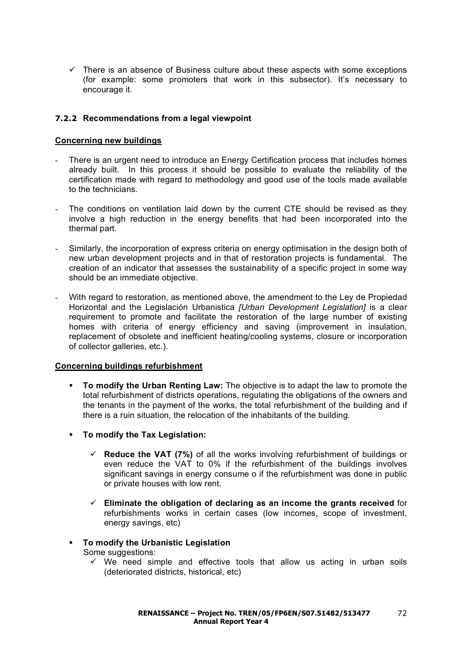$\checkmark$  There is an absence of Business culture about these aspects with some exceptions (for example: some promoters that work in this subsector). It's necessary to encourage it.

# **7.2.2 Recommendations from a legal viewpoint**

#### **Concerning new buildings**

- There is an urgent need to introduce an Energy Certification process that includes homes already built. In this process it should be possible to evaluate the reliability of the certification made with regard to methodology and good use of the tools made available to the technicians.
- The conditions on ventilation laid down by the current CTE should be revised as they involve a high reduction in the energy benefits that had been incorporated into the thermal part.
- Similarly, the incorporation of express criteria on energy optimisation in the design both of new urban development projects and in that of restoration projects is fundamental. The creation of an indicator that assesses the sustainability of a specific project in some way should be an immediate objective.
- With regard to restoration, as mentioned above, the amendment to the Ley de Propiedad Horizontal and the Legislación Urbanistica *[Urban Development Legislation]* is a clear requirement to promote and facilitate the restoration of the large number of existing homes with criteria of energy efficiency and saving (improvement in insulation, replacement of obsolete and inefficient heating/cooling systems, closure or incorporation of collector galleries, etc.).

## **Concerning buildings refurbishment**

- **To modify the Urban Renting Law:** The objective is to adapt the law to promote the total refurbishment of districts operations, regulating the obligations of the owners and the tenants in the payment of the works, the total refurbishment of the building and if there is a ruin situation, the relocation of the inhabitants of the building.
- **To modify the Tax Legislation:**
	- **Reduce the VAT (7%)** of all the works involving refurbishment of buildings or even reduce the VAT to 0% if the refurbishment of the buildings involves significant savings in energy consume o if the refurbishment was done in public or private houses with low rent.
	- **Eliminate the obligation of declaring as an income the grants received** for refurbishments works in certain cases (low incomes, scope of investment, energy savings, etc)
- **To modify the Urbanistic Legislation** Some suggestions:
	- $\checkmark$  We need simple and effective tools that allow us acting in urban soils (deteriorated districts, historical, etc)